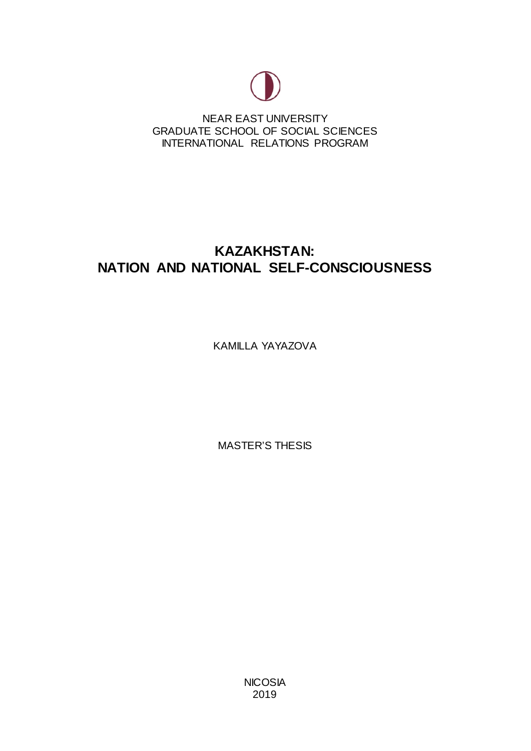

NEAR EAST UNIVERSITY GRADUATE SCHOOL OF SOCIAL SCIENCES INTERNATIONAL RELATIONS PROGRAM

# **KAZAKHSTAN: NATION AND NATIONAL SELF-CONSCIOUSNESS**

KAMILLA YAYAZOVA

MASTER'S THESIS

**NICOSIA** 2019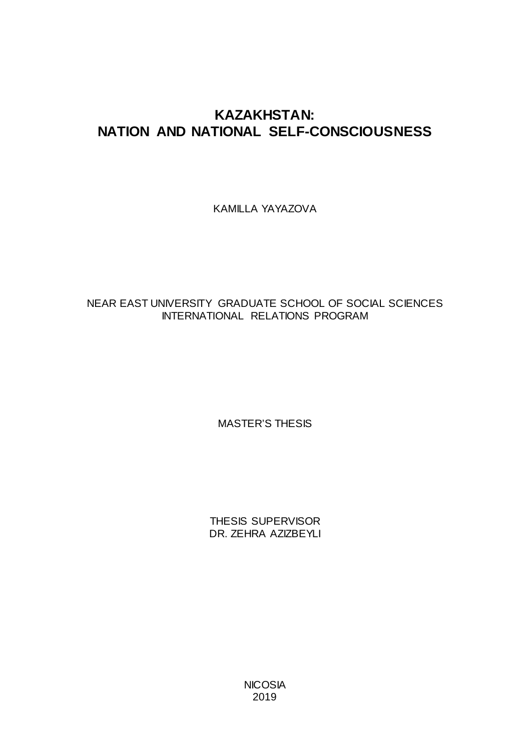# **KAZAKHSTAN: NATION AND NATIONAL SELF-CONSCIOUSNESS**

KAMILLA YAYAZOVA

# NEAR EAST UNIVERSITY GRADUATE SCHOOL OF SOCIAL SCIENCES INTERNATIONAL RELATIONS PROGRAM

MASTER'S THESIS

THESIS SUPERVISOR DR. ZEHRA AZIZBEYLI

> **NICOSIA** 2019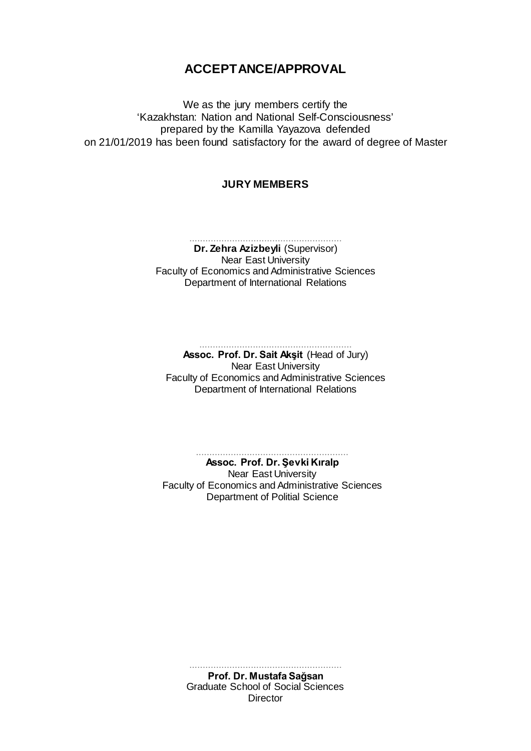# **ACCEPTANCE/APPROVAL**

We as the jury members certify the 'Kazakhstan: Nation and National Self-Consciousness' prepared by the Kamilla Yayazova defended on 21/01/2019 has been found satisfactory for the award of degree of Master

#### **JURY MEMBERS**

......................................................... **Dr. Zehra Azizbeyli** (Supervisor) Near East University Faculty of Economics and Administrative Sciences Department of International Relations

> ......................................................... **Assoc. Prof. Dr. Sait Akşit** (Head of Jury)

Near East University Faculty of Economics and Administrative Sciences Department of International Relations

......................................................... **Assoc. Prof. Dr. Şevki Kıralp** Near East University Faculty of Economics and Administrative Sciences Department of Politial Science

> ......................................................... **Prof. Dr. Mustafa Sağsan** Graduate School of Social Sciences **Director**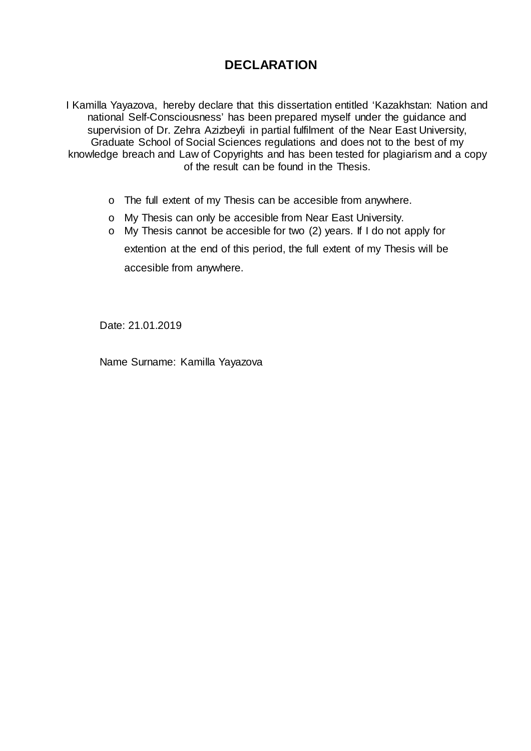# **DECLARATION**

I Kamilla Yayazova, hereby declare that this dissertation entitled 'Kazakhstan: Nation and national Self-Consciousness' has been prepared myself under the guidance and supervision of Dr. Zehra Azizbeyli in partial fulfilment of the Near East University, Graduate School of Social Sciences regulations and does not to the best of my knowledge breach and Law of Copyrights and has been tested for plagiarism and a copy of the result can be found in the Thesis.

- o The full extent of my Thesis can be accesible from anywhere.
- o My Thesis can only be accesible from Near East University.
- o My Thesis cannot be accesible for two (2) years. If I do not apply for extention at the end of this period, the full extent of my Thesis will be accesible from anywhere.

Date: 21.01.2019

Name Surname: Kamilla Yayazova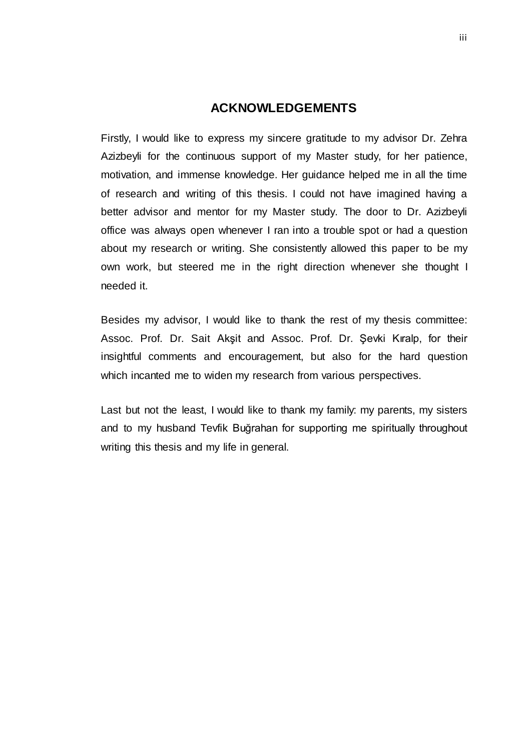## **ACKNOWLEDGEMENTS**

<span id="page-4-0"></span>Firstly, I would like to express my sincere gratitude to my advisor Dr. Zehra Azizbeyli for the continuous support of my Master study, for her patience, motivation, and immense knowledge. Her guidance helped me in all the time of research and writing of this thesis. I could not have imagined having a better advisor and mentor for my Master study. The door to Dr. Azizbeyli office was always open whenever I ran into a trouble spot or had a question about my research or writing. She consistently allowed this paper to be my own work, but steered me in the right direction whenever she thought I needed it.

Besides my advisor, I would like to thank the rest of my thesis committee: Assoc. Prof. Dr. Sait Akşit and Assoc. Prof. Dr. Şevki Kıralp, for their insightful comments and encouragement, but also for the hard question which incanted me to widen my research from various perspectives.

Last but not the least, I would like to thank my family: my parents, my sisters and to my husband Tevfik Buğrahan for supporting me spiritually throughout writing this thesis and my life in general.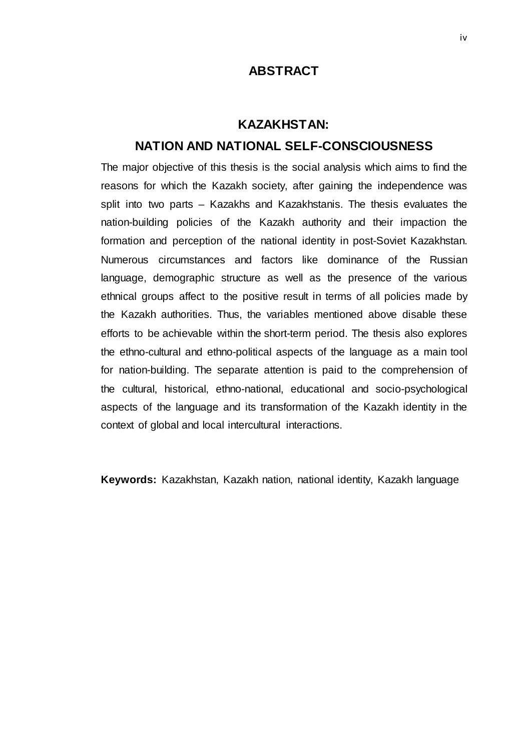## **ABSTRACT**

### **KAZAKHSTAN:**

# <span id="page-5-0"></span>**NATION AND NATIONAL SELF-CONSCIOUSNESS**

The major objective of this thesis is the social analysis which aims to find the reasons for which the Kazakh society, after gaining the independence was split into two parts – Kazakhs and Kazakhstanis. The thesis evaluates the nation-building policies of the Kazakh authority and their impaction the formation and perception of the national identity in post-Soviet Kazakhstan. Numerous circumstances and factors like dominance of the Russian language, demographic structure as well as the presence of the various ethnical groups affect to the positive result in terms of all policies made by the Kazakh authorities. Thus, the variables mentioned above disable these efforts to be achievable within the short-term period. The thesis also explores the ethno-cultural and ethno-political aspects of the language as a main tool for nation-building. The separate attention is paid to the comprehension of the cultural, historical, ethno-national, educational and socio-psychological aspects of the language and its transformation of the Kazakh identity in the context of global and local intercultural interactions.

**Keywords:** Kazakhstan, Kazakh nation, national identity, Kazakh language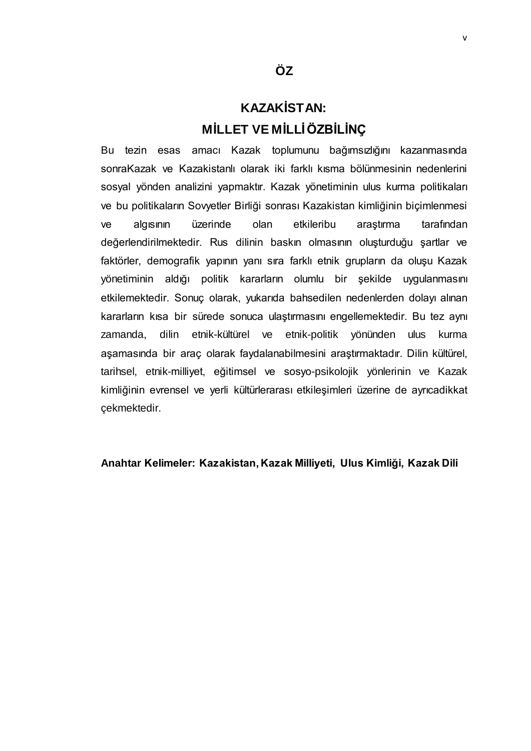# **KAZAKİSTAN: MİLLET VE MİLLİÖZBİLİNÇ**

<span id="page-6-0"></span>Bu tezin esas amacı Kazak toplumunu bağımsızlığını kazanmasında sonraKazak ve Kazakistanlı olarak iki farklı kısma bölünmesinin nedenlerini sosyal yönden analizini yapmaktır. Kazak yönetiminin ulus kurma politikaları ve bu politikaların Sovyetler Birliği sonrası Kazakistan kimliğinin biçimlenmesi ve algısının üzerinde olan etkileribu araştırma tarafından değerlendirilmektedir. Rus dilinin baskın olmasının oluşturduğu şartlar ve faktörler, demografik yapının yanı sıra farklı etnik grupların da oluşu Kazak yönetiminin aldığı politik kararların olumlu bir şekilde uygulanmasını etkilemektedir. Sonuç olarak, yukarıda bahsedilen nedenlerden dolayı alınan kararların kısa bir sürede sonuca ulaştırmasını engellemektedir. Bu tez aynı zamanda, dilin etnik-kültürel ve etnik-politik yönünden ulus kurma aşamasında bir araç olarak faydalanabilmesini araştırmaktadır. Dilin kültürel, tarihsel, etnik-milliyet, eğitimsel ve sosyo-psikolojik yönlerinin ve Kazak kimliğinin evrensel ve yerli kültürlerarası etkileşimleri üzerine de ayrıcadikkat çekmektedir.

#### **Anahtar Kelimeler: Kazakistan, Kazak Milliyeti, Ulus Kimliği, Kazak Dili**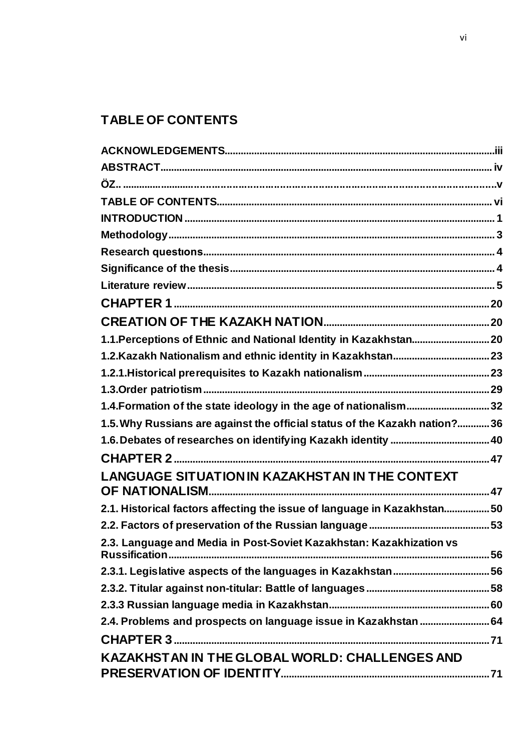# <span id="page-7-0"></span>**TABLE OF CONTENTS**

| 1.1. Perceptions of Ethnic and National Identity in Kazakhstan 20          |  |
|----------------------------------------------------------------------------|--|
|                                                                            |  |
|                                                                            |  |
|                                                                            |  |
| 1.4. Formation of the state ideology in the age of nationalism 32          |  |
| 1.5. Why Russians are against the official status of the Kazakh nation? 36 |  |
|                                                                            |  |
|                                                                            |  |
| <b>LANGUAGE SITUATION IN KAZAKHSTAN IN THE CONTEXT</b>                     |  |
| 2.1. Historical factors affecting the issue of language in Kazakhstan50    |  |
|                                                                            |  |
| 2.3. Language and Media in Post-Soviet Kazakhstan: Kazakhization vs        |  |
|                                                                            |  |
|                                                                            |  |
|                                                                            |  |
| 2.4. Problems and prospects on language issue in Kazakhstan  64            |  |
|                                                                            |  |
| KAZAKHSTAN IN THE GLOBAL WORLD: CHALLENGES AND                             |  |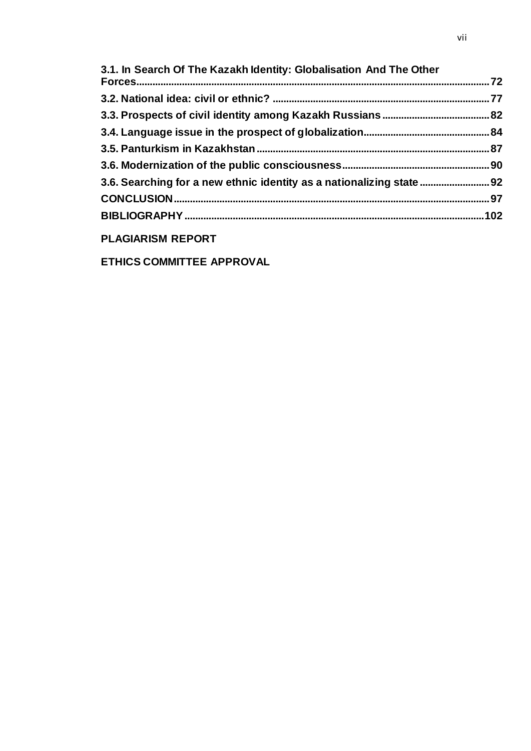| 3.1. In Search Of The Kazakh Identity: Globalisation And The Other    |  |
|-----------------------------------------------------------------------|--|
|                                                                       |  |
|                                                                       |  |
|                                                                       |  |
|                                                                       |  |
|                                                                       |  |
| 3.6. Searching for a new ethnic identity as a nationalizing state  92 |  |
|                                                                       |  |
|                                                                       |  |
|                                                                       |  |

# **PLAGIARISM REPORT**

**ETHICS COMMITTEE APPROVAL**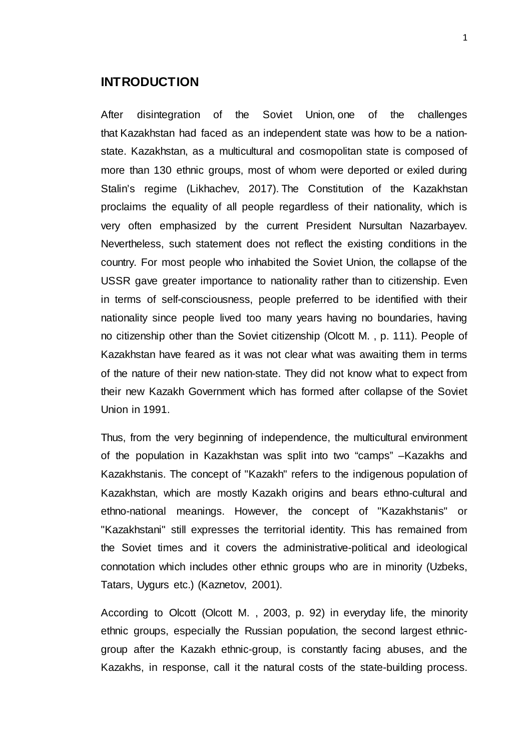### <span id="page-9-0"></span>**INTRODUCTION**

After disintegration of the Soviet Union, one of the challenges that Kazakhstan had faced as an independent state was how to be a nationstate. Kazakhstan, as a multicultural and cosmopolitan state is composed of more than 130 ethnic groups, most of whom were deported or exiled during Stalin's regime (Likhachev, 2017). The Constitution of the Kazakhstan proclaims the equality of all people regardless of their nationality, which is very often emphasized by the current President Nursultan Nazarbayev. Nevertheless, such statement does not reflect the existing conditions in the country. For most people who inhabited the Soviet Union, the collapse of the USSR gave greater importance to nationality rather than to citizenship. Even in terms of self-consciousness, people preferred to be identified with their nationality since people lived too many years having no boundaries, having no citizenship other than the Soviet citizenship (Olcott M. , p. 111). People of Kazakhstan have feared as it was not clear what was awaiting them in terms of the nature of their new nation-state. They did not know what to expect from their new Kazakh Government which has formed after collapse of the Soviet Union in 1991.

Thus, from the very beginning of independence, the multicultural environment of the population in Kazakhstan was split into two "camps" –Kazakhs and Kazakhstanis. The concept of "Kazakh" refers to the indigenous population of Kazakhstan, which are mostly Kazakh origins and bears ethno-cultural and ethno-national meanings. However, the concept of "Kazakhstanis" or "Kazakhstani" still expresses the territorial identity. This has remained from the Soviet times and it covers the administrative-political and ideological connotation which includes other ethnic groups who are in minority (Uzbeks, Tatars, Uygurs etc.) (Kaznetov, 2001).

According to Olcott (Olcott M. , 2003, p. 92) in everyday life, the minority ethnic groups, especially the Russian population, the second largest ethnicgroup after the Kazakh ethnic-group, is constantly facing abuses, and the Kazakhs, in response, call it the natural costs of the state-building process.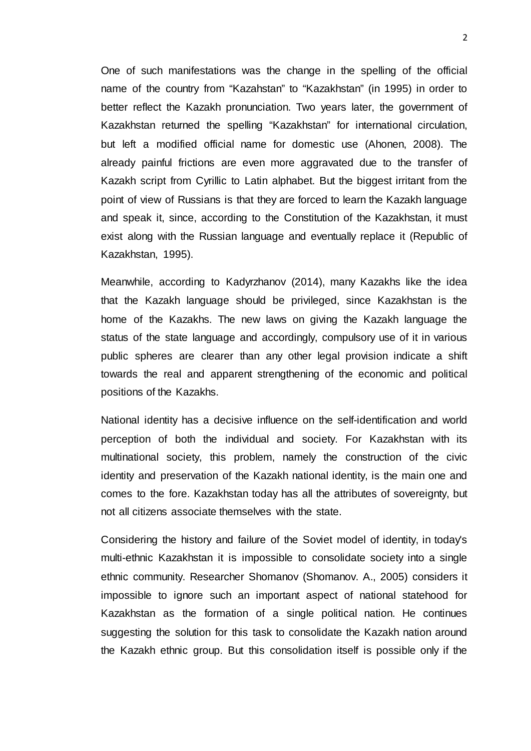One of such manifestations was the change in the spelling of the official name of the country from "Kazahstan" to "Kazakhstan" (in 1995) in order to better reflect the Kazakh pronunciation. Two years later, the government of Kazakhstan returned the spelling "Kazakhstan" for international circulation, but left a modified official name for domestic use (Ahonen, 2008). The already painful frictions are even more aggravated due to the transfer of Kazakh script from Cyrillic to Latin alphabet. But the biggest irritant from the point of view of Russians is that they are forced to learn the Kazakh language and speak it, since, according to the Constitution of the Kazakhstan, it must exist along with the Russian language and eventually replace it (Republic of Kazakhstan, 1995).

Meanwhile, according to Kadyrzhanov (2014), many Kazakhs like the idea that the Kazakh language should be privileged, since Kazakhstan is the home of the Kazakhs. The new laws on giving the Kazakh language the status of the state language and accordingly, compulsory use of it in various public spheres are clearer than any other legal provision indicate a shift towards the real and apparent strengthening of the economic and political positions of the Kazakhs.

National identity has a decisive influence on the self-identification and world perception of both the individual and society. For Kazakhstan with its multinational society, this problem, namely the construction of the civic identity and preservation of the Kazakh national identity, is the main one and comes to the fore. Kazakhstan today has all the attributes of sovereignty, but not all citizens associate themselves with the state.

Considering the history and failure of the Soviet model of identity, in today's multi-ethnic Kazakhstan it is impossible to consolidate society into a single ethnic community. Researcher Shomanov (Shomanov. A., 2005) considers it impossible to ignore such an important aspect of national statehood for Kazakhstan as the formation of a single political nation. He continues suggesting the solution for this task to consolidate the Kazakh nation around the Kazakh ethnic group. But this consolidation itself is possible only if the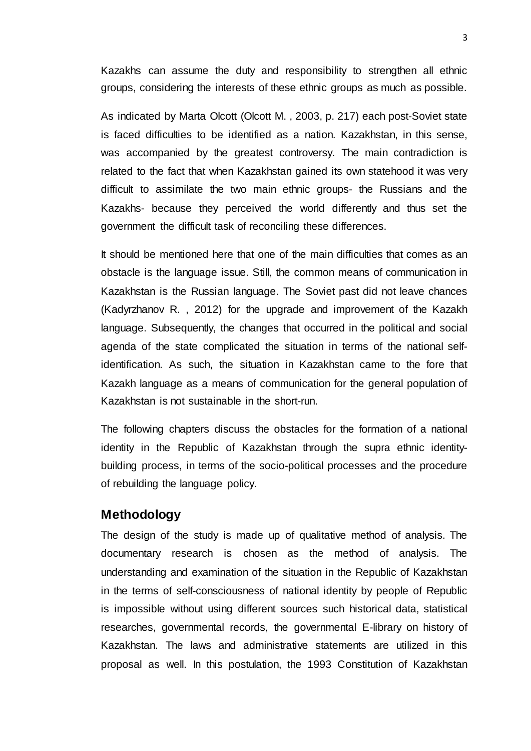Kazakhs can assume the duty and responsibility to strengthen all ethnic groups, considering the interests of these ethnic groups as much as possible.

As indicated by Marta Olcott (Olcott M. , 2003, p. 217) each post-Soviet state is faced difficulties to be identified as a nation. Kazakhstan, in this sense, was accompanied by the greatest controversy. The main contradiction is related to the fact that when Kazakhstan gained its own statehood it was very difficult to assimilate the two main ethnic groups- the Russians and the Kazakhs- because they perceived the world differently and thus set the government the difficult task of reconciling these differences.

It should be mentioned here that one of the main difficulties that comes as an obstacle is the language issue. Still, the common means of communication in Kazakhstan is the Russian language. The Soviet past did not leave chances (Kadyrzhanov R. , 2012) for the upgrade and improvement of the Kazakh language. Subsequently, the changes that occurred in the political and social agenda of the state complicated the situation in terms of the national selfidentification. As such, the situation in Kazakhstan came to the fore that Kazakh language as a means of communication for the general population of Kazakhstan is not sustainable in the short-run.

The following chapters discuss the obstacles for the formation of a national identity in the Republic of Kazakhstan through the supra ethnic identitybuilding process, in terms of the socio-political processes and the procedure of rebuilding the language policy.

# <span id="page-11-0"></span>**Methodology**

The design of the study is made up of qualitative method of analysis. The documentary research is chosen as the method of analysis. The understanding and examination of the situation in the Republic of Kazakhstan in the terms of self-consciousness of national identity by people of Republic is impossible without using different sources such historical data, statistical researches, governmental records, the governmental E-library on history of Kazakhstan. The laws and administrative statements are utilized in this proposal as well. In this postulation, the 1993 Constitution of Kazakhstan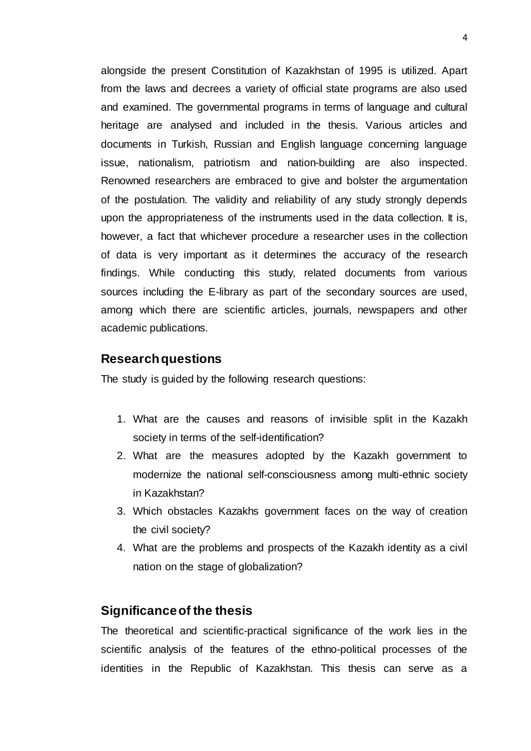alongside the present Constitution of Kazakhstan of 1995 is utilized. Apart from the laws and decrees a variety of official state programs are also used and examined. The governmental programs in terms of language and cultural heritage are analysed and included in the thesis. Various articles and documents in Turkish, Russian and English language concerning language issue, nationalism, patriotism and nation-building are also inspected. Renowned researchers are embraced to give and bolster the argumentation of the postulation. The validity and reliability of any study strongly depends upon the appropriateness of the instruments used in the data collection. It is, however, a fact that whichever procedure a researcher uses in the collection of data is very important as it determines the accuracy of the research findings. While conducting this study, related documents from various sources including the E-library as part of the secondary sources are used, among which there are scientific articles, journals, newspapers and other academic publications.

### <span id="page-12-0"></span>**Research questions**

The study is guided by the following research questions:

- 1. What are the causes and reasons of invisible split in the Kazakh society in terms of the self-identification?
- 2. What are the measures adopted by the Kazakh government to modernize the national self-consciousness among multi-ethnic society in Kazakhstan?
- 3. Which obstacles Kazakhs government faces on the way of creation the civil society?
- 4. What are the problems and prospects of the Kazakh identity as a civil nation on the stage of globalization?

#### <span id="page-12-1"></span>**Significance of the thesis**

The theoretical and scientific-practical significance of the work lies in the scientific analysis of the features of the ethno-political processes of the identities in the Republic of Kazakhstan. This thesis can serve as a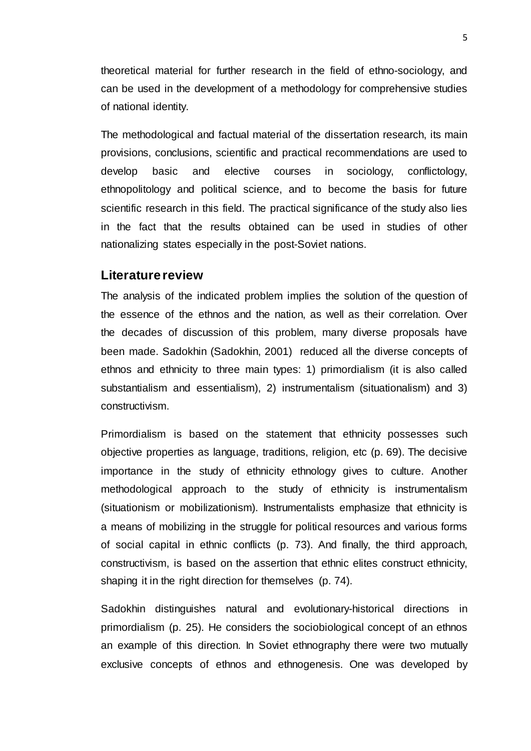theoretical material for further research in the field of ethno-sociology, and can be used in the development of a methodology for comprehensive studies of national identity.

The methodological and factual material of the dissertation research, its main provisions, conclusions, scientific and practical recommendations are used to develop basic and elective courses in sociology, conflictology, ethnopolitology and political science, and to become the basis for future scientific research in this field. The practical significance of the study also lies in the fact that the results obtained can be used in studies of other nationalizing states especially in the post-Soviet nations.

#### <span id="page-13-0"></span>**Literature review**

The analysis of the indicated problem implies the solution of the question of the essence of the ethnos and the nation, as well as their correlation. Over the decades of discussion of this problem, many diverse proposals have been made. Sadokhin (Sadokhin, 2001) reduced all the diverse concepts of ethnos and ethnicity to three main types: 1) primordialism (it is also called substantialism and essentialism), 2) instrumentalism (situationalism) and 3) constructivism.

Primordialism is based on the statement that ethnicity possesses such objective properties as language, traditions, religion, etc (p. 69). The decisive importance in the study of ethnicity ethnology gives to culture. Another methodological approach to the study of ethnicity is instrumentalism (situationism or mobilizationism). Instrumentalists emphasize that ethnicity is a means of mobilizing in the struggle for political resources and various forms of social capital in ethnic conflicts (p. 73). And finally, the third approach, constructivism, is based on the assertion that ethnic elites construct ethnicity, shaping it in the right direction for themselves (p. 74).

Sadokhin distinguishes natural and evolutionary-historical directions in primordialism (p. 25). He considers the sociobiological concept of an ethnos an example of this direction. In Soviet ethnography there were two mutually exclusive concepts of ethnos and ethnogenesis. One was developed by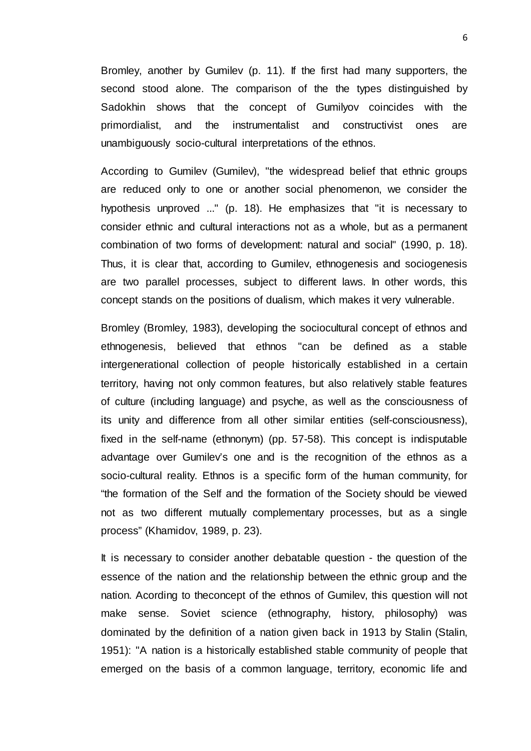Bromley, another by Gumilev (p. 11). If the first had many supporters, the second stood alone. The comparison of the the types distinguished by Sadokhin shows that the concept of Gumilyov coincides with the primordialist, and the instrumentalist and constructivist ones are unambiguously socio-cultural interpretations of the ethnos.

According to Gumilev (Gumilev), "the widespread belief that ethnic groups are reduced only to one or another social phenomenon, we consider the hypothesis unproved ..." (p. 18). He emphasizes that "it is necessary to consider ethnic and cultural interactions not as a whole, but as a permanent combination of two forms of development: natural and social" (1990, p. 18). Thus, it is clear that, according to Gumilev, ethnogenesis and sociogenesis are two parallel processes, subject to different laws. In other words, this concept stands on the positions of dualism, which makes it very vulnerable.

Bromley (Bromley, 1983), developing the sociocultural concept of ethnos and ethnogenesis, believed that ethnos "can be defined as a stable intergenerational collection of people historically established in a certain territory, having not only common features, but also relatively stable features of culture (including language) and psyche, as well as the consciousness of its unity and difference from all other similar entities (self-consciousness), fixed in the self-name (ethnonym) (pp. 57-58). This concept is indisputable advantage over Gumilev's one and is the recognition of the ethnos as a socio-cultural reality. Ethnos is a specific form of the human community, for "the formation of the Self and the formation of the Society should be viewed not as two different mutually complementary processes, but as a single process" (Khamidov, 1989, p. 23).

It is necessary to consider another debatable question - the question of the essence of the nation and the relationship between the ethnic group and the nation. Acording to theconcept of the ethnos of Gumilev, this question will not make sense. Soviet science (ethnography, history, philosophy) was dominated by the definition of a nation given back in 1913 by Stalin (Stalin, 1951): "A nation is a historically established stable community of people that emerged on the basis of a common language, territory, economic life and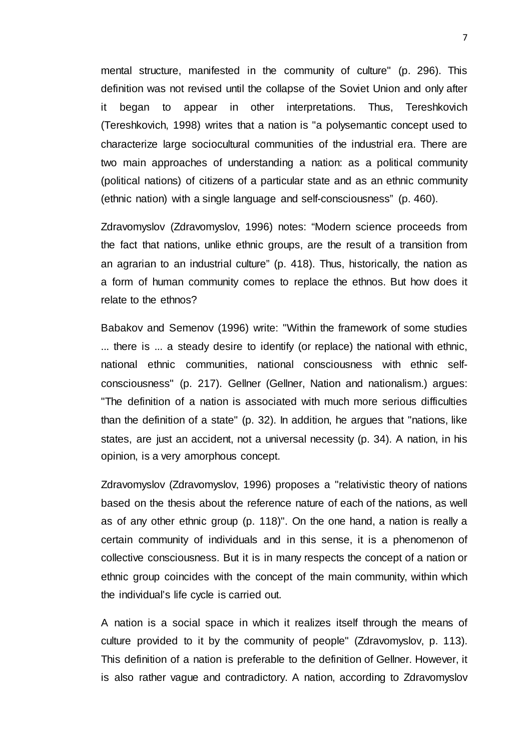mental structure, manifested in the community of culture" (p. 296). This definition was not revised until the collapse of the Soviet Union and only after it began to appear in other interpretations. Thus, Tereshkovich (Tereshkovich, 1998) writes that a nation is "a polysemantic concept used to characterize large sociocultural communities of the industrial era. There are two main approaches of understanding a nation: as a political community (political nations) of citizens of a particular state and as an ethnic community (ethnic nation) with a single language and self-consciousness" (p. 460).

Zdravomyslov (Zdravomyslov, 1996) notes: "Modern science proceeds from the fact that nations, unlike ethnic groups, are the result of a transition from an agrarian to an industrial culture" (p. 418). Thus, historically, the nation as a form of human community comes to replace the ethnos. But how does it relate to the ethnos?

Babakov and Semenov (1996) write: "Within the framework of some studies ... there is ... a steady desire to identify (or replace) the national with ethnic, national ethnic communities, national consciousness with ethnic selfconsciousness" (p. 217). Gellner (Gellner, Nation and nationalism.) argues: "The definition of a nation is associated with much more serious difficulties than the definition of a state" (p. 32). In addition, he argues that "nations, like states, are just an accident, not a universal necessity (p. 34). A nation, in his opinion, is a very amorphous concept.

Zdravomyslov (Zdravomyslov, 1996) proposes a "relativistic theory of nations based on the thesis about the reference nature of each of the nations, as well as of any other ethnic group (p. 118)". On the one hand, a nation is really a certain community of individuals and in this sense, it is a phenomenon of collective consciousness. But it is in many respects the concept of a nation or ethnic group coincides with the concept of the main community, within which the individual's life cycle is carried out.

A nation is a social space in which it realizes itself through the means of culture provided to it by the community of people" (Zdravomyslov, p. 113). This definition of a nation is preferable to the definition of Gellner. However, it is also rather vague and contradictory. A nation, according to Zdravomyslov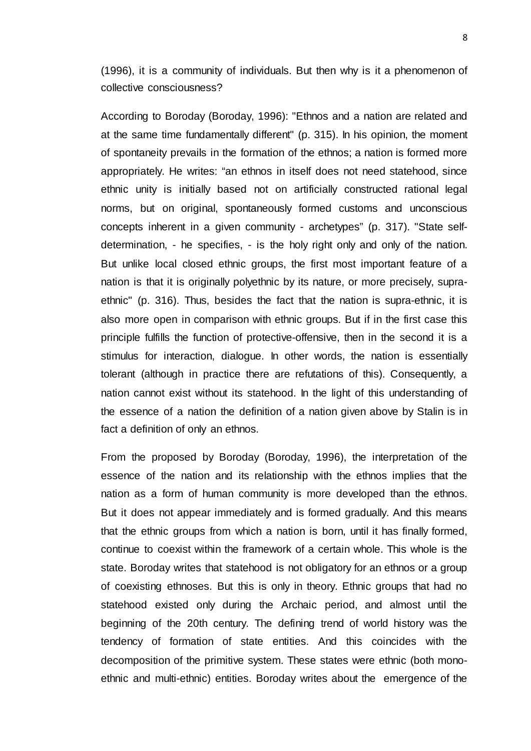(1996), it is a community of individuals. But then why is it a phenomenon of collective consciousness?

According to Boroday (Boroday, 1996): "Ethnos and a nation are related and at the same time fundamentally different" (p. 315). In his opinion, the moment of spontaneity prevails in the formation of the ethnos; a nation is formed more appropriately. He writes: "an ethnos in itself does not need statehood, since ethnic unity is initially based not on artificially constructed rational legal norms, but on original, spontaneously formed customs and unconscious concepts inherent in a given community - archetypes" (p. 317). "State selfdetermination, - he specifies, - is the holy right only and only of the nation. But unlike local closed ethnic groups, the first most important feature of a nation is that it is originally polyethnic by its nature, or more precisely, supraethnic" (p. 316). Thus, besides the fact that the nation is supra-ethnic, it is also more open in comparison with ethnic groups. But if in the first case this principle fulfills the function of protective-offensive, then in the second it is a stimulus for interaction, dialogue. In other words, the nation is essentially tolerant (although in practice there are refutations of this). Consequently, a nation cannot exist without its statehood. In the light of this understanding of the essence of a nation the definition of a nation given above by Stalin is in fact a definition of only an ethnos.

From the proposed by Boroday (Boroday, 1996), the interpretation of the essence of the nation and its relationship with the ethnos implies that the nation as a form of human community is more developed than the ethnos. But it does not appear immediately and is formed gradually. And this means that the ethnic groups from which a nation is born, until it has finally formed, continue to coexist within the framework of a certain whole. This whole is the state. Boroday writes that statehood is not obligatory for an ethnos or a group of coexisting ethnoses. But this is only in theory. Ethnic groups that had no statehood existed only during the Archaic period, and almost until the beginning of the 20th century. The defining trend of world history was the tendency of formation of state entities. And this coincides with the decomposition of the primitive system. These states were ethnic (both monoethnic and multi-ethnic) entities. Boroday writes about the emergence of the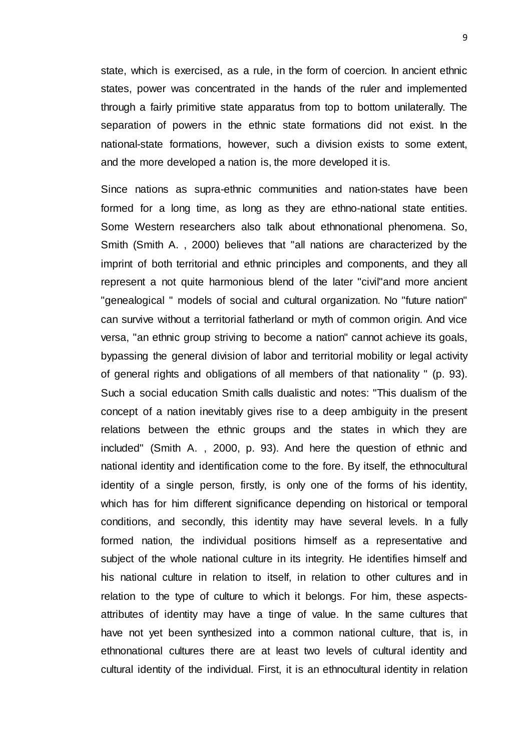state, which is exercised, as a rule, in the form of coercion. In ancient ethnic states, power was concentrated in the hands of the ruler and implemented through a fairly primitive state apparatus from top to bottom unilaterally. The separation of powers in the ethnic state formations did not exist. In the national-state formations, however, such a division exists to some extent, and the more developed a nation is, the more developed it is.

Since nations as supra-ethnic communities and nation-states have been formed for a long time, as long as they are ethno-national state entities. Some Western researchers also talk about ethnonational phenomena. So, Smith (Smith A. , 2000) believes that "all nations are characterized by the imprint of both territorial and ethnic principles and components, and they all represent a not quite harmonious blend of the later "civil"and more ancient "genealogical " models of social and cultural organization. No "future nation" can survive without a territorial fatherland or myth of common origin. And vice versa, "an ethnic group striving to become a nation" cannot achieve its goals, bypassing the general division of labor and territorial mobility or legal activity of general rights and obligations of all members of that nationality " (p. 93). Such a social education Smith calls dualistic and notes: "This dualism of the concept of a nation inevitably gives rise to a deep ambiguity in the present relations between the ethnic groups and the states in which they are included" (Smith A. , 2000, p. 93). And here the question of ethnic and national identity and identification come to the fore. By itself, the ethnocultural identity of a single person, firstly, is only one of the forms of his identity, which has for him different significance depending on historical or temporal conditions, and secondly, this identity may have several levels. In a fully formed nation, the individual positions himself as a representative and subject of the whole national culture in its integrity. He identifies himself and his national culture in relation to itself, in relation to other cultures and in relation to the type of culture to which it belongs. For him, these aspectsattributes of identity may have a tinge of value. In the same cultures that have not yet been synthesized into a common national culture, that is, in ethnonational cultures there are at least two levels of cultural identity and cultural identity of the individual. First, it is an ethnocultural identity in relation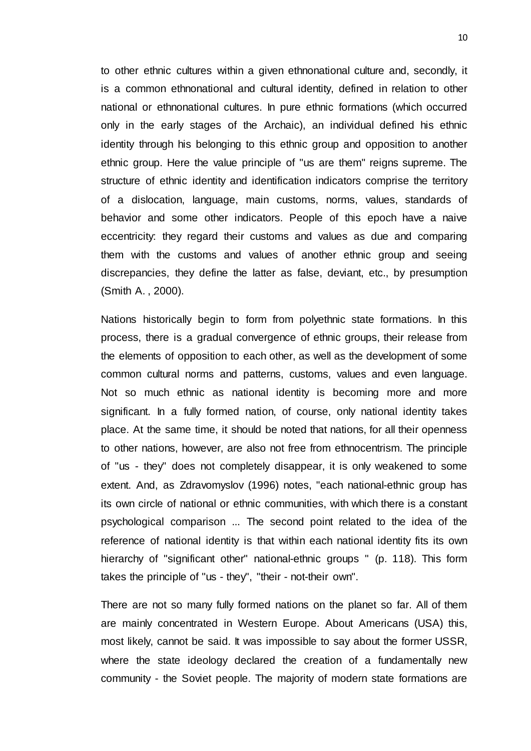to other ethnic cultures within a given ethnonational culture and, secondly, it is a common ethnonational and cultural identity, defined in relation to other national or ethnonational cultures. In pure ethnic formations (which occurred only in the early stages of the Archaic), an individual defined his ethnic identity through his belonging to this ethnic group and opposition to another ethnic group. Here the value principle of "us are them" reigns supreme. The structure of ethnic identity and identification indicators comprise the territory of a dislocation, language, main customs, norms, values, standards of behavior and some other indicators. People of this epoch have a naive eccentricity: they regard their customs and values as due and comparing them with the customs and values of another ethnic group and seeing discrepancies, they define the latter as false, deviant, etc., by presumption (Smith A. , 2000).

Nations historically begin to form from polyethnic state formations. In this process, there is a gradual convergence of ethnic groups, their release from the elements of opposition to each other, as well as the development of some common cultural norms and patterns, customs, values and even language. Not so much ethnic as national identity is becoming more and more significant. In a fully formed nation, of course, only national identity takes place. At the same time, it should be noted that nations, for all their openness to other nations, however, are also not free from ethnocentrism. The principle of "us - they" does not completely disappear, it is only weakened to some extent. And, as Zdravomyslov (1996) notes, "each national-ethnic group has its own circle of national or ethnic communities, with which there is a constant psychological comparison ... The second point related to the idea of the reference of national identity is that within each national identity fits its own hierarchy of "significant other" national-ethnic groups " (p. 118). This form takes the principle of "us - they", "their - not-their own".

There are not so many fully formed nations on the planet so far. All of them are mainly concentrated in Western Europe. About Americans (USA) this, most likely, cannot be said. It was impossible to say about the former USSR, where the state ideology declared the creation of a fundamentally new community - the Soviet people. The majority of modern state formations are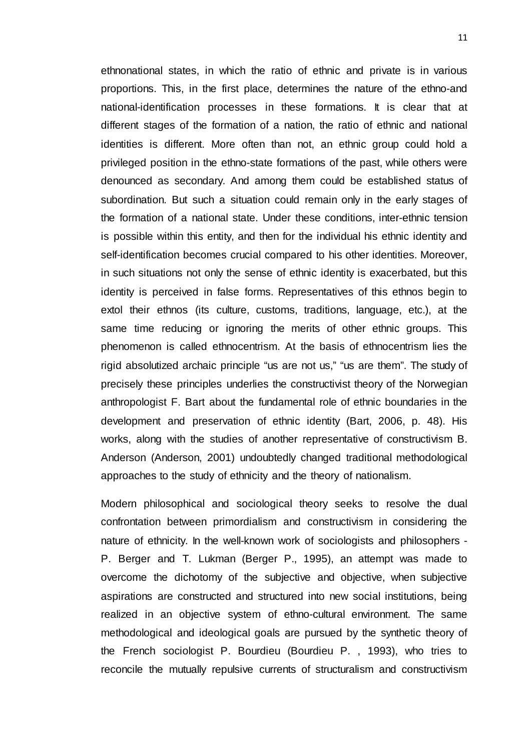ethnonational states, in which the ratio of ethnic and private is in various proportions. This, in the first place, determines the nature of the ethno-and national-identification processes in these formations. It is clear that at different stages of the formation of a nation, the ratio of ethnic and national identities is different. More often than not, an ethnic group could hold a privileged position in the ethno-state formations of the past, while others were denounced as secondary. And among them could be established status of subordination. But such a situation could remain only in the early stages of the formation of a national state. Under these conditions, inter-ethnic tension is possible within this entity, and then for the individual his ethnic identity and self-identification becomes crucial compared to his other identities. Moreover, in such situations not only the sense of ethnic identity is exacerbated, but this identity is perceived in false forms. Representatives of this ethnos begin to extol their ethnos (its culture, customs, traditions, language, etc.), at the same time reducing or ignoring the merits of other ethnic groups. This phenomenon is called ethnocentrism. At the basis of ethnocentrism lies the rigid absolutized archaic principle "us are not us," "us are them". The study of precisely these principles underlies the constructivist theory of the Norwegian anthropologist F. Bart about the fundamental role of ethnic boundaries in the development and preservation of ethnic identity (Bart, 2006, p. 48). His works, along with the studies of another representative of constructivism B. Anderson (Anderson, 2001) undoubtedly changed traditional methodological approaches to the study of ethnicity and the theory of nationalism.

Modern philosophical and sociological theory seeks to resolve the dual confrontation between primordialism and constructivism in considering the nature of ethnicity. In the well-known work of sociologists and philosophers - P. Berger and T. Lukman (Berger P., 1995), an attempt was made to overcome the dichotomy of the subjective and objective, when subjective aspirations are constructed and structured into new social institutions, being realized in an objective system of ethno-cultural environment. The same methodological and ideological goals are pursued by the synthetic theory of the French sociologist P. Bourdieu (Bourdieu P. , 1993), who tries to reconcile the mutually repulsive currents of structuralism and constructivism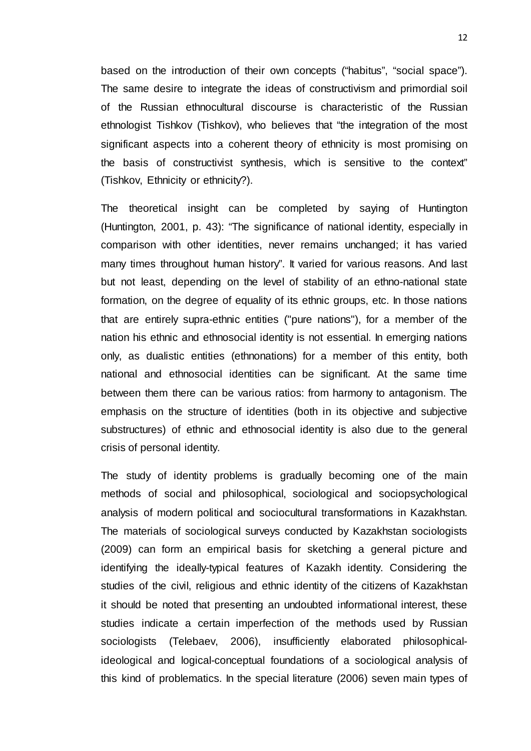based on the introduction of their own concepts ("habitus", "social space"). The same desire to integrate the ideas of constructivism and primordial soil of the Russian ethnocultural discourse is characteristic of the Russian ethnologist Tishkov (Tishkov), who believes that "the integration of the most significant aspects into a coherent theory of ethnicity is most promising on the basis of constructivist synthesis, which is sensitive to the context" (Tishkov, Ethnicity or ethnicity?).

The theoretical insight can be completed by saying of Huntington (Huntington, 2001, p. 43): "The significance of national identity, especially in comparison with other identities, never remains unchanged; it has varied many times throughout human history". It varied for various reasons. And last but not least, depending on the level of stability of an ethno-national state formation, on the degree of equality of its ethnic groups, etc. In those nations that are entirely supra-ethnic entities ("pure nations"), for a member of the nation his ethnic and ethnosocial identity is not essential. In emerging nations only, as dualistic entities (ethnonations) for a member of this entity, both national and ethnosocial identities can be significant. At the same time between them there can be various ratios: from harmony to antagonism. The emphasis on the structure of identities (both in its objective and subjective substructures) of ethnic and ethnosocial identity is also due to the general crisis of personal identity.

The study of identity problems is gradually becoming one of the main methods of social and philosophical, sociological and sociopsychological analysis of modern political and sociocultural transformations in Kazakhstan. The materials of sociological surveys conducted by Kazakhstan sociologists (2009) can form an empirical basis for sketching a general picture and identifying the ideally-typical features of Kazakh identity. Considering the studies of the civil, religious and ethnic identity of the citizens of Kazakhstan it should be noted that presenting an undoubted informational interest, these studies indicate a certain imperfection of the methods used by Russian sociologists (Telebaev, 2006), insufficiently elaborated philosophicalideological and logical-conceptual foundations of a sociological analysis of this kind of problematics. In the special literature (2006) seven main types of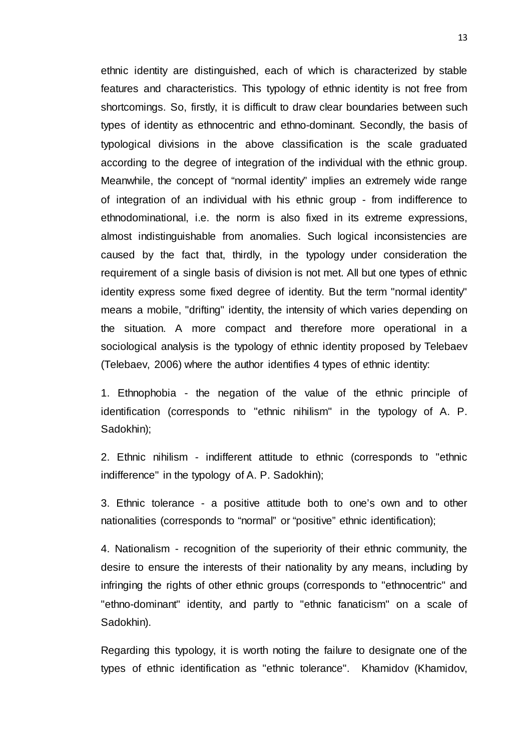ethnic identity are distinguished, each of which is characterized by stable features and characteristics. This typology of ethnic identity is not free from shortcomings. So, firstly, it is difficult to draw clear boundaries between such types of identity as ethnocentric and ethno-dominant. Secondly, the basis of typological divisions in the above classification is the scale graduated according to the degree of integration of the individual with the ethnic group. Meanwhile, the concept of "normal identity" implies an extremely wide range of integration of an individual with his ethnic group - from indifference to ethnodominational, i.e. the norm is also fixed in its extreme expressions, almost indistinguishable from anomalies. Such logical inconsistencies are caused by the fact that, thirdly, in the typology under consideration the requirement of a single basis of division is not met. All but one types of ethnic identity express some fixed degree of identity. But the term "normal identity" means a mobile, "drifting" identity, the intensity of which varies depending on the situation. A more compact and therefore more operational in a sociological analysis is the typology of ethnic identity proposed by Telebaev (Telebaev, 2006) where the author identifies 4 types of ethnic identity:

1. Ethnophobia - the negation of the value of the ethnic principle of identification (corresponds to "ethnic nihilism" in the typology of A. P. Sadokhin);

2. Ethnic nihilism - indifferent attitude to ethnic (corresponds to "ethnic indifference" in the typology of A. P. Sadokhin);

3. Ethnic tolerance - a positive attitude both to one's own and to other nationalities (corresponds to "normal" or "positive" ethnic identification);

4. Nationalism - recognition of the superiority of their ethnic community, the desire to ensure the interests of their nationality by any means, including by infringing the rights of other ethnic groups (corresponds to "ethnocentric" and "ethno-dominant" identity, and partly to "ethnic fanaticism" on a scale of Sadokhin).

Regarding this typology, it is worth noting the failure to designate one of the types of ethnic identification as "ethnic tolerance". Khamidov (Khamidov,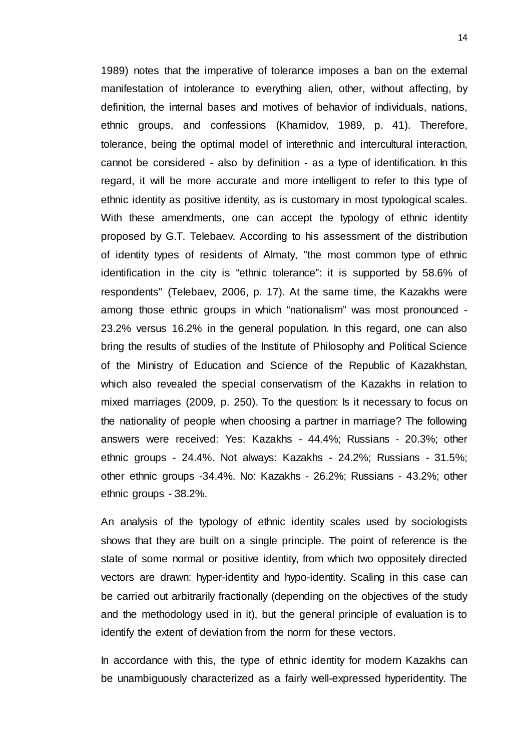1989) notes that the imperative of tolerance imposes a ban on the external manifestation of intolerance to everything alien, other, without affecting, by definition, the internal bases and motives of behavior of individuals, nations, ethnic groups, and confessions (Khamidov, 1989, p. 41). Therefore, tolerance, being the optimal model of interethnic and intercultural interaction, cannot be considered - also by definition - as a type of identification. In this regard, it will be more accurate and more intelligent to refer to this type of ethnic identity as positive identity, as is customary in most typological scales. With these amendments, one can accept the typology of ethnic identity proposed by G.T. Telebaev. According to his assessment of the distribution of identity types of residents of Almaty, "the most common type of ethnic identification in the city is "ethnic tolerance": it is supported by 58.6% of respondents" (Telebaev, 2006, p. 17). At the same time, the Kazakhs were among those ethnic groups in which "nationalism" was most pronounced - 23.2% versus 16.2% in the general population. In this regard, one can also bring the results of studies of the Institute of Philosophy and Political Science of the Ministry of Education and Science of the Republic of Kazakhstan, which also revealed the special conservatism of the Kazakhs in relation to mixed marriages (2009, p. 250). To the question: Is it necessary to focus on the nationality of people when choosing a partner in marriage? The following answers were received: Yes: Kazakhs - 44.4%; Russians - 20.3%; other ethnic groups - 24.4%. Not always: Kazakhs - 24.2%; Russians - 31.5%; other ethnic groups -34.4%. No: Kazakhs - 26.2%; Russians - 43.2%; other ethnic groups - 38.2%.

An analysis of the typology of ethnic identity scales used by sociologists shows that they are built on a single principle. The point of reference is the state of some normal or positive identity, from which two oppositely directed vectors are drawn: hyper-identity and hypo-identity. Scaling in this case can be carried out arbitrarily fractionally (depending on the objectives of the study and the methodology used in it), but the general principle of evaluation is to identify the extent of deviation from the norm for these vectors.

In accordance with this, the type of ethnic identity for modern Kazakhs can be unambiguously characterized as a fairly well-expressed hyperidentity. The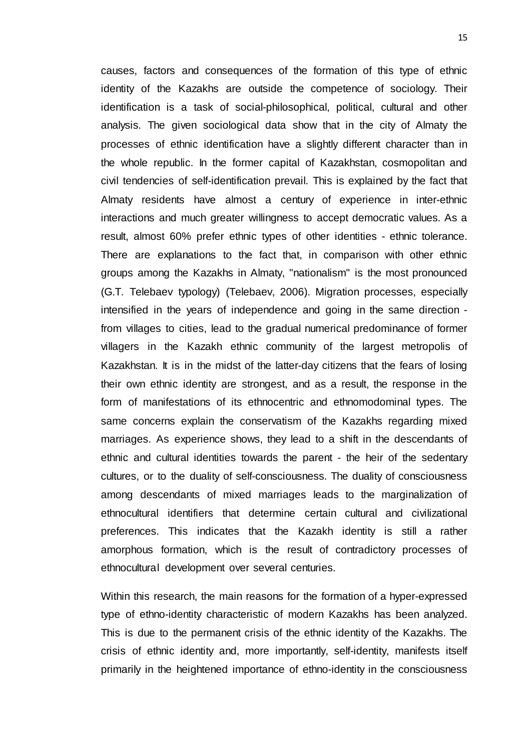causes, factors and consequences of the formation of this type of ethnic identity of the Kazakhs are outside the competence of sociology. Their identification is a task of social-philosophical, political, cultural and other analysis. The given sociological data show that in the city of Almaty the processes of ethnic identification have a slightly different character than in the whole republic. In the former capital of Kazakhstan, cosmopolitan and civil tendencies of self-identification prevail. This is explained by the fact that Almaty residents have almost a century of experience in inter-ethnic interactions and much greater willingness to accept democratic values. As a result, almost 60% prefer ethnic types of other identities - ethnic tolerance. There are explanations to the fact that, in comparison with other ethnic groups among the Kazakhs in Almaty, "nationalism" is the most pronounced (G.T. Telebaev typology) (Telebaev, 2006). Migration processes, especially intensified in the years of independence and going in the same direction from villages to cities, lead to the gradual numerical predominance of former villagers in the Kazakh ethnic community of the largest metropolis of Kazakhstan. It is in the midst of the latter-day citizens that the fears of losing their own ethnic identity are strongest, and as a result, the response in the form of manifestations of its ethnocentric and ethnomodominal types. The same concerns explain the conservatism of the Kazakhs regarding mixed marriages. As experience shows, they lead to a shift in the descendants of ethnic and cultural identities towards the parent - the heir of the sedentary cultures, or to the duality of self-consciousness. The duality of consciousness among descendants of mixed marriages leads to the marginalization of ethnocultural identifiers that determine certain cultural and civilizational preferences. This indicates that the Kazakh identity is still a rather amorphous formation, which is the result of contradictory processes of ethnocultural development over several centuries.

Within this research, the main reasons for the formation of a hyper-expressed type of ethno-identity characteristic of modern Kazakhs has been analyzed. This is due to the permanent crisis of the ethnic identity of the Kazakhs. The crisis of ethnic identity and, more importantly, self-identity, manifests itself primarily in the heightened importance of ethno-identity in the consciousness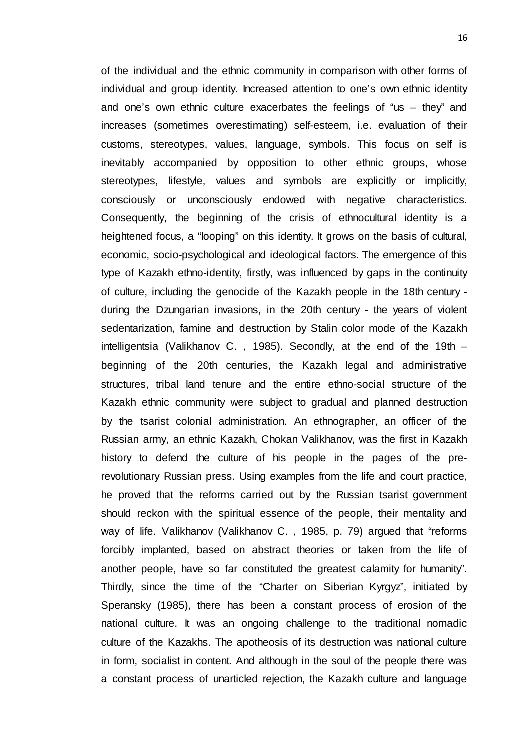of the individual and the ethnic community in comparison with other forms of individual and group identity. Increased attention to one's own ethnic identity and one's own ethnic culture exacerbates the feelings of "us  $-$  they" and increases (sometimes overestimating) self-esteem, i.e. evaluation of their customs, stereotypes, values, language, symbols. This focus on self is inevitably accompanied by opposition to other ethnic groups, whose stereotypes, lifestyle, values and symbols are explicitly or implicitly, consciously or unconsciously endowed with negative characteristics. Consequently, the beginning of the crisis of ethnocultural identity is a heightened focus, a "looping" on this identity. It grows on the basis of cultural, economic, socio-psychological and ideological factors. The emergence of this type of Kazakh ethno-identity, firstly, was influenced by gaps in the continuity of culture, including the genocide of the Kazakh people in the 18th century during the Dzungarian invasions, in the 20th century - the years of violent sedentarization, famine and destruction by Stalin color mode of the Kazakh intelligentsia (Valikhanov C. , 1985). Secondly, at the end of the 19th – beginning of the 20th centuries, the Kazakh legal and administrative structures, tribal land tenure and the entire ethno-social structure of the Kazakh ethnic community were subject to gradual and planned destruction by the tsarist colonial administration. An ethnographer, an officer of the Russian army, an ethnic Kazakh, Chokan Valikhanov, was the first in Kazakh history to defend the culture of his people in the pages of the prerevolutionary Russian press. Using examples from the life and court practice, he proved that the reforms carried out by the Russian tsarist government should reckon with the spiritual essence of the people, their mentality and way of life. Valikhanov (Valikhanov C. , 1985, p. 79) argued that "reforms forcibly implanted, based on abstract theories or taken from the life of another people, have so far constituted the greatest calamity for humanity". Thirdly, since the time of the "Charter on Siberian Kyrgyz", initiated by Speransky (1985), there has been a constant process of erosion of the national culture. It was an ongoing challenge to the traditional nomadic culture of the Kazakhs. The apotheosis of its destruction was national culture in form, socialist in content. And although in the soul of the people there was a constant process of unarticled rejection, the Kazakh culture and language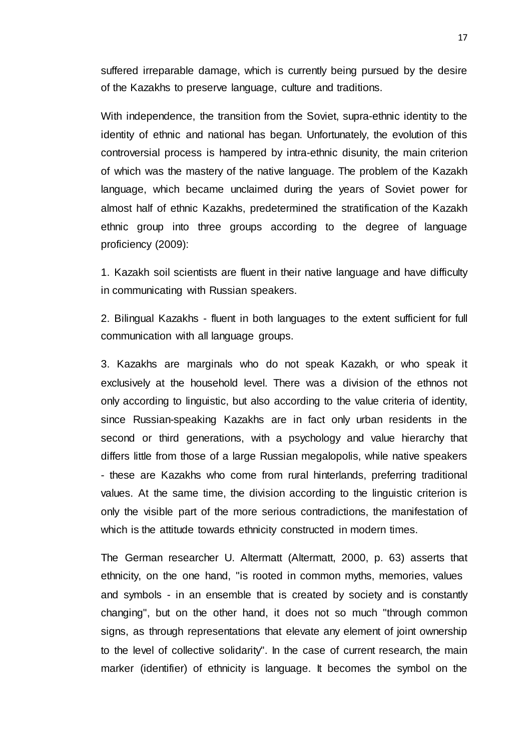suffered irreparable damage, which is currently being pursued by the desire of the Kazakhs to preserve language, culture and traditions.

With independence, the transition from the Soviet, supra-ethnic identity to the identity of ethnic and national has began. Unfortunately, the evolution of this controversial process is hampered by intra-ethnic disunity, the main criterion of which was the mastery of the native language. The problem of the Kazakh language, which became unclaimed during the years of Soviet power for almost half of ethnic Kazakhs, predetermined the stratification of the Kazakh ethnic group into three groups according to the degree of language proficiency (2009):

1. Kazakh soil scientists are fluent in their native language and have difficulty in communicating with Russian speakers.

2. Bilingual Kazakhs - fluent in both languages to the extent sufficient for full communication with all language groups.

3. Kazakhs are marginals who do not speak Kazakh, or who speak it exclusively at the household level. There was a division of the ethnos not only according to linguistic, but also according to the value criteria of identity, since Russian-speaking Kazakhs are in fact only urban residents in the second or third generations, with a psychology and value hierarchy that differs little from those of a large Russian megalopolis, while native speakers - these are Kazakhs who come from rural hinterlands, preferring traditional values. At the same time, the division according to the linguistic criterion is only the visible part of the more serious contradictions, the manifestation of which is the attitude towards ethnicity constructed in modern times.

The German researcher U. Altermatt (Altermatt, 2000, p. 63) asserts that ethnicity, on the one hand, "is rooted in common myths, memories, values and symbols - in an ensemble that is created by society and is constantly changing", but on the other hand, it does not so much "through common signs, as through representations that elevate any element of joint ownership to the level of collective solidarity". In the case of current research, the main marker (identifier) of ethnicity is language. It becomes the symbol on the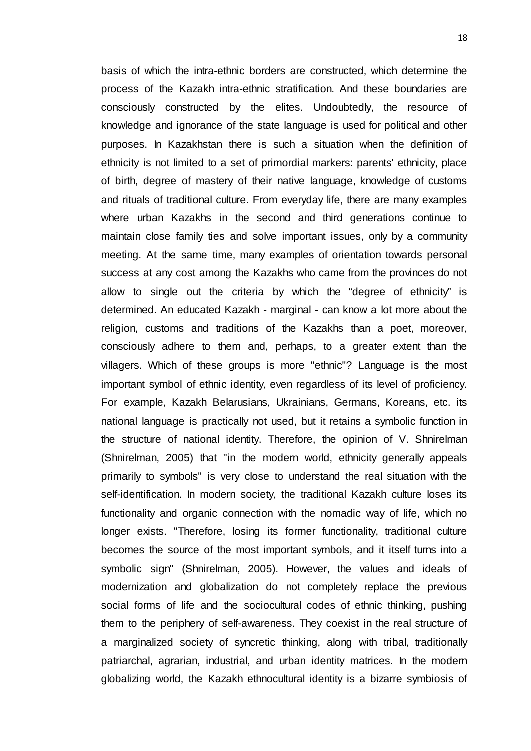basis of which the intra-ethnic borders are constructed, which determine the process of the Kazakh intra-ethnic stratification. And these boundaries are consciously constructed by the elites. Undoubtedly, the resource of knowledge and ignorance of the state language is used for political and other purposes. In Kazakhstan there is such a situation when the definition of ethnicity is not limited to a set of primordial markers: parents' ethnicity, place of birth, degree of mastery of their native language, knowledge of customs and rituals of traditional culture. From everyday life, there are many examples where urban Kazakhs in the second and third generations continue to maintain close family ties and solve important issues, only by a community meeting. At the same time, many examples of orientation towards personal success at any cost among the Kazakhs who came from the provinces do not allow to single out the criteria by which the "degree of ethnicity" is determined. An educated Kazakh - marginal - can know a lot more about the religion, customs and traditions of the Kazakhs than a poet, moreover, consciously adhere to them and, perhaps, to a greater extent than the villagers. Which of these groups is more "ethnic"? Language is the most important symbol of ethnic identity, even regardless of its level of proficiency. For example, Kazakh Belarusians, Ukrainians, Germans, Koreans, etc. its national language is practically not used, but it retains a symbolic function in the structure of national identity. Therefore, the opinion of V. Shnirelman (Shnirelman, 2005) that "in the modern world, ethnicity generally appeals primarily to symbols" is very close to understand the real situation with the self-identification. In modern society, the traditional Kazakh culture loses its functionality and organic connection with the nomadic way of life, which no longer exists. "Therefore, losing its former functionality, traditional culture becomes the source of the most important symbols, and it itself turns into a symbolic sign" (Shnirelman, 2005). However, the values and ideals of modernization and globalization do not completely replace the previous social forms of life and the sociocultural codes of ethnic thinking, pushing them to the periphery of self-awareness. They coexist in the real structure of a marginalized society of syncretic thinking, along with tribal, traditionally patriarchal, agrarian, industrial, and urban identity matrices. In the modern globalizing world, the Kazakh ethnocultural identity is a bizarre symbiosis of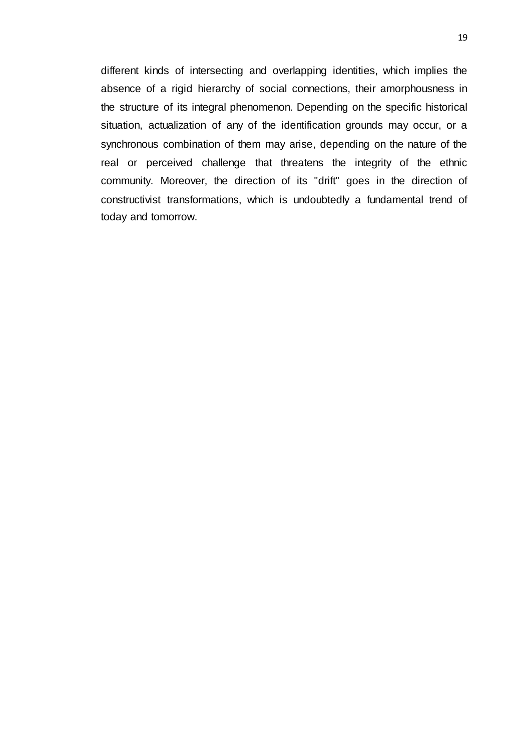<span id="page-27-0"></span>different kinds of intersecting and overlapping identities, which implies the absence of a rigid hierarchy of social connections, their amorphousness in the structure of its integral phenomenon. Depending on the specific historical situation, actualization of any of the identification grounds may occur, or a synchronous combination of them may arise, depending on the nature of the real or perceived challenge that threatens the integrity of the ethnic community. Moreover, the direction of its "drift" goes in the direction of constructivist transformations, which is undoubtedly a fundamental trend of today and tomorrow.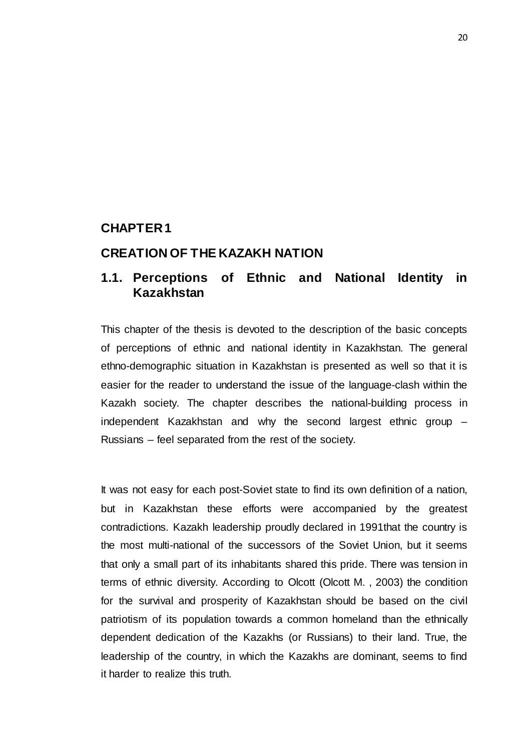# **CHAPTER 1**

## <span id="page-28-0"></span>**CREATION OF THE KAZAKH NATION**

# <span id="page-28-1"></span>**1.1. Perceptions of Ethnic and National Identity in Kazakhstan**

This chapter of the thesis is devoted to the description of the basic concepts of perceptions of ethnic and national identity in Kazakhstan. The general ethno-demographic situation in Kazakhstan is presented as well so that it is easier for the reader to understand the issue of the language-clash within the Kazakh society. The chapter describes the national-building process in independent Kazakhstan and why the second largest ethnic group – Russians – feel separated from the rest of the society.

It was not easy for each post-Soviet state to find its own definition of a nation, but in Kazakhstan these efforts were accompanied by the greatest contradictions. Kazakh leadership proudly declared in 1991that the country is the most multi-national of the successors of the Soviet Union, but it seems that only a small part of its inhabitants shared this pride. There was tension in terms of ethnic diversity. According to Olcott (Olcott M. , 2003) the condition for the survival and prosperity of Kazakhstan should be based on the civil patriotism of its population towards a common homeland than the ethnically dependent dedication of the Kazakhs (or Russians) to their land. True, the leadership of the country, in which the Kazakhs are dominant, seems to find it harder to realize this truth.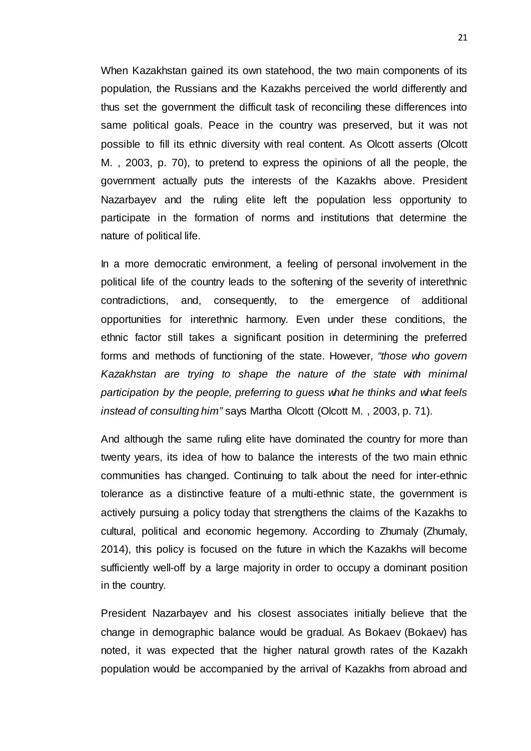When Kazakhstan gained its own statehood, the two main components of its population, the Russians and the Kazakhs perceived the world differently and thus set the government the difficult task of reconciling these differences into same political goals. Peace in the country was preserved, but it was not possible to fill its ethnic diversity with real content. As Olcott asserts (Olcott M. , 2003, p. 70), to pretend to express the opinions of all the people, the government actually puts the interests of the Kazakhs above. President Nazarbayev and the ruling elite left the population less opportunity to participate in the formation of norms and institutions that determine the nature of political life.

In a more democratic environment, a feeling of personal involvement in the political life of the country leads to the softening of the severity of interethnic contradictions, and, consequently, to the emergence of additional opportunities for interethnic harmony. Even under these conditions, the ethnic factor still takes a significant position in determining the preferred forms and methods of functioning of the state. However, *"those who govern Kazakhstan are trying to shape the nature of the state with minimal participation by the people, preferring to guess what he thinks and what feels instead of consulting him"* says Martha Olcott (Olcott M. , 2003, p. 71).

And although the same ruling elite have dominated the country for more than twenty years, its idea of how to balance the interests of the two main ethnic communities has changed. Continuing to talk about the need for inter-ethnic tolerance as a distinctive feature of a multi-ethnic state, the government is actively pursuing a policy today that strengthens the claims of the Kazakhs to cultural, political and economic hegemony. According to Zhumaly (Zhumaly, 2014), this policy is focused on the future in which the Kazakhs will become sufficiently well-off by a large majority in order to occupy a dominant position in the country.

President Nazarbayev and his closest associates initially believe that the change in demographic balance would be gradual. As Bokaev (Bokaev) has noted, it was expected that the higher natural growth rates of the Kazakh population would be accompanied by the arrival of Kazakhs from abroad and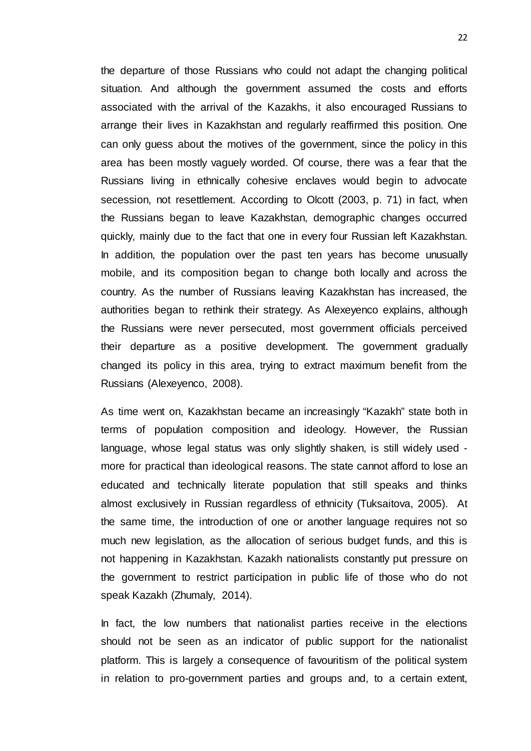the departure of those Russians who could not adapt the changing political situation. And although the government assumed the costs and efforts associated with the arrival of the Kazakhs, it also encouraged Russians to arrange their lives in Kazakhstan and regularly reaffirmed this position. One can only guess about the motives of the government, since the policy in this area has been mostly vaguely worded. Of course, there was a fear that the Russians living in ethnically cohesive enclaves would begin to advocate secession, not resettlement. According to Olcott (2003, p. 71) in fact, when the Russians began to leave Kazakhstan, demographic changes occurred quickly, mainly due to the fact that one in every four Russian left Kazakhstan. In addition, the population over the past ten years has become unusually mobile, and its composition began to change both locally and across the country. As the number of Russians leaving Kazakhstan has increased, the authorities began to rethink their strategy. As Alexeyenco explains, although the Russians were never persecuted, most government officials perceived their departure as a positive development. The government gradually changed its policy in this area, trying to extract maximum benefit from the Russians (Alexeyenco, 2008).

As time went on, Kazakhstan became an increasingly "Kazakh" state both in terms of population composition and ideology. However, the Russian language, whose legal status was only slightly shaken, is still widely used more for practical than ideological reasons. The state cannot afford to lose an educated and technically literate population that still speaks and thinks almost exclusively in Russian regardless of ethnicity (Tuksaitova, 2005). At the same time, the introduction of one or another language requires not so much new legislation, as the allocation of serious budget funds, and this is not happening in Kazakhstan. Kazakh nationalists constantly put pressure on the government to restrict participation in public life of those who do not speak Kazakh (Zhumaly, 2014).

In fact, the low numbers that nationalist parties receive in the elections should not be seen as an indicator of public support for the nationalist platform. This is largely a consequence of favouritism of the political system in relation to pro-government parties and groups and, to a certain extent,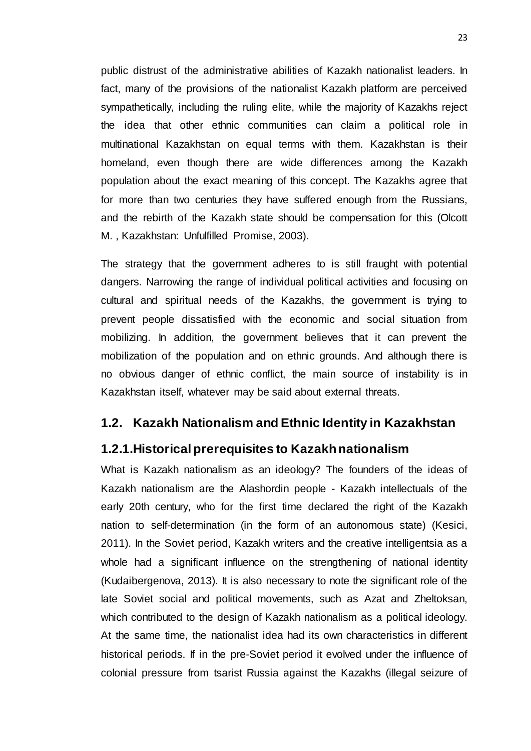public distrust of the administrative abilities of Kazakh nationalist leaders. In fact, many of the provisions of the nationalist Kazakh platform are perceived sympathetically, including the ruling elite, while the majority of Kazakhs reject the idea that other ethnic communities can claim a political role in multinational Kazakhstan on equal terms with them. Kazakhstan is their homeland, even though there are wide differences among the Kazakh population about the exact meaning of this concept. The Kazakhs agree that for more than two centuries they have suffered enough from the Russians, and the rebirth of the Kazakh state should be compensation for this (Olcott M. , Kazakhstan: Unfulfilled Promise, 2003).

The strategy that the government adheres to is still fraught with potential dangers. Narrowing the range of individual political activities and focusing on cultural and spiritual needs of the Kazakhs, the government is trying to prevent people dissatisfied with the economic and social situation from mobilizing. In addition, the government believes that it can prevent the mobilization of the population and on ethnic grounds. And although there is no obvious danger of ethnic conflict, the main source of instability is in Kazakhstan itself, whatever may be said about external threats.

# <span id="page-31-0"></span>**1.2. Kazakh Nationalism and Ethnic Identity in Kazakhstan**

# <span id="page-31-1"></span>**1.2.1.Historical prerequisites to Kazakh nationalism**

What is Kazakh nationalism as an ideology? The founders of the ideas of Kazakh nationalism are the Alashordin people - Kazakh intellectuals of the early 20th century, who for the first time declared the right of the Kazakh nation to self-determination (in the form of an autonomous state) (Kesici, 2011). In the Soviet period, Kazakh writers and the creative intelligentsia as a whole had a significant influence on the strengthening of national identity (Kudaibergenova, 2013). It is also necessary to note the significant role of the late Soviet social and political movements, such as Azat and Zheltoksan, which contributed to the design of Kazakh nationalism as a political ideology. At the same time, the nationalist idea had its own characteristics in different historical periods. If in the pre-Soviet period it evolved under the influence of colonial pressure from tsarist Russia against the Kazakhs (illegal seizure of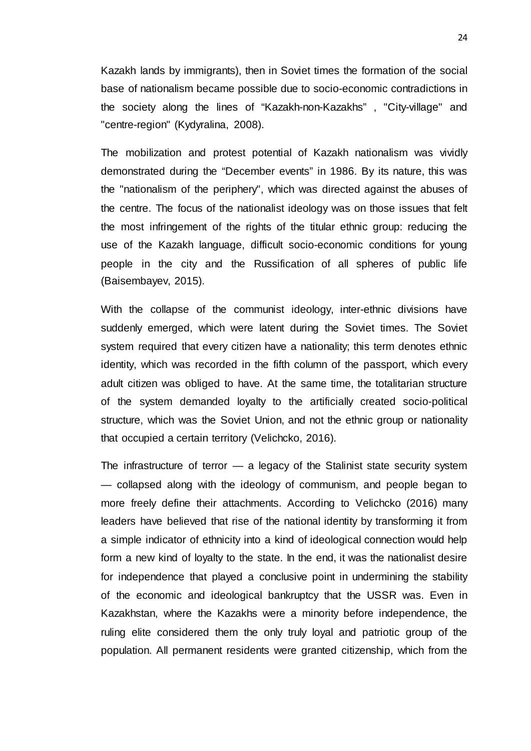Kazakh lands by immigrants), then in Soviet times the formation of the social base of nationalism became possible due to socio-economic contradictions in the society along the lines of "Kazakh-non-Kazakhs" , "City-village" and "centre-region" (Kydyralina, 2008).

The mobilization and protest potential of Kazakh nationalism was vividly demonstrated during the "December events" in 1986. By its nature, this was the "nationalism of the periphery", which was directed against the abuses of the centre. The focus of the nationalist ideology was on those issues that felt the most infringement of the rights of the titular ethnic group: reducing the use of the Kazakh language, difficult socio-economic conditions for young people in the city and the Russification of all spheres of public life (Baisembayev, 2015).

With the collapse of the communist ideology, inter-ethnic divisions have suddenly emerged, which were latent during the Soviet times. The Soviet system required that every citizen have a nationality; this term denotes ethnic identity, which was recorded in the fifth column of the passport, which every adult citizen was obliged to have. At the same time, the totalitarian structure of the system demanded loyalty to the artificially created socio-political structure, which was the Soviet Union, and not the ethnic group or nationality that occupied a certain territory (Velichcko, 2016).

The infrastructure of terror  $-$  a legacy of the Stalinist state security system — collapsed along with the ideology of communism, and people began to more freely define their attachments. According to Velichcko (2016) many leaders have believed that rise of the national identity by transforming it from a simple indicator of ethnicity into a kind of ideological connection would help form a new kind of loyalty to the state. In the end, it was the nationalist desire for independence that played a conclusive point in undermining the stability of the economic and ideological bankruptcy that the USSR was. Even in Kazakhstan, where the Kazakhs were a minority before independence, the ruling elite considered them the only truly loyal and patriotic group of the population. All permanent residents were granted citizenship, which from the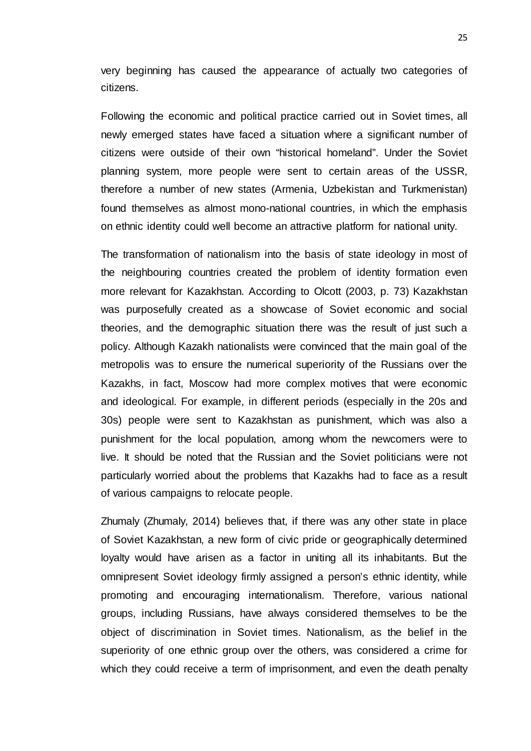very beginning has caused the appearance of actually two categories of citizens.

Following the economic and political practice carried out in Soviet times, all newly emerged states have faced a situation where a significant number of citizens were outside of their own "historical homeland". Under the Soviet planning system, more people were sent to certain areas of the USSR, therefore a number of new states (Armenia, Uzbekistan and Turkmenistan) found themselves as almost mono-national countries, in which the emphasis on ethnic identity could well become an attractive platform for national unity.

The transformation of nationalism into the basis of state ideology in most of the neighbouring countries created the problem of identity formation even more relevant for Kazakhstan. According to Olcott (2003, p. 73) Kazakhstan was purposefully created as a showcase of Soviet economic and social theories, and the demographic situation there was the result of just such a policy. Although Kazakh nationalists were convinced that the main goal of the metropolis was to ensure the numerical superiority of the Russians over the Kazakhs, in fact, Moscow had more complex motives that were economic and ideological. For example, in different periods (especially in the 20s and 30s) people were sent to Kazakhstan as punishment, which was also a punishment for the local population, among whom the newcomers were to live. It should be noted that the Russian and the Soviet politicians were not particularly worried about the problems that Kazakhs had to face as a result of various campaigns to relocate people.

Zhumaly (Zhumaly, 2014) believes that, if there was any other state in place of Soviet Kazakhstan, a new form of civic pride or geographically determined loyalty would have arisen as a factor in uniting all its inhabitants. But the omnipresent Soviet ideology firmly assigned a person's ethnic identity, while promoting and encouraging internationalism. Therefore, various national groups, including Russians, have always considered themselves to be the object of discrimination in Soviet times. Nationalism, as the belief in the superiority of one ethnic group over the others, was considered a crime for which they could receive a term of imprisonment, and even the death penalty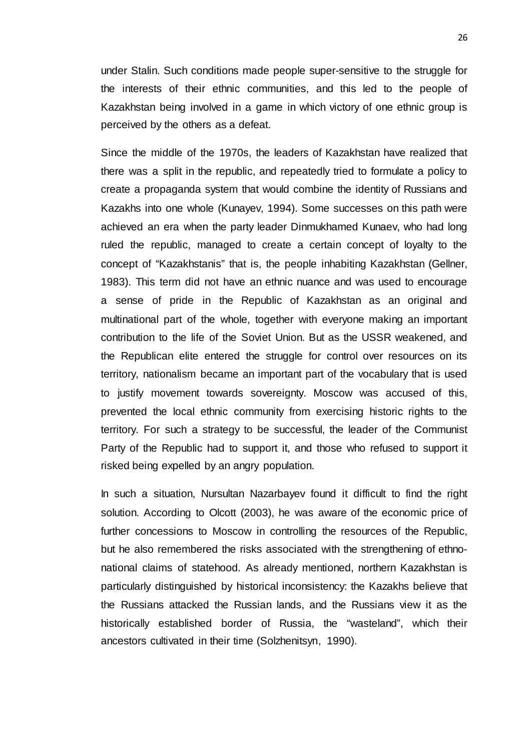under Stalin. Such conditions made people super-sensitive to the struggle for the interests of their ethnic communities, and this led to the people of Kazakhstan being involved in a game in which victory of one ethnic group is perceived by the others as a defeat.

Since the middle of the 1970s, the leaders of Kazakhstan have realized that there was a split in the republic, and repeatedly tried to formulate a policy to create a propaganda system that would combine the identity of Russians and Kazakhs into one whole (Kunayev, 1994). Some successes on this path were achieved an era when the party leader Dinmukhamed Kunaev, who had long ruled the republic, managed to create a certain concept of loyalty to the concept of "Kazakhstanis" that is, the people inhabiting Kazakhstan (Gellner, 1983). This term did not have an ethnic nuance and was used to encourage a sense of pride in the Republic of Kazakhstan as an original and multinational part of the whole, together with everyone making an important contribution to the life of the Soviet Union. But as the USSR weakened, and the Republican elite entered the struggle for control over resources on its territory, nationalism became an important part of the vocabulary that is used to justify movement towards sovereignty. Moscow was accused of this, prevented the local ethnic community from exercising historic rights to the territory. For such a strategy to be successful, the leader of the Communist Party of the Republic had to support it, and those who refused to support it risked being expelled by an angry population.

In such a situation, Nursultan Nazarbayev found it difficult to find the right solution. According to Olcott (2003), he was aware of the economic price of further concessions to Moscow in controlling the resources of the Republic, but he also remembered the risks associated with the strengthening of ethnonational claims of statehood. As already mentioned, northern Kazakhstan is particularly distinguished by historical inconsistency: the Kazakhs believe that the Russians attacked the Russian lands, and the Russians view it as the historically established border of Russia, the "wasteland", which their ancestors cultivated in their time (Solzhenitsyn, 1990).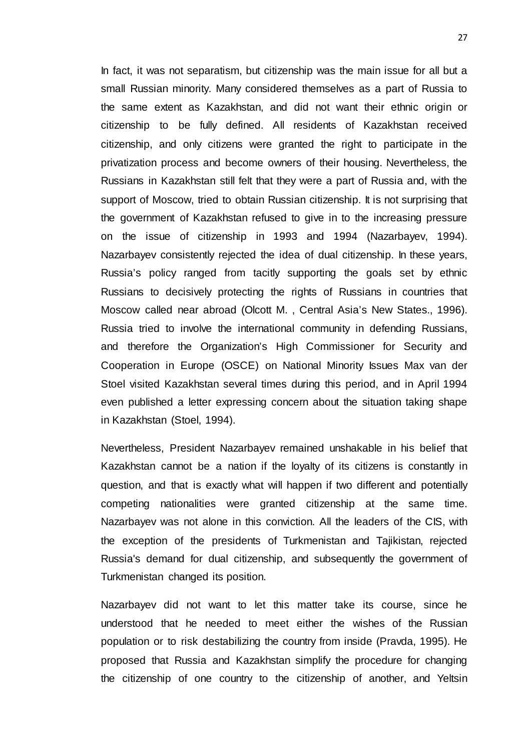In fact, it was not separatism, but citizenship was the main issue for all but a small Russian minority. Many considered themselves as a part of Russia to the same extent as Kazakhstan, and did not want their ethnic origin or citizenship to be fully defined. All residents of Kazakhstan received citizenship, and only citizens were granted the right to participate in the privatization process and become owners of their housing. Nevertheless, the Russians in Kazakhstan still felt that they were a part of Russia and, with the support of Moscow, tried to obtain Russian citizenship. It is not surprising that the government of Kazakhstan refused to give in to the increasing pressure on the issue of citizenship in 1993 and 1994 (Nazarbayev, 1994). Nazarbayev consistently rejected the idea of dual citizenship. In these years, Russia's policy ranged from tacitly supporting the goals set by ethnic Russians to decisively protecting the rights of Russians in countries that Moscow called near abroad (Olcott M. , Central Asia's New States., 1996). Russia tried to involve the international community in defending Russians, and therefore the Organization's High Commissioner for Security and Cooperation in Europe (OSCE) on National Minority Issues Max van der Stoel visited Kazakhstan several times during this period, and in April 1994 even published a letter expressing concern about the situation taking shape in Kazakhstan (Stoel, 1994).

Nevertheless, President Nazarbayev remained unshakable in his belief that Kazakhstan cannot be a nation if the loyalty of its citizens is constantly in question, and that is exactly what will happen if two different and potentially competing nationalities were granted citizenship at the same time. Nazarbayev was not alone in this conviction. All the leaders of the CIS, with the exception of the presidents of Turkmenistan and Tajikistan, rejected Russia's demand for dual citizenship, and subsequently the government of Turkmenistan changed its position.

Nazarbayev did not want to let this matter take its course, since he understood that he needed to meet either the wishes of the Russian population or to risk destabilizing the country from inside (Pravda, 1995). He proposed that Russia and Kazakhstan simplify the procedure for changing the citizenship of one country to the citizenship of another, and Yeltsin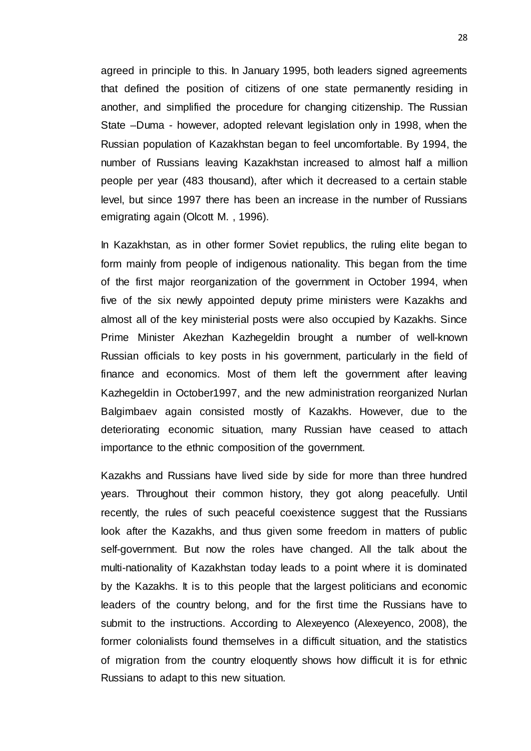agreed in principle to this. In January 1995, both leaders signed agreements that defined the position of citizens of one state permanently residing in another, and simplified the procedure for changing citizenship. The Russian State –Duma - however, adopted relevant legislation only in 1998, when the Russian population of Kazakhstan began to feel uncomfortable. By 1994, the number of Russians leaving Kazakhstan increased to almost half a million people per year (483 thousand), after which it decreased to a certain stable level, but since 1997 there has been an increase in the number of Russians emigrating again (Olcott M. , 1996).

In Kazakhstan, as in other former Soviet republics, the ruling elite began to form mainly from people of indigenous nationality. This began from the time of the first major reorganization of the government in October 1994, when five of the six newly appointed deputy prime ministers were Kazakhs and almost all of the key ministerial posts were also occupied by Kazakhs. Since Prime Minister Akezhan Kazhegeldin brought a number of well-known Russian officials to key posts in his government, particularly in the field of finance and economics. Most of them left the government after leaving Kazhegeldin in October1997, and the new administration reorganized Nurlan Balgimbaev again consisted mostly of Kazakhs. However, due to the deteriorating economic situation, many Russian have ceased to attach importance to the ethnic composition of the government.

Kazakhs and Russians have lived side by side for more than three hundred years. Throughout their common history, they got along peacefully. Until recently, the rules of such peaceful coexistence suggest that the Russians look after the Kazakhs, and thus given some freedom in matters of public self-government. But now the roles have changed. All the talk about the multi-nationality of Kazakhstan today leads to a point where it is dominated by the Kazakhs. It is to this people that the largest politicians and economic leaders of the country belong, and for the first time the Russians have to submit to the instructions. According to Alexeyenco (Alexeyenco, 2008), the former colonialists found themselves in a difficult situation, and the statistics of migration from the country eloquently shows how difficult it is for ethnic Russians to adapt to this new situation.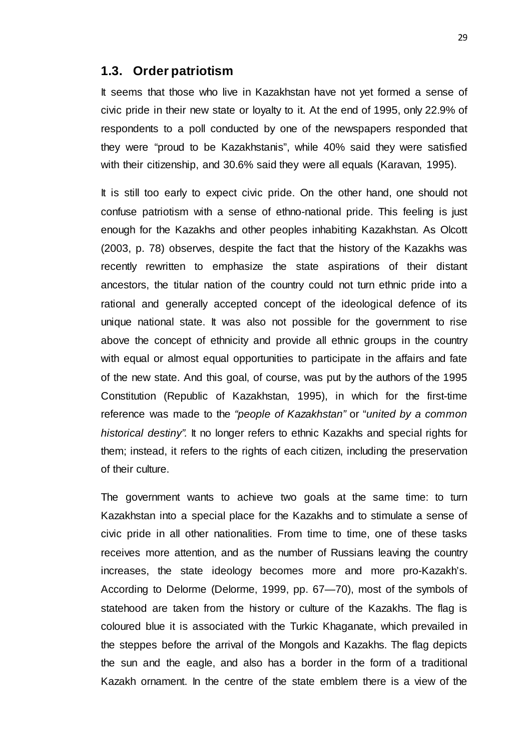#### **1.3. Order patriotism**

It seems that those who live in Kazakhstan have not yet formed a sense of civic pride in their new state or loyalty to it. At the end of 1995, only 22.9% of respondents to a poll conducted by one of the newspapers responded that they were "proud to be Kazakhstanis", while 40% said they were satisfied with their citizenship, and 30.6% said they were all equals (Karavan, 1995).

It is still too early to expect civic pride. On the other hand, one should not confuse patriotism with a sense of ethno-national pride. This feeling is just enough for the Kazakhs and other peoples inhabiting Kazakhstan. As Olcott (2003, p. 78) observes, despite the fact that the history of the Kazakhs was recently rewritten to emphasize the state aspirations of their distant ancestors, the titular nation of the country could not turn ethnic pride into a rational and generally accepted concept of the ideological defence of its unique national state. It was also not possible for the government to rise above the concept of ethnicity and provide all ethnic groups in the country with equal or almost equal opportunities to participate in the affairs and fate of the new state. And this goal, of course, was put by the authors of the 1995 Constitution (Republic of Kazakhstan, 1995), in which for the first-time reference was made to the *"people of Kazakhstan"* or "*united by a common historical destiny".* It no longer refers to ethnic Kazakhs and special rights for them; instead, it refers to the rights of each citizen, including the preservation of their culture.

The government wants to achieve two goals at the same time: to turn Kazakhstan into a special place for the Kazakhs and to stimulate a sense of civic pride in all other nationalities. From time to time, one of these tasks receives more attention, and as the number of Russians leaving the country increases, the state ideology becomes more and more pro-Kazakh's. According to Delorme (Delorme, 1999, pp. 67—70), most of the symbols of statehood are taken from the history or culture of the Kazakhs. The flag is coloured blue it is associated with the Turkic Khaganate, which prevailed in the steppes before the arrival of the Mongols and Kazakhs. The flag depicts the sun and the eagle, and also has a border in the form of a traditional Kazakh ornament. In the centre of the state emblem there is a view of the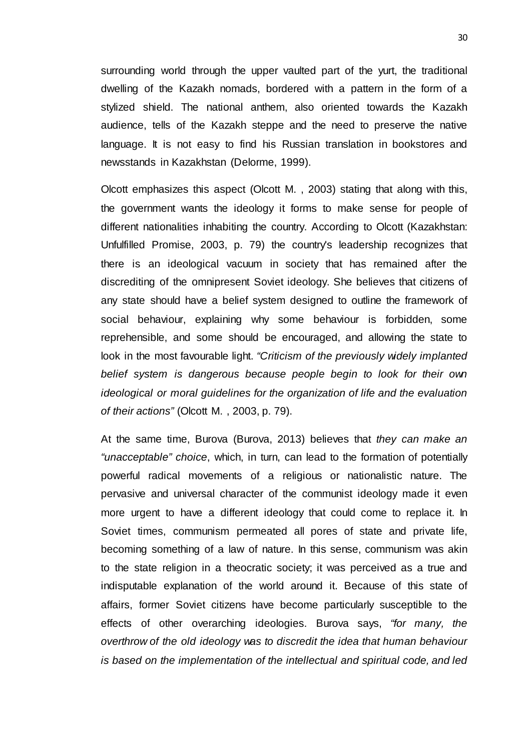surrounding world through the upper vaulted part of the yurt, the traditional dwelling of the Kazakh nomads, bordered with a pattern in the form of a stylized shield. The national anthem, also oriented towards the Kazakh audience, tells of the Kazakh steppe and the need to preserve the native language. It is not easy to find his Russian translation in bookstores and newsstands in Kazakhstan (Delorme, 1999).

Olcott emphasizes this aspect (Olcott M. , 2003) stating that along with this, the government wants the ideology it forms to make sense for people of different nationalities inhabiting the country. According to Olcott (Kazakhstan: Unfulfilled Promise, 2003, p. 79) the country's leadership recognizes that there is an ideological vacuum in society that has remained after the discrediting of the omnipresent Soviet ideology. She believes that citizens of any state should have a belief system designed to outline the framework of social behaviour, explaining why some behaviour is forbidden, some reprehensible, and some should be encouraged, and allowing the state to look in the most favourable light. *"Criticism of the previously widely implanted belief system is dangerous because people begin to look for their own ideological or moral guidelines for the organization of life and the evaluation of their actions"* (Olcott M. , 2003, p. 79).

At the same time, Burova (Burova, 2013) believes that *they can make an "unacceptable" choice*, which, in turn, can lead to the formation of potentially powerful radical movements of a religious or nationalistic nature. The pervasive and universal character of the communist ideology made it even more urgent to have a different ideology that could come to replace it. In Soviet times, communism permeated all pores of state and private life, becoming something of a law of nature. In this sense, communism was akin to the state religion in a theocratic society; it was perceived as a true and indisputable explanation of the world around it. Because of this state of affairs, former Soviet citizens have become particularly susceptible to the effects of other overarching ideologies. Burova says, *"for many, the overthrow of the old ideology was to discredit the idea that human behaviour is based on the implementation of the intellectual and spiritual code, and led*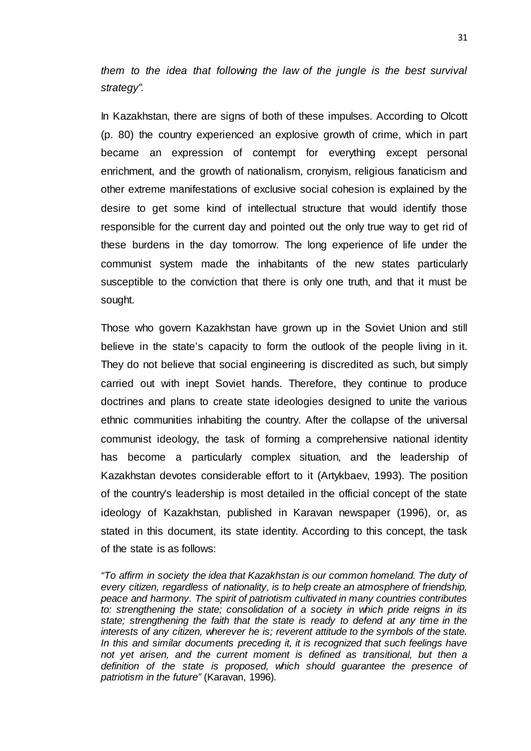*them to the idea that following the law of the jungle is the best survival strategy".*

In Kazakhstan, there are signs of both of these impulses. According to Olcott (p. 80) the country experienced an explosive growth of crime, which in part became an expression of contempt for everything except personal enrichment, and the growth of nationalism, cronyism, religious fanaticism and other extreme manifestations of exclusive social cohesion is explained by the desire to get some kind of intellectual structure that would identify those responsible for the current day and pointed out the only true way to get rid of these burdens in the day tomorrow. The long experience of life under the communist system made the inhabitants of the new states particularly susceptible to the conviction that there is only one truth, and that it must be sought.

Those who govern Kazakhstan have grown up in the Soviet Union and still believe in the state's capacity to form the outlook of the people living in it. They do not believe that social engineering is discredited as such, but simply carried out with inept Soviet hands. Therefore, they continue to produce doctrines and plans to create state ideologies designed to unite the various ethnic communities inhabiting the country. After the collapse of the universal communist ideology, the task of forming a comprehensive national identity has become a particularly complex situation, and the leadership of Kazakhstan devotes considerable effort to it (Artykbaev, 1993). The position of the country's leadership is most detailed in the official concept of the state ideology of Kazakhstan, published in Karavan newspaper (1996), or, as stated in this document, its state identity. According to this concept, the task of the state is as follows:

*"To affirm in society the idea that Kazakhstan is our common homeland. The duty of every citizen, regardless of nationality, is to help create an atmosphere of friendship, peace and harmony. The spirit of patriotism cultivated in many countries contributes to: strengthening the state; consolidation of a society in which pride reigns in its state; strengthening the faith that the state is ready to defend at any time in the interests of any citizen, wherever he is; reverent attitude to the symbols of the state. In this and similar documents preceding it, it is recognized that such feelings have not yet arisen, and the current moment is defined as transitional, but then a definition of the state is proposed, which should guarantee the presence of patriotism in the future"* (Karavan, 1996)*.*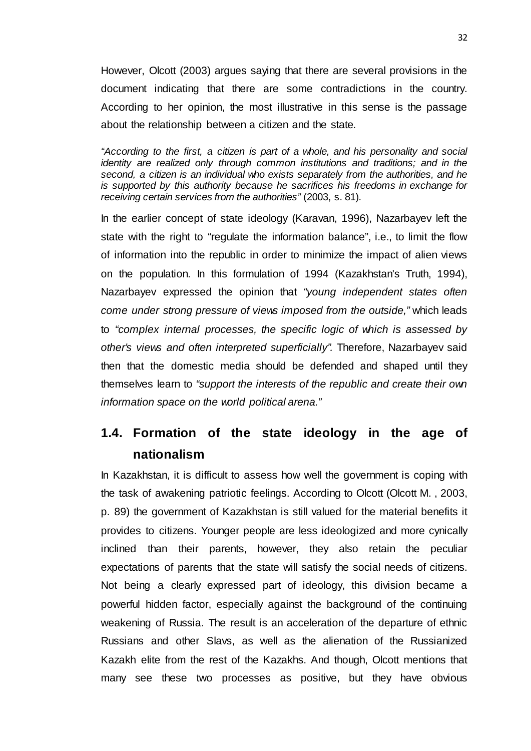However, Olcott (2003) argues saying that there are several provisions in the document indicating that there are some contradictions in the country. According to her opinion, the most illustrative in this sense is the passage about the relationship between a citizen and the state*.*

*"According to the first, a citizen is part of a whole, and his personality and social identity are realized only through common institutions and traditions; and in the second, a citizen is an individual who exists separately from the authorities, and he is supported by this authority because he sacrifices his freedoms in exchange for receiving certain services from the authorities"* (2003, s. 81)*.*

In the earlier concept of state ideology (Karavan, 1996), Nazarbayev left the state with the right to "regulate the information balance", i.e., to limit the flow of information into the republic in order to minimize the impact of alien views on the population. In this formulation of 1994 (Kazakhstan's Truth, 1994), Nazarbayev expressed the opinion that *"young independent states often come under strong pressure of views imposed from the outside,"* which leads to *"complex internal processes, the specific logic of which is assessed by other's views and often interpreted superficially".* Therefore, Nazarbayev said then that the domestic media should be defended and shaped until they themselves learn to *"support the interests of the republic and create their own information space on the world political arena."*

# **1.4. Formation of the state ideology in the age of nationalism**

In Kazakhstan, it is difficult to assess how well the government is coping with the task of awakening patriotic feelings. According to Olcott (Olcott M. , 2003, p. 89) the government of Kazakhstan is still valued for the material benefits it provides to citizens. Younger people are less ideologized and more cynically inclined than their parents, however, they also retain the peculiar expectations of parents that the state will satisfy the social needs of citizens. Not being a clearly expressed part of ideology, this division became a powerful hidden factor, especially against the background of the continuing weakening of Russia. The result is an acceleration of the departure of ethnic Russians and other Slavs, as well as the alienation of the Russianized Kazakh elite from the rest of the Kazakhs. And though, Olcott mentions that many see these two processes as positive, but they have obvious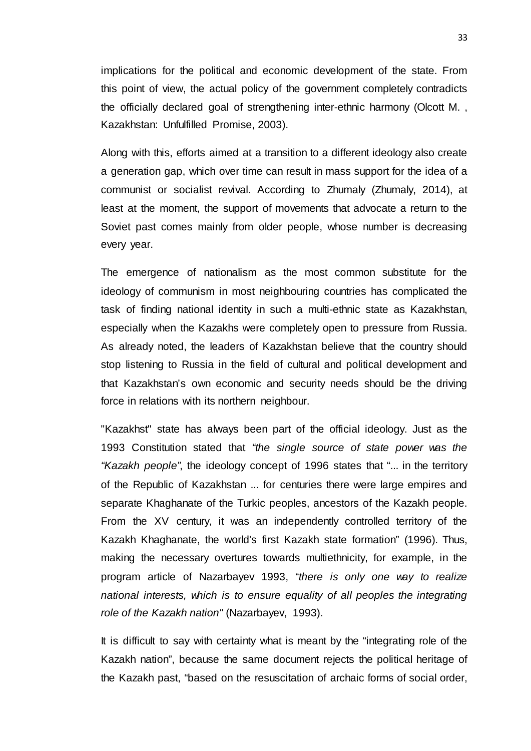implications for the political and economic development of the state. From this point of view, the actual policy of the government completely contradicts the officially declared goal of strengthening inter-ethnic harmony (Olcott M. , Kazakhstan: Unfulfilled Promise, 2003).

Along with this, efforts aimed at a transition to a different ideology also create a generation gap, which over time can result in mass support for the idea of a communist or socialist revival. According to Zhumaly (Zhumaly, 2014), at least at the moment, the support of movements that advocate a return to the Soviet past comes mainly from older people, whose number is decreasing every year.

The emergence of nationalism as the most common substitute for the ideology of communism in most neighbouring countries has complicated the task of finding national identity in such a multi-ethnic state as Kazakhstan, especially when the Kazakhs were completely open to pressure from Russia. As already noted, the leaders of Kazakhstan believe that the country should stop listening to Russia in the field of cultural and political development and that Kazakhstan's own economic and security needs should be the driving force in relations with its northern neighbour.

"Kazakhst" state has always been part of the official ideology. Just as the 1993 Constitution stated that *"the single source of state power was the "Kazakh people"*, the ideology concept of 1996 states that "... in the territory of the Republic of Kazakhstan ... for centuries there were large empires and separate Khaghanate of the Turkic peoples, ancestors of the Kazakh people. From the XV century, it was an independently controlled territory of the Kazakh Khaghanate, the world's first Kazakh state formation" (1996). Thus, making the necessary overtures towards multiethnicity, for example, in the program article of Nazarbayev 1993, "*there is only one way to realize national interests, which is to ensure equality of all peoples the integrating role of the Kazakh nation"* (Nazarbayev, 1993).

It is difficult to say with certainty what is meant by the "integrating role of the Kazakh nation", because the same document rejects the political heritage of the Kazakh past, "based on the resuscitation of archaic forms of social order,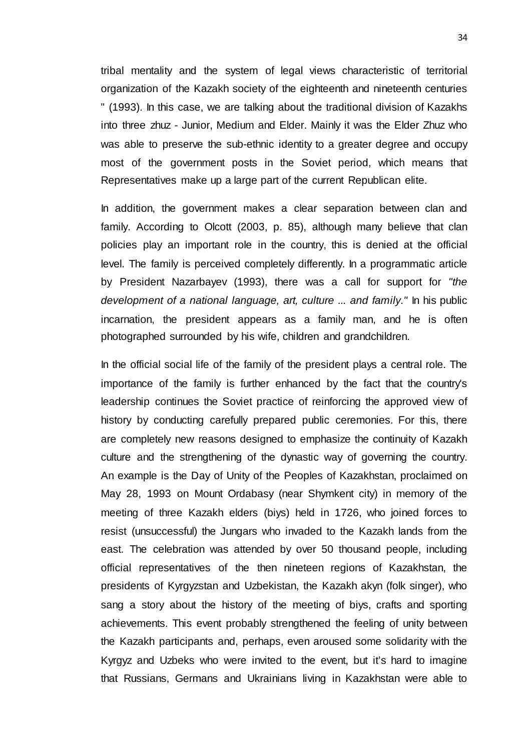tribal mentality and the system of legal views characteristic of territorial organization of the Kazakh society of the eighteenth and nineteenth centuries " (1993). In this case, we are talking about the traditional division of Kazakhs into three zhuz - Junior, Medium and Elder. Mainly it was the Elder Zhuz who was able to preserve the sub-ethnic identity to a greater degree and occupy most of the government posts in the Soviet period, which means that Representatives make up a large part of the current Republican elite.

In addition, the government makes a clear separation between clan and family. According to Olcott (2003, p. 85), although many believe that clan policies play an important role in the country, this is denied at the official level. The family is perceived completely differently. In a programmatic article by President Nazarbayev (1993), there was a call for support for *"the development of a national language, art, culture ... and family."* In his public incarnation, the president appears as a family man, and he is often photographed surrounded by his wife, children and grandchildren.

In the official social life of the family of the president plays a central role. The importance of the family is further enhanced by the fact that the country's leadership continues the Soviet practice of reinforcing the approved view of history by conducting carefully prepared public ceremonies. For this, there are completely new reasons designed to emphasize the continuity of Kazakh culture and the strengthening of the dynastic way of governing the country. An example is the Day of Unity of the Peoples of Kazakhstan, proclaimed on May 28, 1993 on Mount Ordabasy (near Shymkent city) in memory of the meeting of three Kazakh elders (biys) held in 1726, who joined forces to resist (unsuccessful) the Jungars who invaded to the Kazakh lands from the east. The celebration was attended by over 50 thousand people, including official representatives of the then nineteen regions of Kazakhstan, the presidents of Kyrgyzstan and Uzbekistan, the Kazakh akyn (folk singer), who sang a story about the history of the meeting of biys, crafts and sporting achievements. This event probably strengthened the feeling of unity between the Kazakh participants and, perhaps, even aroused some solidarity with the Kyrgyz and Uzbeks who were invited to the event, but it's hard to imagine that Russians, Germans and Ukrainians living in Kazakhstan were able to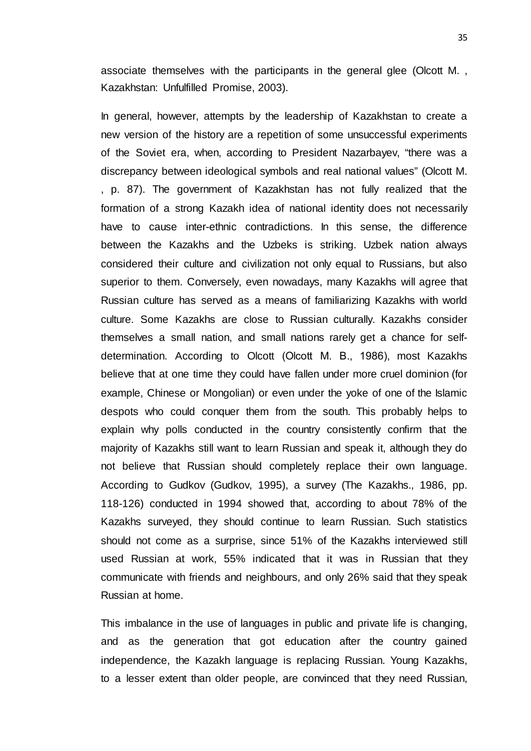associate themselves with the participants in the general glee (Olcott M. , Kazakhstan: Unfulfilled Promise, 2003).

In general, however, attempts by the leadership of Kazakhstan to create a new version of the history are a repetition of some unsuccessful experiments of the Soviet era, when, according to President Nazarbayev, "there was a discrepancy between ideological symbols and real national values" (Olcott M. , p. 87). The government of Kazakhstan has not fully realized that the formation of a strong Kazakh idea of national identity does not necessarily have to cause inter-ethnic contradictions. In this sense, the difference between the Kazakhs and the Uzbeks is striking. Uzbek nation always considered their culture and civilization not only equal to Russians, but also superior to them. Conversely, even nowadays, many Kazakhs will agree that Russian culture has served as a means of familiarizing Kazakhs with world culture. Some Kazakhs are close to Russian culturally. Kazakhs consider themselves a small nation, and small nations rarely get a chance for selfdetermination. According to Olcott (Olcott М. В., 1986), most Kazakhs believe that at one time they could have fallen under more cruel dominion (for example, Chinese or Mongolian) or even under the yoke of one of the Islamic despots who could conquer them from the south. This probably helps to explain why polls conducted in the country consistently confirm that the majority of Kazakhs still want to learn Russian and speak it, although they do not believe that Russian should completely replace their own language. According to Gudkov (Gudkov, 1995), a survey (The Kazakhs., 1986, pp. 118-126) conducted in 1994 showed that, according to about 78% of the Kazakhs surveyed, they should continue to learn Russian. Such statistics should not come as a surprise, since 51% of the Kazakhs interviewed still used Russian at work, 55% indicated that it was in Russian that they communicate with friends and neighbours, and only 26% said that they speak Russian at home.

This imbalance in the use of languages in public and private life is changing, and as the generation that got education after the country gained independence, the Kazakh language is replacing Russian. Young Kazakhs, to a lesser extent than older people, are convinced that they need Russian,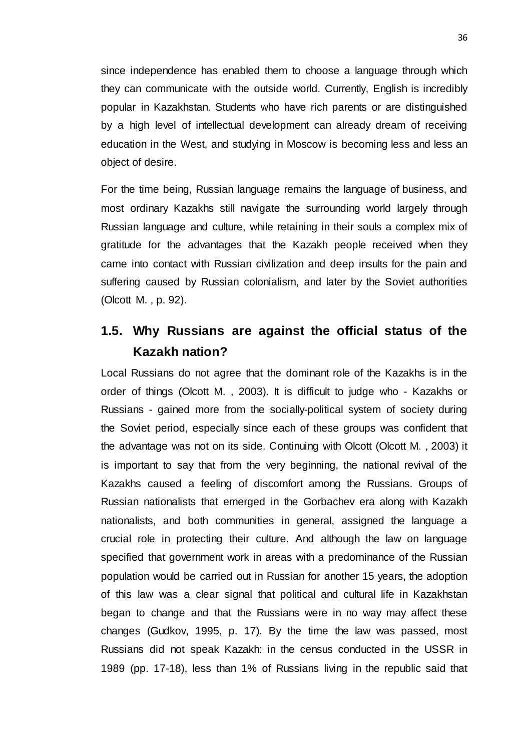since independence has enabled them to choose a language through which they can communicate with the outside world. Currently, English is incredibly popular in Kazakhstan. Students who have rich parents or are distinguished by a high level of intellectual development can already dream of receiving education in the West, and studying in Moscow is becoming less and less an object of desire.

For the time being, Russian language remains the language of business, and most ordinary Kazakhs still navigate the surrounding world largely through Russian language and culture, while retaining in their souls a complex mix of gratitude for the advantages that the Kazakh people received when they came into contact with Russian civilization and deep insults for the pain and suffering caused by Russian colonialism, and later by the Soviet authorities (Olcott M. , p. 92).

# **1.5. Why Russians are against the official status of the Kazakh nation?**

Local Russians do not agree that the dominant role of the Kazakhs is in the order of things (Olcott M. , 2003). It is difficult to judge who - Kazakhs or Russians - gained more from the socially-political system of society during the Soviet period, especially since each of these groups was confident that the advantage was not on its side. Continuing with Olcott (Olcott M. , 2003) it is important to say that from the very beginning, the national revival of the Kazakhs caused a feeling of discomfort among the Russians. Groups of Russian nationalists that emerged in the Gorbachev era along with Kazakh nationalists, and both communities in general, assigned the language a crucial role in protecting their culture. And although the law on language specified that government work in areas with a predominance of the Russian population would be carried out in Russian for another 15 years, the adoption of this law was a clear signal that political and cultural life in Kazakhstan began to change and that the Russians were in no way may affect these changes (Gudkov, 1995, p. 17). By the time the law was passed, most Russians did not speak Kazakh: in the census conducted in the USSR in 1989 (pp. 17-18), less than 1% of Russians living in the republic said that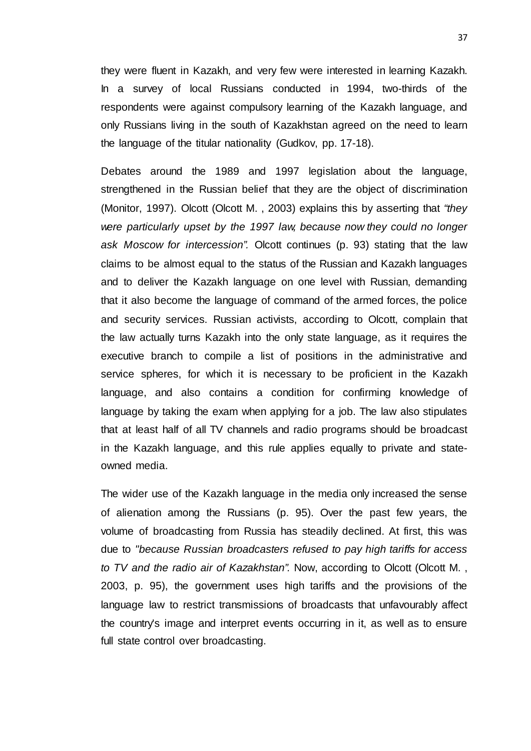they were fluent in Kazakh, and very few were interested in learning Kazakh. In a survey of local Russians conducted in 1994, two-thirds of the respondents were against compulsory learning of the Kazakh language, and only Russians living in the south of Kazakhstan agreed on the need to learn the language of the titular nationality (Gudkov, pp. 17-18).

Debates around the 1989 and 1997 legislation about the language, strengthened in the Russian belief that they are the object of discrimination (Monitor, 1997). Olcott (Olcott M. , 2003) explains this by asserting that *"they were particularly upset by the 1997 law, because now they could no longer ask Moscow for intercession".* Olcott continues (p. 93) stating that the law claims to be almost equal to the status of the Russian and Kazakh languages and to deliver the Kazakh language on one level with Russian, demanding that it also become the language of command of the armed forces, the police and security services. Russian activists, according to Olcott, complain that the law actually turns Kazakh into the only state language, as it requires the executive branch to compile a list of positions in the administrative and service spheres, for which it is necessary to be proficient in the Kazakh language, and also contains a condition for confirming knowledge of language by taking the exam when applying for a job. The law also stipulates that at least half of all TV channels and radio programs should be broadcast in the Kazakh language, and this rule applies equally to private and stateowned media.

The wider use of the Kazakh language in the media only increased the sense of alienation among the Russians (p. 95). Over the past few years, the volume of broadcasting from Russia has steadily declined. At first, this was due to *"because Russian broadcasters refused to pay high tariffs for access to TV and the radio air of Kazakhstan".* Now, according to Olcott (Olcott M. , 2003, p. 95), the government uses high tariffs and the provisions of the language law to restrict transmissions of broadcasts that unfavourably affect the country's image and interpret events occurring in it, as well as to ensure full state control over broadcasting.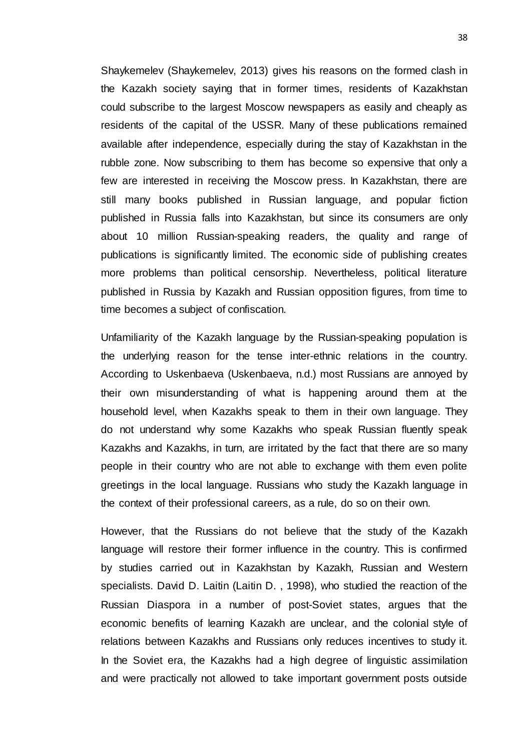Shaykemelev (Shaykemelev, 2013) gives his reasons on the formed clash in the Kazakh society saying that in former times, residents of Kazakhstan could subscribe to the largest Moscow newspapers as easily and cheaply as residents of the capital of the USSR. Many of these publications remained available after independence, especially during the stay of Kazakhstan in the rubble zone. Now subscribing to them has become so expensive that only a few are interested in receiving the Moscow press. In Kazakhstan, there are still many books published in Russian language, and popular fiction published in Russia falls into Kazakhstan, but since its consumers are only about 10 million Russian-speaking readers, the quality and range of publications is significantly limited. The economic side of publishing creates more problems than political censorship. Nevertheless, political literature published in Russia by Kazakh and Russian opposition figures, from time to time becomes a subject of confiscation.

Unfamiliarity of the Kazakh language by the Russian-speaking population is the underlying reason for the tense inter-ethnic relations in the country. According to Uskenbaeva (Uskenbaeva, n.d.) most Russians are annoyed by their own misunderstanding of what is happening around them at the household level, when Kazakhs speak to them in their own language. They do not understand why some Kazakhs who speak Russian fluently speak Kazakhs and Kazakhs, in turn, are irritated by the fact that there are so many people in their country who are not able to exchange with them even polite greetings in the local language. Russians who study the Kazakh language in the context of their professional careers, as a rule, do so on their own.

However, that the Russians do not believe that the study of the Kazakh language will restore their former influence in the country. This is confirmed by studies carried out in Kazakhstan by Kazakh, Russian and Western specialists. David D. Laitin (Laitin D. , 1998), who studied the reaction of the Russian Diaspora in a number of post-Soviet states, argues that the economic benefits of learning Kazakh are unclear, and the colonial style of relations between Kazakhs and Russians only reduces incentives to study it. In the Soviet era, the Kazakhs had a high degree of linguistic assimilation and were practically not allowed to take important government posts outside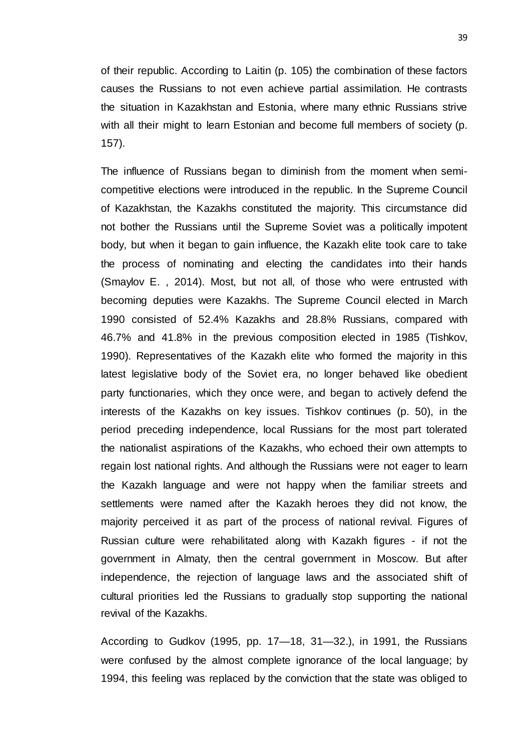of their republic. According to Laitin (p. 105) the combination of these factors causes the Russians to not even achieve partial assimilation. He contrasts the situation in Kazakhstan and Estonia, where many ethnic Russians strive with all their might to learn Estonian and become full members of society (p. 157).

The influence of Russians began to diminish from the moment when semicompetitive elections were introduced in the republic. In the Supreme Council of Kazakhstan, the Kazakhs constituted the majority. This circumstance did not bother the Russians until the Supreme Soviet was a politically impotent body, but when it began to gain influence, the Kazakh elite took care to take the process of nominating and electing the candidates into their hands (Smaylov E. , 2014). Most, but not all, of those who were entrusted with becoming deputies were Kazakhs. The Supreme Council elected in March 1990 consisted of 52.4% Kazakhs and 28.8% Russians, compared with 46.7% and 41.8% in the previous composition elected in 1985 (Tishkov, 1990). Representatives of the Kazakh elite who formed the majority in this latest legislative body of the Soviet era, no longer behaved like obedient party functionaries, which they once were, and began to actively defend the interests of the Kazakhs on key issues. Tishkov continues (p. 50), in the period preceding independence, local Russians for the most part tolerated the nationalist aspirations of the Kazakhs, who echoed their own attempts to regain lost national rights. And although the Russians were not eager to learn the Kazakh language and were not happy when the familiar streets and settlements were named after the Kazakh heroes they did not know, the majority perceived it as part of the process of national revival. Figures of Russian culture were rehabilitated along with Kazakh figures - if not the government in Almaty, then the central government in Moscow. But after independence, the rejection of language laws and the associated shift of cultural priorities led the Russians to gradually stop supporting the national revival of the Kazakhs.

According to Gudkov (1995, pp. 17—18, 31—32.), in 1991, the Russians were confused by the almost complete ignorance of the local language; by 1994, this feeling was replaced by the conviction that the state was obliged to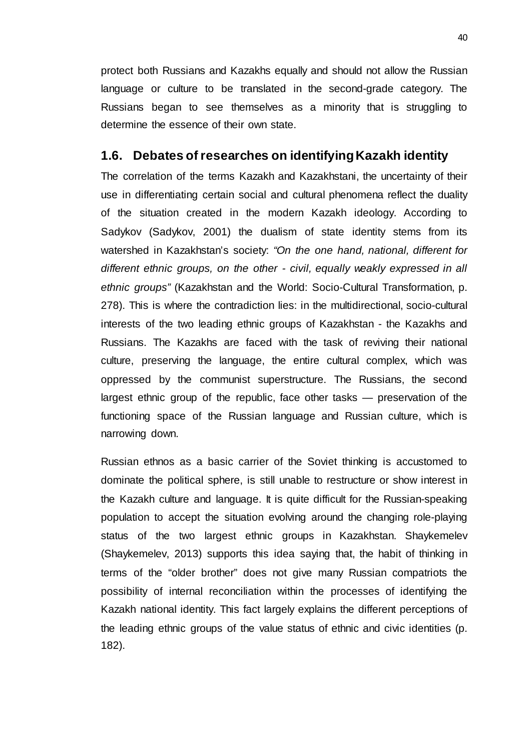protect both Russians and Kazakhs equally and should not allow the Russian language or culture to be translated in the second-grade category. The Russians began to see themselves as a minority that is struggling to determine the essence of their own state.

### **1.6. Debates of researches on identifying Kazakh identity**

The correlation of the terms Kazakh and Kazakhstani, the uncertainty of their use in differentiating certain social and cultural phenomena reflect the duality of the situation created in the modern Kazakh ideology. According to Sadykov (Sadykov, 2001) the dualism of state identity stems from its watershed in Kazakhstan's society: *"On the one hand, national, different for different ethnic groups, on the other - civil, equally weakly expressed in all ethnic groups"* (Kazakhstan and the World: Socio-Cultural Transformation, p. 278). This is where the contradiction lies: in the multidirectional, socio-cultural interests of the two leading ethnic groups of Kazakhstan - the Kazakhs and Russians. The Kazakhs are faced with the task of reviving their national culture, preserving the language, the entire cultural complex, which was oppressed by the communist superstructure. The Russians, the second largest ethnic group of the republic, face other tasks — preservation of the functioning space of the Russian language and Russian culture, which is narrowing down.

Russian ethnos as a basic carrier of the Soviet thinking is accustomed to dominate the political sphere, is still unable to restructure or show interest in the Kazakh culture and language. It is quite difficult for the Russian-speaking population to accept the situation evolving around the changing role-playing status of the two largest ethnic groups in Kazakhstan. Shaykemelev (Shaykemelev, 2013) supports this idea saying that, the habit of thinking in terms of the "older brother" does not give many Russian compatriots the possibility of internal reconciliation within the processes of identifying the Kazakh national identity. This fact largely explains the different perceptions of the leading ethnic groups of the value status of ethnic and civic identities (p. 182).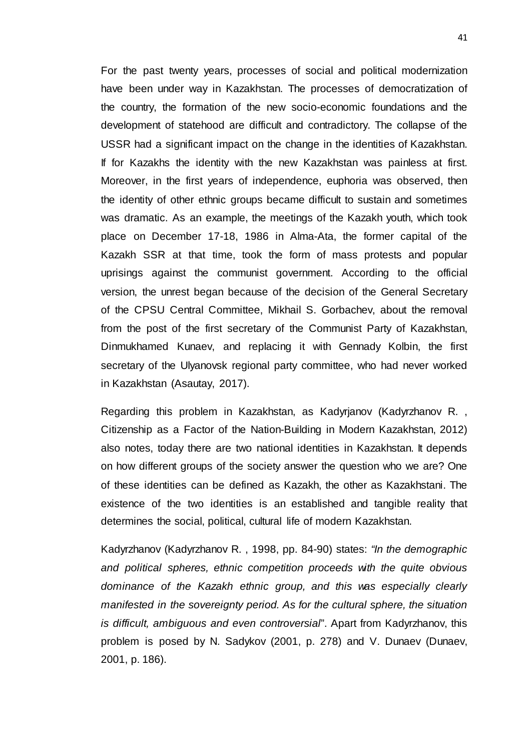For the past twenty years, processes of social and political modernization have been under way in Kazakhstan. The processes of democratization of the country, the formation of the new socio-economic foundations and the development of statehood are difficult and contradictory. The collapse of the USSR had a significant impact on the change in the identities of Kazakhstan. If for Kazakhs the identity with the new Kazakhstan was painless at first. Moreover, in the first years of independence, euphoria was observed, then the identity of other ethnic groups became difficult to sustain and sometimes was dramatic. As an example, the meetings of the Kazakh youth, which took place on December 17-18, 1986 in Alma-Ata, the former capital of the Kazakh SSR at that time, took the form of mass protests and popular uprisings against the communist government. According to the official version, the unrest began because of the decision of the General Secretary of the CPSU Central Committee, Mikhail S. Gorbachev, about the removal from the post of the first secretary of the Communist Party of Kazakhstan, Dinmukhamed Kunaev, and replacing it with Gennady Kolbin, the first secretary of the Ulyanovsk regional party committee, who had never worked in Kazakhstan (Asautay, 2017).

Regarding this problem in Kazakhstan, as Kadyrjanov (Kadyrzhanov R. , Citizenship as a Factor of the Nation-Building in Modern Kazakhstan, 2012) also notes, today there are two national identities in Kazakhstan. It depends on how different groups of the society answer the question who we are? One of these identities can be defined as Kazakh, the other as Kazakhstani. The existence of the two identities is an established and tangible reality that determines the social, political, cultural life of modern Kazakhstan.

Kadyrzhanov (Kadyrzhanov R. , 1998, pp. 84-90) states: *"In the demographic and political spheres, ethnic competition proceeds with the quite obvious dominance of the Kazakh ethnic group, and this was especially clearly manifested in the sovereignty period. As for the cultural sphere, the situation is difficult, ambiguous and even controversial*". Apart from Kadyrzhanov, this problem is posed by N. Sadykov (2001, p. 278) and V. Dunaev (Dunaev, 2001, p. 186).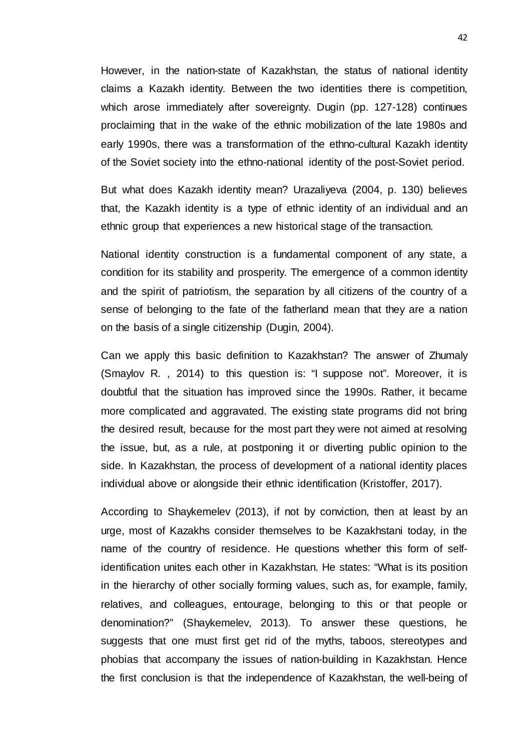However, in the nation-state of Kazakhstan, the status of national identity claims a Kazakh identity. Between the two identities there is competition, which arose immediately after sovereignty. Dugin (pp. 127-128) continues proclaiming that in the wake of the ethnic mobilization of the late 1980s and early 1990s, there was a transformation of the ethno-cultural Kazakh identity of the Soviet society into the ethno-national identity of the post-Soviet period.

But what does Kazakh identity mean? Urazaliyeva (2004, p. 130) believes that, the Kazakh identity is a type of ethnic identity of an individual and an ethnic group that experiences a new historical stage of the transaction.

National identity construction is a fundamental component of any state, a condition for its stability and prosperity. The emergence of a common identity and the spirit of patriotism, the separation by all citizens of the country of a sense of belonging to the fate of the fatherland mean that they are a nation on the basis of a single citizenship (Dugin, 2004).

Can we apply this basic definition to Kazakhstan? The answer of Zhumaly (Smaylov R. , 2014) to this question is: "I suppose not". Moreover, it is doubtful that the situation has improved since the 1990s. Rather, it became more complicated and aggravated. The existing state programs did not bring the desired result, because for the most part they were not aimed at resolving the issue, but, as a rule, at postponing it or diverting public opinion to the side. In Kazakhstan, the process of development of a national identity places individual above or alongside their ethnic identification (Kristoffer, 2017).

According to Shaykemelev (2013), if not by conviction, then at least by an urge, most of Kazakhs consider themselves to be Kazakhstani today, in the name of the country of residence. He questions whether this form of selfidentification unites each other in Kazakhstan. He states: "What is its position in the hierarchy of other socially forming values, such as, for example, family, relatives, and colleagues, entourage, belonging to this or that people or denomination?" (Shaykemelev, 2013). To answer these questions, he suggests that one must first get rid of the myths, taboos, stereotypes and phobias that accompany the issues of nation-building in Kazakhstan. Hence the first conclusion is that the independence of Kazakhstan, the well-being of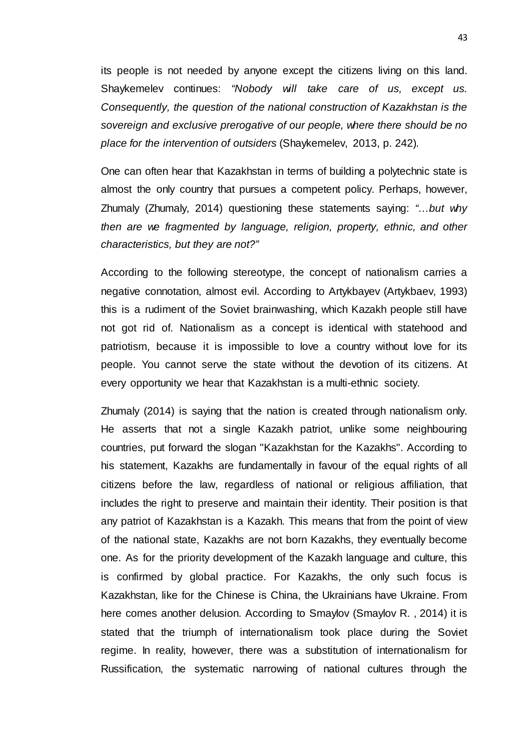its people is not needed by anyone except the citizens living on this land. Shaykemelev continues: *"Nobody will take care of us, except us. Consequently, the question of the national construction of Kazakhstan is the sovereign and exclusive prerogative of our people, where there should be no place for the intervention of outsiders* (Shaykemelev, 2013, p. 242)*.*

One can often hear that Kazakhstan in terms of building a polytechnic state is almost the only country that pursues a competent policy. Perhaps, however, Zhumaly (Zhumaly, 2014) questioning these statements saying: *"…but why then are we fragmented by language, religion, property, ethnic, and other characteristics, but they are not?"*

According to the following stereotype, the concept of nationalism carries a negative connotation, almost evil. According to Artykbayev (Artykbaev, 1993) this is a rudiment of the Soviet brainwashing, which Kazakh people still have not got rid of. Nationalism as a concept is identical with statehood and patriotism, because it is impossible to love a country without love for its people. You cannot serve the state without the devotion of its citizens. At every opportunity we hear that Kazakhstan is a multi-ethnic society.

Zhumaly (2014) is saying that the nation is created through nationalism only. He asserts that not a single Kazakh patriot, unlike some neighbouring countries, put forward the slogan "Kazakhstan for the Kazakhs". According to his statement, Kazakhs are fundamentally in favour of the equal rights of all citizens before the law, regardless of national or religious affiliation, that includes the right to preserve and maintain their identity. Their position is that any patriot of Kazakhstan is a Kazakh. This means that from the point of view of the national state, Kazakhs are not born Kazakhs, they eventually become one. As for the priority development of the Kazakh language and culture, this is confirmed by global practice. For Kazakhs, the only such focus is Kazakhstan, like for the Chinese is China, the Ukrainians have Ukraine. From here comes another delusion. According to Smaylov (Smaylov R. , 2014) it is stated that the triumph of internationalism took place during the Soviet regime. In reality, however, there was a substitution of internationalism for Russification, the systematic narrowing of national cultures through the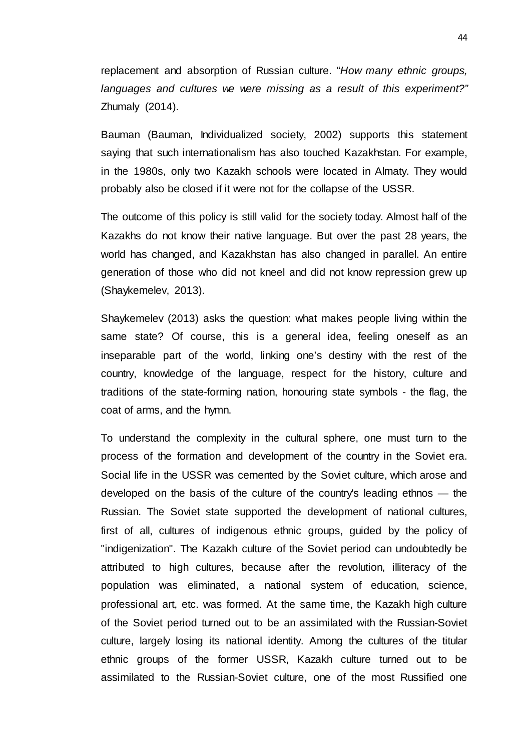replacement and absorption of Russian culture. "*How many ethnic groups, languages and cultures we were missing as a result of this experiment?"*  Zhumaly (2014).

Bauman (Bauman, Individualized society, 2002) supports this statement saying that such internationalism has also touched Kazakhstan. For example, in the 1980s, only two Kazakh schools were located in Almaty. They would probably also be closed if it were not for the collapse of the USSR.

The outcome of this policy is still valid for the society today. Almost half of the Kazakhs do not know their native language. But over the past 28 years, the world has changed, and Kazakhstan has also changed in parallel. An entire generation of those who did not kneel and did not know repression grew up (Shaykemelev, 2013).

Shaykemelev (2013) asks the question: what makes people living within the same state? Of course, this is a general idea, feeling oneself as an inseparable part of the world, linking one's destiny with the rest of the country, knowledge of the language, respect for the history, culture and traditions of the state-forming nation, honouring state symbols - the flag, the coat of arms, and the hymn.

To understand the complexity in the cultural sphere, one must turn to the process of the formation and development of the country in the Soviet era. Social life in the USSR was cemented by the Soviet culture, which arose and developed on the basis of the culture of the country's leading ethnos — the Russian. The Soviet state supported the development of national cultures, first of all, cultures of indigenous ethnic groups, guided by the policy of "indigenization". The Kazakh culture of the Soviet period can undoubtedly be attributed to high cultures, because after the revolution, illiteracy of the population was eliminated, a national system of education, science, professional art, etc. was formed. At the same time, the Kazakh high culture of the Soviet period turned out to be an assimilated with the Russian-Soviet culture, largely losing its national identity. Among the cultures of the titular ethnic groups of the former USSR, Kazakh culture turned out to be assimilated to the Russian-Soviet culture, one of the most Russified one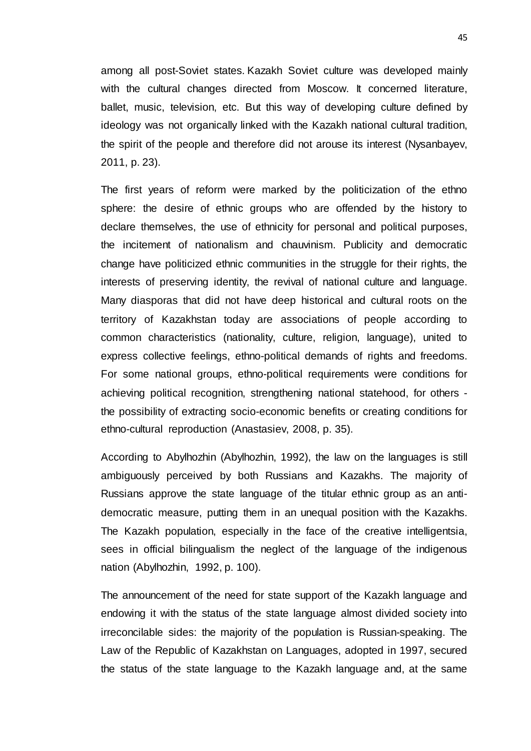among all post-Soviet states. Kazakh Soviet culture was developed mainly with the cultural changes directed from Moscow. It concerned literature, ballet, music, television, etc. But this way of developing culture defined by ideology was not organically linked with the Kazakh national cultural tradition, the spirit of the people and therefore did not arouse its interest (Nysanbayev, 2011, p. 23).

The first years of reform were marked by the politicization of the ethno sphere: the desire of ethnic groups who are offended by the history to declare themselves, the use of ethnicity for personal and political purposes, the incitement of nationalism and chauvinism. Publicity and democratic change have politicized ethnic communities in the struggle for their rights, the interests of preserving identity, the revival of national culture and language. Many diasporas that did not have deep historical and cultural roots on the territory of Kazakhstan today are associations of people according to common characteristics (nationality, culture, religion, language), united to express collective feelings, ethno-political demands of rights and freedoms. For some national groups, ethno-political requirements were conditions for achieving political recognition, strengthening national statehood, for others the possibility of extracting socio-economic benefits or creating conditions for ethno-cultural reproduction (Anastasiev, 2008, p. 35).

According to Abylhozhin (Abylhozhin, 1992), the law on the languages is still ambiguously perceived by both Russians and Kazakhs. The majority of Russians approve the state language of the titular ethnic group as an antidemocratic measure, putting them in an unequal position with the Kazakhs. The Kazakh population, especially in the face of the creative intelligentsia, sees in official bilingualism the neglect of the language of the indigenous nation (Abylhozhin, 1992, p. 100).

The announcement of the need for state support of the Kazakh language and endowing it with the status of the state language almost divided society into irreconcilable sides: the majority of the population is Russian-speaking. The Law of the Republic of Kazakhstan on Languages, adopted in 1997, secured the status of the state language to the Kazakh language and, at the same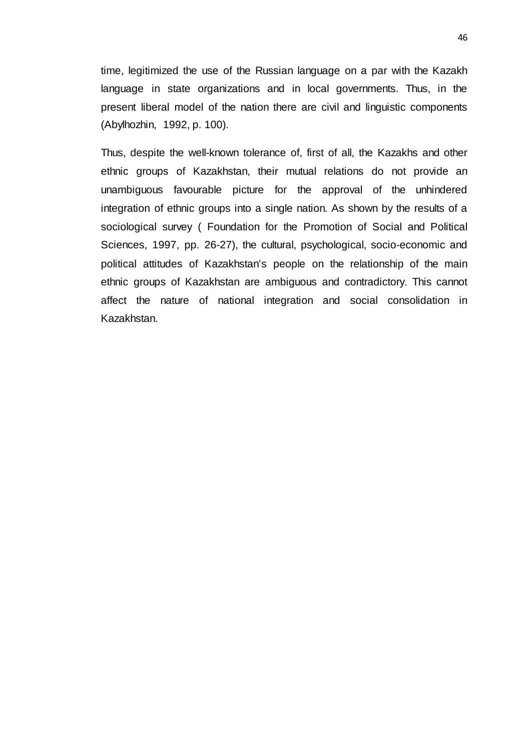time, legitimized the use of the Russian language on a par with the Kazakh language in state organizations and in local governments. Thus, in the present liberal model of the nation there are civil and linguistic components (Abylhozhin, 1992, p. 100).

Thus, despite the well-known tolerance of, first of all, the Kazakhs and other ethnic groups of Kazakhstan, their mutual relations do not provide an unambiguous favourable picture for the approval of the unhindered integration of ethnic groups into a single nation. As shown by the results of a sociological survey ( Foundation for the Promotion of Social and Political Sciences, 1997, pp. 26-27), the cultural, psychological, socio-economic and political attitudes of Kazakhstan's people on the relationship of the main ethnic groups of Kazakhstan are ambiguous and contradictory. This cannot affect the nature of national integration and social consolidation in Kazakhstan.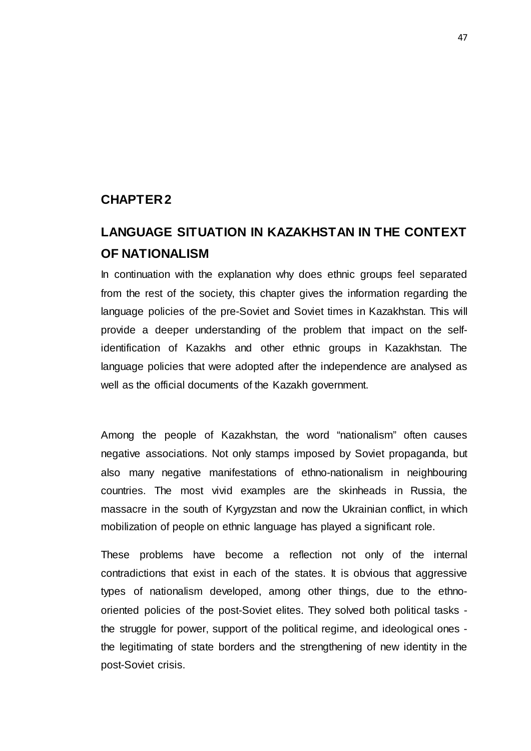### **CHAPTER 2**

# **LANGUAGE SITUATION IN KAZAKHSTAN IN THE CONTEXT OF NATIONALISM**

In continuation with the explanation why does ethnic groups feel separated from the rest of the society, this chapter gives the information regarding the language policies of the pre-Soviet and Soviet times in Kazakhstan. This will provide a deeper understanding of the problem that impact on the selfidentification of Kazakhs and other ethnic groups in Kazakhstan. The language policies that were adopted after the independence are analysed as well as the official documents of the Kazakh government.

Among the people of Kazakhstan, the word "nationalism" often causes negative associations. Not only stamps imposed by Soviet propaganda, but also many negative manifestations of ethno-nationalism in neighbouring countries. The most vivid examples are the skinheads in Russia, the massacre in the south of Kyrgyzstan and now the Ukrainian conflict, in which mobilization of people on ethnic language has played a significant role.

These problems have become a reflection not only of the internal contradictions that exist in each of the states. It is obvious that aggressive types of nationalism developed, among other things, due to the ethnooriented policies of the post-Soviet elites. They solved both political tasks the struggle for power, support of the political regime, and ideological ones the legitimating of state borders and the strengthening of new identity in the post-Soviet crisis.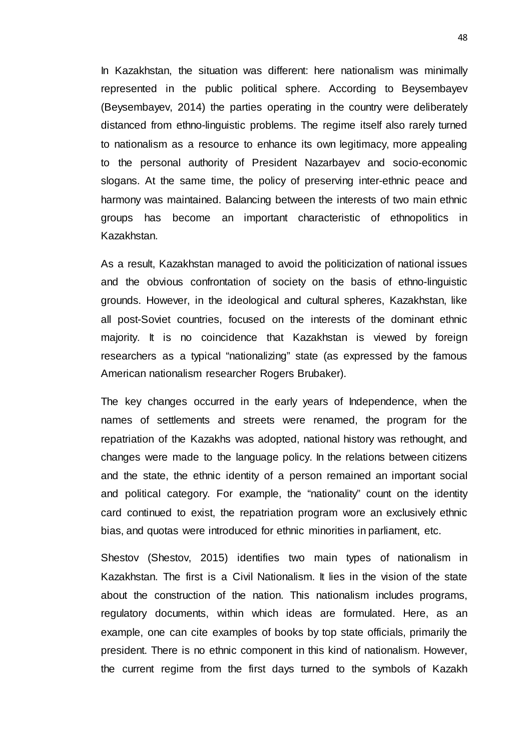In Kazakhstan, the situation was different: here nationalism was minimally represented in the public political sphere. According to Beysembayev (Beysembayev, 2014) the parties operating in the country were deliberately distanced from ethno-linguistic problems. The regime itself also rarely turned to nationalism as a resource to enhance its own legitimacy, more appealing to the personal authority of President Nazarbayev and socio-economic slogans. At the same time, the policy of preserving inter-ethnic peace and harmony was maintained. Balancing between the interests of two main ethnic groups has become an important characteristic of ethnopolitics in Kazakhstan.

As a result, Kazakhstan managed to avoid the politicization of national issues and the obvious confrontation of society on the basis of ethno-linguistic grounds. However, in the ideological and cultural spheres, Kazakhstan, like all post-Soviet countries, focused on the interests of the dominant ethnic majority. It is no coincidence that Kazakhstan is viewed by foreign researchers as a typical "nationalizing" state (as expressed by the famous American nationalism researcher Rogers Brubaker).

The key changes occurred in the early years of Independence, when the names of settlements and streets were renamed, the program for the repatriation of the Kazakhs was adopted, national history was rethought, and changes were made to the language policy. In the relations between citizens and the state, the ethnic identity of a person remained an important social and political category. For example, the "nationality" count on the identity card continued to exist, the repatriation program wore an exclusively ethnic bias, and quotas were introduced for ethnic minorities in parliament, etc.

Shestov (Shestov, 2015) identifies two main types of nationalism in Kazakhstan. The first is a Civil Nationalism. It lies in the vision of the state about the construction of the nation. This nationalism includes programs, regulatory documents, within which ideas are formulated. Here, as an example, one can cite examples of books by top state officials, primarily the president. There is no ethnic component in this kind of nationalism. However, the current regime from the first days turned to the symbols of Kazakh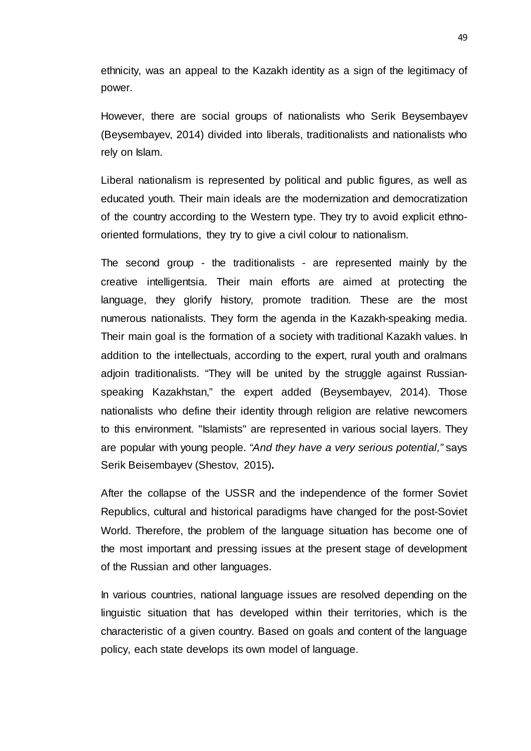ethnicity, was an appeal to the Kazakh identity as a sign of the legitimacy of power.

However, there are social groups of nationalists who Serik Beysembayev (Beysembayev, 2014) divided into liberals, traditionalists and nationalists who rely on Islam.

Liberal nationalism is represented by political and public figures, as well as educated youth. Their main ideals are the modernization and democratization of the country according to the Western type. They try to avoid explicit ethnooriented formulations, they try to give a civil colour to nationalism.

The second group - the traditionalists - are represented mainly by the creative intelligentsia. Their main efforts are aimed at protecting the language, they glorify history, promote tradition. These are the most numerous nationalists. They form the agenda in the Kazakh-speaking media. Their main goal is the formation of a society with traditional Kazakh values. In addition to the intellectuals, according to the expert, rural youth and oralmans adjoin traditionalists. "They will be united by the struggle against Russianspeaking Kazakhstan," the expert added (Beysembayev, 2014). Those nationalists who define their identity through religion are relative newcomers to this environment. "Islamists" are represented in various social layers. They are popular with young people. *"And they have a very serious potential,"* says Serik Beisembayev (Shestov, 2015)**.**

After the collapse of the USSR and the independence of the former Soviet Republics, cultural and historical paradigms have changed for the post-Soviet World. Therefore, the problem of the language situation has become one of the most important and pressing issues at the present stage of development of the Russian and other languages.

In various countries, national language issues are resolved depending on the linguistic situation that has developed within their territories, which is the characteristic of a given country. Based on goals and content of the language policy, each state develops its own model of language.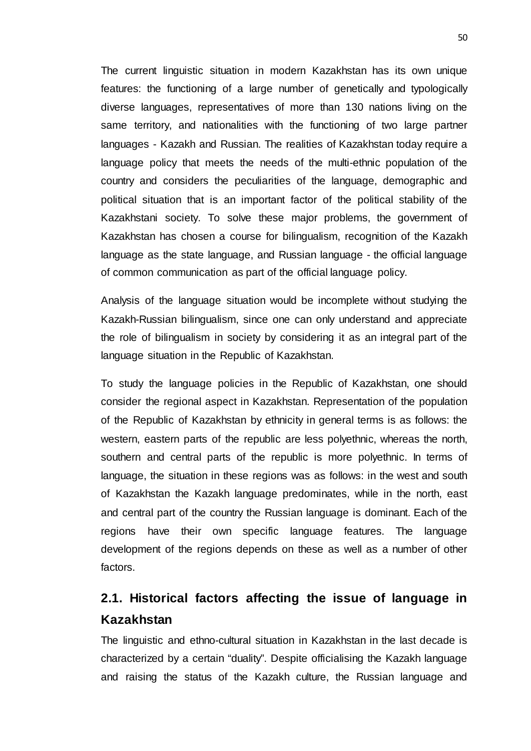The current linguistic situation in modern Kazakhstan has its own unique features: the functioning of a large number of genetically and typologically diverse languages, representatives of more than 130 nations living on the same territory, and nationalities with the functioning of two large partner languages - Kazakh and Russian. The realities of Kazakhstan today require a language policy that meets the needs of the multi-ethnic population of the country and considers the peculiarities of the language, demographic and political situation that is an important factor of the political stability of the Kazakhstani society. To solve these major problems, the government of Kazakhstan has chosen a course for bilingualism, recognition of the Kazakh language as the state language, and Russian language - the official language of common communication as part of the official language policy.

Analysis of the language situation would be incomplete without studying the Kazakh-Russian bilingualism, since one can only understand and appreciate the role of bilingualism in society by considering it as an integral part of the language situation in the Republic of Kazakhstan.

To study the language policies in the Republic of Kazakhstan, one should consider the regional aspect in Kazakhstan. Representation of the population of the Republic of Kazakhstan by ethnicity in general terms is as follows: the western, eastern parts of the republic are less polyethnic, whereas the north, southern and central parts of the republic is more polyethnic. In terms of language, the situation in these regions was as follows: in the west and south of Kazakhstan the Kazakh language predominates, while in the north, east and central part of the country the Russian language is dominant. Each of the regions have their own specific language features. The language development of the regions depends on these as well as a number of other factors.

# **2.1. Historical factors affecting the issue of language in Kazakhstan**

The linguistic and ethno-cultural situation in Kazakhstan in the last decade is characterized by a certain "duality". Despite officialising the Kazakh language and raising the status of the Kazakh culture, the Russian language and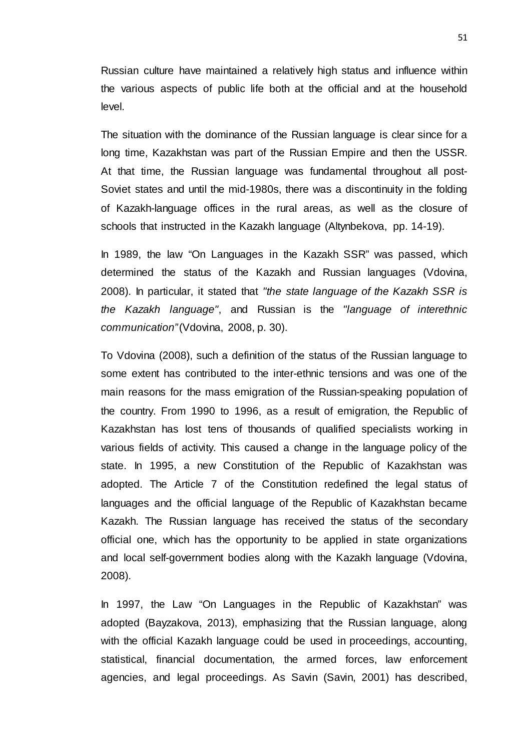Russian culture have maintained a relatively high status and influence within the various aspects of public life both at the official and at the household level.

The situation with the dominance of the Russian language is clear since for a long time, Kazakhstan was part of the Russian Empire and then the USSR. At that time, the Russian language was fundamental throughout all post-Soviet states and until the mid-1980s, there was a discontinuity in the folding of Kazakh-language offices in the rural areas, as well as the closure of schools that instructed in the Kazakh language (Altynbekova, pp. 14-19).

In 1989, the law "On Languages in the Kazakh SSR" was passed, which determined the status of the Kazakh and Russian languages (Vdovina, 2008). In particular, it stated that *"the state language of the Kazakh SSR is the Kazakh language"*, and Russian is the *"language of interethnic communication"* (Vdovina, 2008, p. 30).

To Vdovina (2008), such a definition of the status of the Russian language to some extent has contributed to the inter-ethnic tensions and was one of the main reasons for the mass emigration of the Russian-speaking population of the country. From 1990 to 1996, as a result of emigration, the Republic of Kazakhstan has lost tens of thousands of qualified specialists working in various fields of activity. This caused a change in the language policy of the state. In 1995, a new Constitution of the Republic of Kazakhstan was adopted. The Article 7 of the Constitution redefined the legal status of languages and the official language of the Republic of Kazakhstan became Kazakh. The Russian language has received the status of the secondary official one, which has the opportunity to be applied in state organizations and local self-government bodies along with the Kazakh language (Vdovina, 2008).

In 1997, the Law "On Languages in the Republic of Kazakhstan" was adopted (Bayzakova, 2013), emphasizing that the Russian language, along with the official Kazakh language could be used in proceedings, accounting, statistical, financial documentation, the armed forces, law enforcement agencies, and legal proceedings. As Savin (Savin, 2001) has described,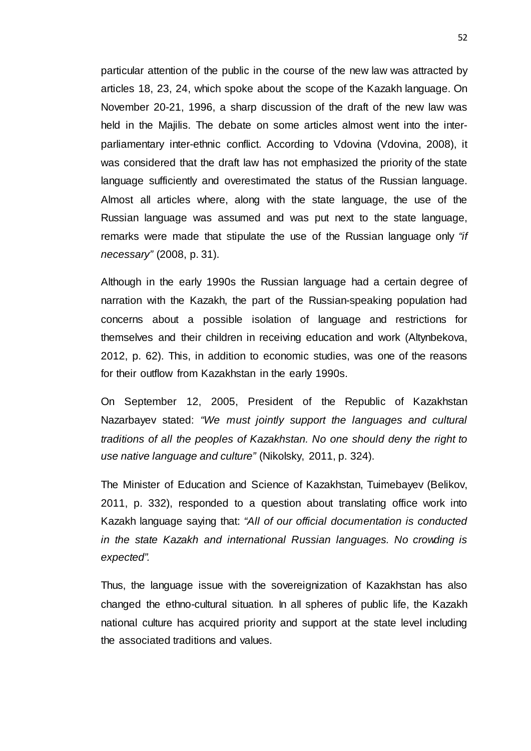particular attention of the public in the course of the new law was attracted by articles 18, 23, 24, which spoke about the scope of the Kazakh language. On November 20-21, 1996, a sharp discussion of the draft of the new law was held in the Majilis. The debate on some articles almost went into the interparliamentary inter-ethnic conflict. According to Vdovina (Vdovina, 2008), it was considered that the draft law has not emphasized the priority of the state language sufficiently and overestimated the status of the Russian language. Almost all articles where, along with the state language, the use of the Russian language was assumed and was put next to the state language, remarks were made that stipulate the use of the Russian language only *"if necessary"* (2008, p. 31).

Although in the early 1990s the Russian language had a certain degree of narration with the Kazakh, the part of the Russian-speaking population had concerns about a possible isolation of language and restrictions for themselves and their children in receiving education and work (Altynbekova, 2012, p. 62). This, in addition to economic studies, was one of the reasons for their outflow from Kazakhstan in the early 1990s.

On September 12, 2005, President of the Republic of Kazakhstan Nazarbayev stated: *"We must jointly support the languages and cultural traditions of all the peoples of Kazakhstan. No one should deny the right to use native language and culture"* (Nikolsky, 2011, p. 324).

The Minister of Education and Science of Kazakhstan, Tuimebayev (Belikov, 2011, p. 332), responded to a question about translating office work into Kazakh language saying that: *"All of our official documentation is conducted in the state Kazakh and international Russian languages. No crowding is expected".*

Thus, the language issue with the sovereignization of Kazakhstan has also changed the ethno-cultural situation. In all spheres of public life, the Kazakh national culture has acquired priority and support at the state level including the associated traditions and values.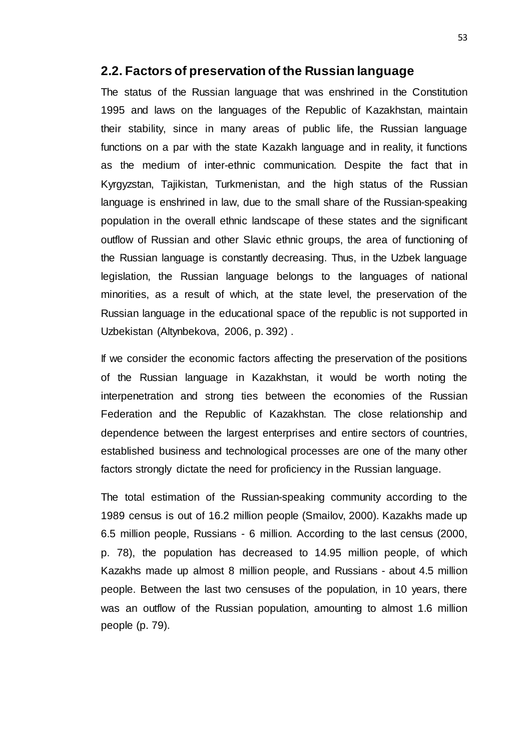#### **2.2. Factors of preservation of the Russian language**

The status of the Russian language that was enshrined in the Constitution 1995 and laws on the languages of the Republic of Kazakhstan, maintain their stability, since in many areas of public life, the Russian language functions on a par with the state Kazakh language and in reality, it functions as the medium of inter-ethnic communication. Despite the fact that in Kyrgyzstan, Tajikistan, Turkmenistan, and the high status of the Russian language is enshrined in law, due to the small share of the Russian-speaking population in the overall ethnic landscape of these states and the significant outflow of Russian and other Slavic ethnic groups, the area of functioning of the Russian language is constantly decreasing. Thus, in the Uzbek language legislation, the Russian language belongs to the languages of national minorities, as a result of which, at the state level, the preservation of the Russian language in the educational space of the republic is not supported in Uzbekistan (Altynbekova, 2006, p. 392) .

If we consider the economic factors affecting the preservation of the positions of the Russian language in Kazakhstan, it would be worth noting the interpenetration and strong ties between the economies of the Russian Federation and the Republic of Kazakhstan. The close relationship and dependence between the largest enterprises and entire sectors of countries, established business and technological processes are one of the many other factors strongly dictate the need for proficiency in the Russian language.

The total estimation of the Russian-speaking community according to the 1989 census is out of 16.2 million people (Smailov, 2000). Kazakhs made up 6.5 million people, Russians - 6 million. According to the last census (2000, p. 78), the population has decreased to 14.95 million people, of which Kazakhs made up almost 8 million people, and Russians - about 4.5 million people. Between the last two censuses of the population, in 10 years, there was an outflow of the Russian population, amounting to almost 1.6 million people (p. 79).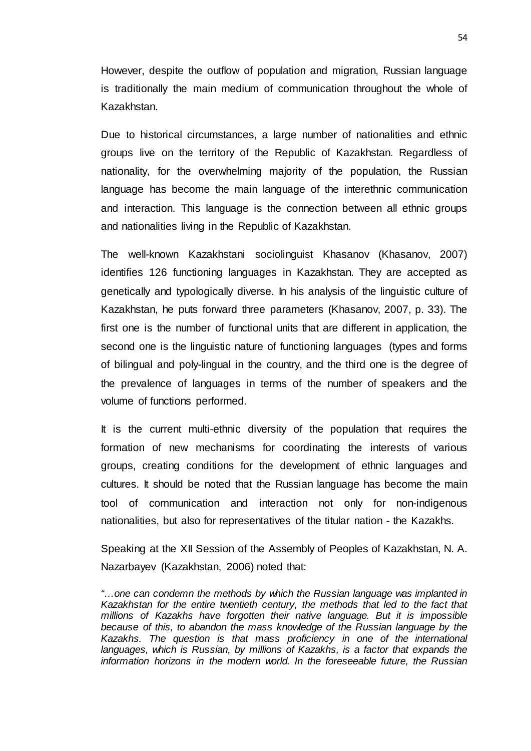However, despite the outflow of population and migration, Russian language is traditionally the main medium of communication throughout the whole of Kazakhstan.

Due to historical circumstances, a large number of nationalities and ethnic groups live on the territory of the Republic of Kazakhstan. Regardless of nationality, for the overwhelming majority of the population, the Russian language has become the main language of the interethnic communication and interaction. This language is the connection between all ethnic groups and nationalities living in the Republic of Kazakhstan.

The well-known Kazakhstani sociolinguist Khasanov (Khasanov, 2007) identifies 126 functioning languages in Kazakhstan. They are accepted as genetically and typologically diverse. In his analysis of the linguistic culture of Kazakhstan, he puts forward three parameters (Khasanov, 2007, p. 33). The first one is the number of functional units that are different in application, the second one is the linguistic nature of functioning languages (types and forms of bilingual and poly-lingual in the country, and the third one is the degree of the prevalence of languages in terms of the number of speakers and the volume of functions performed.

It is the current multi-ethnic diversity of the population that requires the formation of new mechanisms for coordinating the interests of various groups, creating conditions for the development of ethnic languages and cultures. It should be noted that the Russian language has become the main tool of communication and interaction not only for non-indigenous nationalities, but also for representatives of the titular nation - the Kazakhs.

Speaking at the XII Session of the Assembly of Peoples of Kazakhstan, N. A. Nazarbayev (Kazakhstan, 2006) noted that:

*<sup>&</sup>quot;…one can condemn the methods by which the Russian language was implanted in Kazakhstan for the entire twentieth century, the methods that led to the fact that millions of Kazakhs have forgotten their native language. But it is impossible because of this, to abandon the mass knowledge of the Russian language by the Kazakhs. The question is that mass proficiency in one of the international languages, which is Russian, by millions of Kazakhs, is a factor that expands the information horizons in the modern world. In the foreseeable future, the Russian*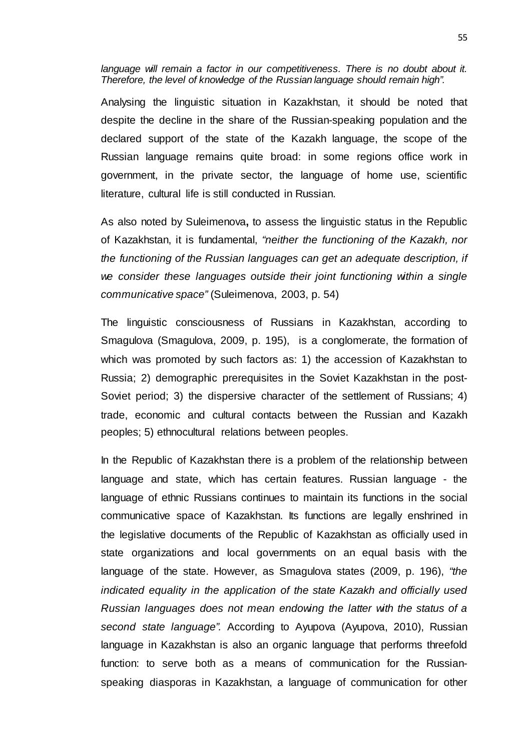language will remain a factor in our competitiveness. There is no doubt about it. *Therefore, the level of knowledge of the Russian language should remain high".*

Analysing the linguistic situation in Kazakhstan, it should be noted that despite the decline in the share of the Russian-speaking population and the declared support of the state of the Kazakh language, the scope of the Russian language remains quite broad: in some regions office work in government, in the private sector, the language of home use, scientific literature, cultural life is still conducted in Russian.

As also noted by Suleimenova**,** to assess the linguistic status in the Republic of Kazakhstan, it is fundamental, *"neither the functioning of the Kazakh, nor the functioning of the Russian languages can get an adequate description, if we consider these languages outside their joint functioning within a single communicative space"* (Suleimenova, 2003, p. 54)

The linguistic consciousness of Russians in Kazakhstan, according to Smagulova (Smagulova, 2009, p. 195), is a conglomerate, the formation of which was promoted by such factors as: 1) the accession of Kazakhstan to Russia; 2) demographic prerequisites in the Soviet Kazakhstan in the post-Soviet period; 3) the dispersive character of the settlement of Russians; 4) trade, economic and cultural contacts between the Russian and Kazakh peoples; 5) ethnocultural relations between peoples.

In the Republic of Kazakhstan there is a problem of the relationship between language and state, which has certain features. Russian language - the language of ethnic Russians continues to maintain its functions in the social communicative space of Kazakhstan. Its functions are legally enshrined in the legislative documents of the Republic of Kazakhstan as officially used in state organizations and local governments on an equal basis with the language of the state. However, as Smagulova states (2009, p. 196), *"the indicated equality in the application of the state Kazakh and officially used Russian languages does not mean endowing the latter with the status of a second state language".* According to Ayupova (Ayupova, 2010), Russian language in Kazakhstan is also an organic language that performs threefold function: to serve both as a means of communication for the Russianspeaking diasporas in Kazakhstan, a language of communication for other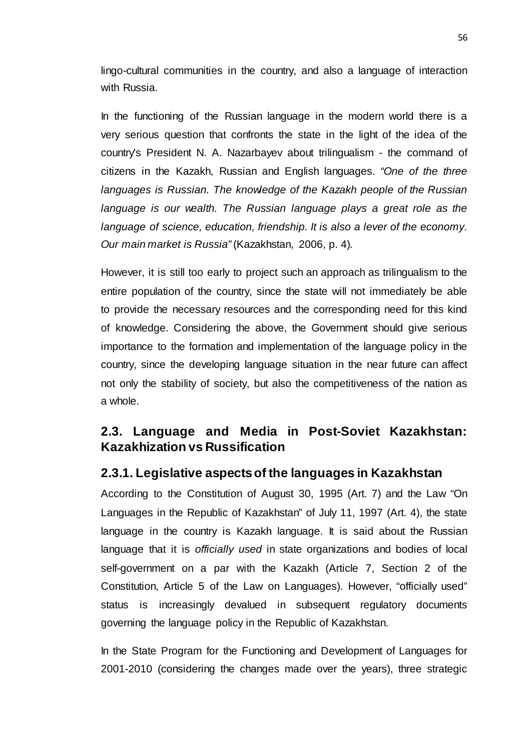lingo-cultural communities in the country, and also a language of interaction with Russia.

In the functioning of the Russian language in the modern world there is a very serious question that confronts the state in the light of the idea of the country's President N. A. Nazarbayev about trilingualism - the command of citizens in the Kazakh, Russian and English languages. *"One of the three languages is Russian. The knowledge of the Kazakh people of the Russian*  language is our wealth. The Russian language plays a great role as the *language of science, education, friendship. It is also a lever of the economy. Our main market is Russia"* (Kazakhstan, 2006, p. 4)*.*

However, it is still too early to project such an approach as trilingualism to the entire population of the country, since the state will not immediately be able to provide the necessary resources and the corresponding need for this kind of knowledge. Considering the above, the Government should give serious importance to the formation and implementation of the language policy in the country, since the developing language situation in the near future can affect not only the stability of society, but also the competitiveness of the nation as a whole.

## **2.3. Language and Media in Post-Soviet Kazakhstan: Kazakhization vs Russification**

### **2.3.1. Legislative aspects of the languages in Kazakhstan**

According to the Constitution of August 30, 1995 (Art. 7) and the Law "On Languages in the Republic of Kazakhstan" of July 11, 1997 (Art. 4), the state language in the country is Kazakh language. It is said about the Russian language that it is *officially used* in state organizations and bodies of local self-government on a par with the Kazakh (Article 7, Section 2 of the Constitution, Article 5 of the Law on Languages). However, "officially used" status is increasingly devalued in subsequent regulatory documents governing the language policy in the Republic of Kazakhstan.

In the State Program for the Functioning and Development of Languages for 2001-2010 (considering the changes made over the years), three strategic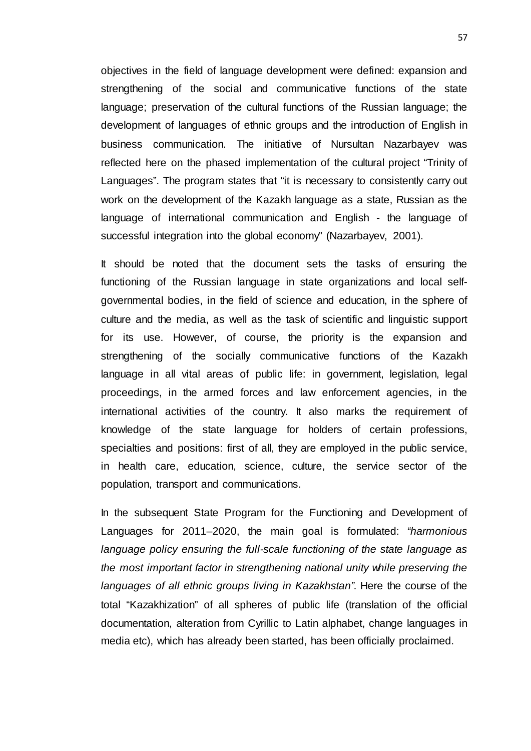objectives in the field of language development were defined: expansion and strengthening of the social and communicative functions of the state language; preservation of the cultural functions of the Russian language; the development of languages of ethnic groups and the introduction of English in business communication. The initiative of Nursultan Nazarbayev was reflected here on the phased implementation of the cultural project "Trinity of Languages". The program states that "it is necessary to consistently carry out work on the development of the Kazakh language as a state, Russian as the language of international communication and English - the language of successful integration into the global economy" (Nazarbayev, 2001).

It should be noted that the document sets the tasks of ensuring the functioning of the Russian language in state organizations and local selfgovernmental bodies, in the field of science and education, in the sphere of culture and the media, as well as the task of scientific and linguistic support for its use. However, of course, the priority is the expansion and strengthening of the socially communicative functions of the Kazakh language in all vital areas of public life: in government, legislation, legal proceedings, in the armed forces and law enforcement agencies, in the international activities of the country. It also marks the requirement of knowledge of the state language for holders of certain professions, specialties and positions: first of all, they are employed in the public service, in health care, education, science, culture, the service sector of the population, transport and communications.

In the subsequent State Program for the Functioning and Development of Languages for 2011–2020, the main goal is formulated: *"harmonious language policy ensuring the full-scale functioning of the state language as the most important factor in strengthening national unity while preserving the languages of all ethnic groups living in Kazakhstan"*. Here the course of the total "Kazakhization" of all spheres of public life (translation of the official documentation, alteration from Cyrillic to Latin alphabet, change languages in media etc), which has already been started, has been officially proclaimed.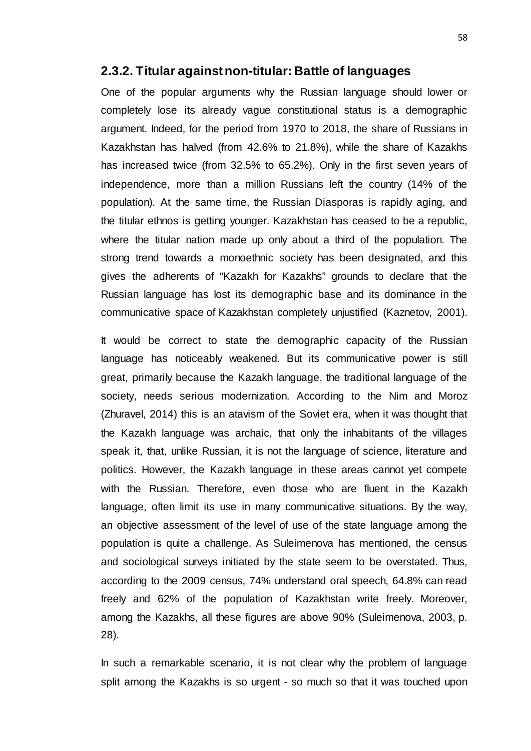#### **2.3.2. Titular against non-titular: Battle of languages**

One of the popular arguments why the Russian language should lower or completely lose its already vague constitutional status is a demographic argument. Indeed, for the period from 1970 to 2018, the share of Russians in Kazakhstan has halved (from 42.6% to 21.8%), while the share of Kazakhs has increased twice (from 32.5% to 65.2%). Only in the first seven years of independence, more than a million Russians left the country (14% of the population). At the same time, the Russian Diasporas is rapidly aging, and the titular ethnos is getting younger. Kazakhstan has ceased to be a republic, where the titular nation made up only about a third of the population. The strong trend towards a monoethnic society has been designated, and this gives the adherents of "Kazakh for Kazakhs" grounds to declare that the Russian language has lost its demographic base and its dominance in the communicative space of Kazakhstan completely unjustified (Kaznetov, 2001).

It would be correct to state the demographic capacity of the Russian language has noticeably weakened. But its communicative power is still great, primarily because the Kazakh language, the traditional language of the society, needs serious modernization. According to the Nim and Moroz (Zhuravel, 2014) this is an atavism of the Soviet era, when it was thought that the Kazakh language was archaic, that only the inhabitants of the villages speak it, that, unlike Russian, it is not the language of science, literature and politics. However, the Kazakh language in these areas cannot yet compete with the Russian. Therefore, even those who are fluent in the Kazakh language, often limit its use in many communicative situations. By the way, an objective assessment of the level of use of the state language among the population is quite a challenge. As Suleimenova has mentioned, the census and sociological surveys initiated by the state seem to be overstated. Thus, according to the 2009 census, 74% understand oral speech, 64.8% can read freely and 62% of the population of Kazakhstan write freely. Moreover, among the Kazakhs, all these figures are above 90% (Suleimenova, 2003, p. 28).

In such a remarkable scenario, it is not clear why the problem of language split among the Kazakhs is so urgent - so much so that it was touched upon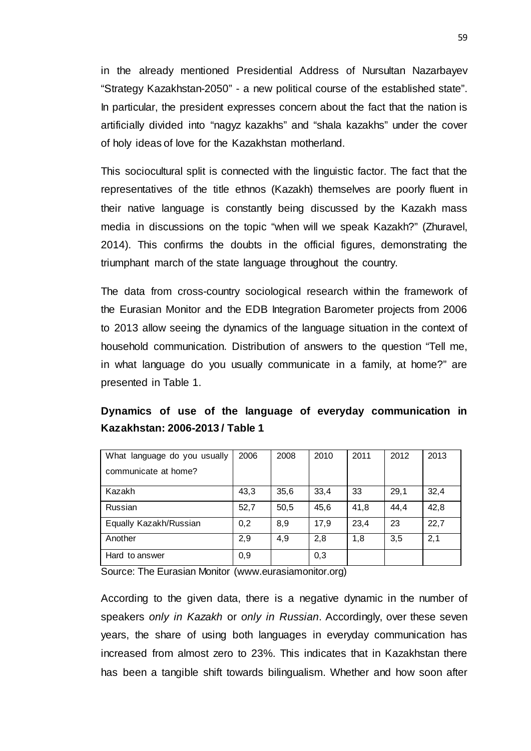in the already mentioned Presidential Address of Nursultan Nazarbayev "Strategy Kazakhstan-2050" - a new political course of the established state". In particular, the president expresses concern about the fact that the nation is artificially divided into "nagyz kazakhs" and "shala kazakhs" under the cover of holy ideas of love for the Kazakhstan motherland.

This sociocultural split is connected with the linguistic factor. The fact that the representatives of the title ethnos (Kazakh) themselves are poorly fluent in their native language is constantly being discussed by the Kazakh mass media in discussions on the topic "when will we speak Kazakh?" (Zhuravel, 2014). This confirms the doubts in the official figures, demonstrating the triumphant march of the state language throughout the country.

The data from cross-country sociological research within the framework of the Eurasian Monitor and the EDB Integration Barometer projects from 2006 to 2013 allow seeing the dynamics of the language situation in the context of household communication. Distribution of answers to the question "Tell me, in what language do you usually communicate in a family, at home?" are presented in Table 1.

### **Dynamics of use of the language of everyday communication in Kazakhstan: 2006-2013 / Table 1**

| What language do you usually | 2006 | 2008 | 2010 | 2011 | 2012 | 2013 |
|------------------------------|------|------|------|------|------|------|
| communicate at home?         |      |      |      |      |      |      |
| Kazakh                       | 43,3 | 35,6 | 33,4 | 33   | 29,1 | 32,4 |
| Russian                      | 52,7 | 50,5 | 45,6 | 41,8 | 44,4 | 42,8 |
| Equally Kazakh/Russian       | 0,2  | 8,9  | 17,9 | 23,4 | 23   | 22,7 |
| Another                      | 2,9  | 4,9  | 2,8  | 1,8  | 3,5  | 2,1  |
| Hard to answer               | 0,9  |      | 0,3  |      |      |      |

Source: The Eurasian Monitor (www.eurasiamonitor.org)

According to the given data, there is a negative dynamic in the number of speakers *only in Kazakh* or *only in Russian*. Accordingly, over these seven years, the share of using both languages in everyday communication has increased from almost zero to 23%. This indicates that in Kazakhstan there has been a tangible shift towards bilingualism. Whether and how soon after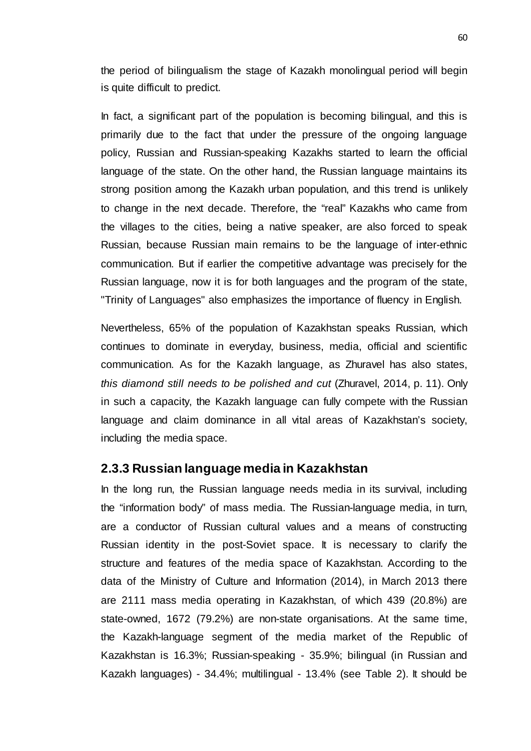the period of bilingualism the stage of Kazakh monolingual period will begin is quite difficult to predict.

In fact, a significant part of the population is becoming bilingual, and this is primarily due to the fact that under the pressure of the ongoing language policy, Russian and Russian-speaking Kazakhs started to learn the official language of the state. On the other hand, the Russian language maintains its strong position among the Kazakh urban population, and this trend is unlikely to change in the next decade. Therefore, the "real" Kazakhs who came from the villages to the cities, being a native speaker, are also forced to speak Russian, because Russian main remains to be the language of inter-ethnic communication. But if earlier the competitive advantage was precisely for the Russian language, now it is for both languages and the program of the state, "Trinity of Languages" also emphasizes the importance of fluency in English.

Nevertheless, 65% of the population of Kazakhstan speaks Russian, which continues to dominate in everyday, business, media, official and scientific communication. As for the Kazakh language, as Zhuravel has also states, *this diamond still needs to be polished and cut* (Zhuravel, 2014, p. 11). Only in such a capacity, the Kazakh language can fully compete with the Russian language and claim dominance in all vital areas of Kazakhstan's society, including the media space.

#### **2.3.3 Russian language media in Kazakhstan**

In the long run, the Russian language needs media in its survival, including the "information body" of mass media. The Russian-language media, in turn, are a conductor of Russian cultural values and a means of constructing Russian identity in the post-Soviet space. It is necessary to clarify the structure and features of the media space of Kazakhstan. According to the data of the Ministry of Culture and Information (2014), in March 2013 there are 2111 mass media operating in Kazakhstan, of which 439 (20.8%) are state-owned, 1672 (79.2%) are non-state organisations. At the same time, the Kazakh-language segment of the media market of the Republic of Kazakhstan is 16.3%; Russian-speaking - 35.9%; bilingual (in Russian and Kazakh languages) - 34.4%; multilingual - 13.4% (see Table 2). It should be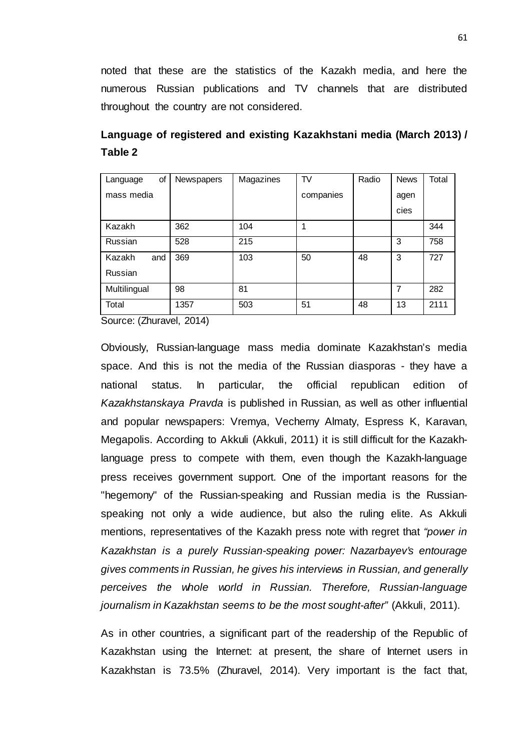noted that these are the statistics of the Kazakh media, and here the numerous Russian publications and TV channels that are distributed throughout the country are not considered.

| οf<br>Language | Newspapers | Magazines | TV        | Radio | <b>News</b> | Total |
|----------------|------------|-----------|-----------|-------|-------------|-------|
| mass media     |            |           | companies |       | agen        |       |
|                |            |           |           |       | cies        |       |
| Kazakh         | 362        | 104       |           |       |             | 344   |
| Russian        | 528        | 215       |           |       | 3           | 758   |
| Kazakh<br>and  | 369        | 103       | 50        | 48    | 3           | 727   |
| Russian        |            |           |           |       |             |       |
| Multilingual   | 98         | 81        |           |       | 7           | 282   |
| Total          | 1357       | 503       | 51        | 48    | 13          | 2111  |

**Language of registered and existing Kazakhstani media (March 2013) / Table 2**

Source: (Zhuravel, 2014)

Obviously, Russian-language mass media dominate Kazakhstan's media space. And this is not the media of the Russian diasporas - they have a national status. In particular, the official republican edition of *Kazakhstanskaya Pravda* is published in Russian, as well as other influential and popular newspapers: Vremya, Vecherny Almaty, Espress K, Karavan, Megapolis. According to Akkuli (Akkuli, 2011) it is still difficult for the Kazakhlanguage press to compete with them, even though the Kazakh-language press receives government support. One of the important reasons for the "hegemony" of the Russian-speaking and Russian media is the Russianspeaking not only a wide audience, but also the ruling elite. As Akkuli mentions, representatives of the Kazakh press note with regret that *"power in Kazakhstan is a purely Russian-speaking power: Nazarbayev's entourage gives comments in Russian, he gives his interviews in Russian, and generally perceives the whole world in Russian. Therefore, Russian-language journalism in Kazakhstan seems to be the most sought-after"* (Akkuli, 2011).

As in other countries, a significant part of the readership of the Republic of Kazakhstan using the Internet: at present, the share of Internet users in Kazakhstan is 73.5% (Zhuravel, 2014). Very important is the fact that,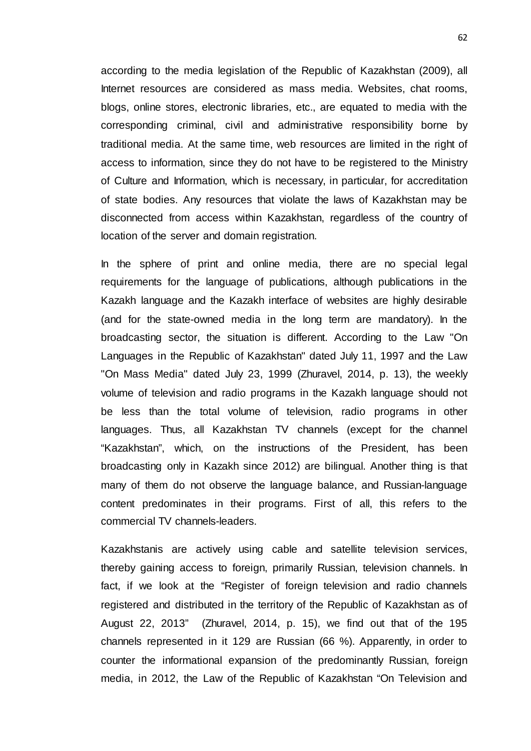according to the media legislation of the Republic of Kazakhstan (2009), all Internet resources are considered as mass media. Websites, chat rooms, blogs, online stores, electronic libraries, etc., are equated to media with the corresponding criminal, civil and administrative responsibility borne by traditional media. At the same time, web resources are limited in the right of access to information, since they do not have to be registered to the Ministry of Culture and Information, which is necessary, in particular, for accreditation of state bodies. Any resources that violate the laws of Kazakhstan may be disconnected from access within Kazakhstan, regardless of the country of location of the server and domain registration.

In the sphere of print and online media, there are no special legal requirements for the language of publications, although publications in the Kazakh language and the Kazakh interface of websites are highly desirable (and for the state-owned media in the long term are mandatory). In the broadcasting sector, the situation is different. According to the Law "On Languages in the Republic of Kazakhstan" dated July 11, 1997 and the Law "On Mass Media" dated July 23, 1999 (Zhuravel, 2014, p. 13), the weekly volume of television and radio programs in the Kazakh language should not be less than the total volume of television, radio programs in other languages. Thus, all Kazakhstan TV channels (except for the channel "Kazakhstan", which, on the instructions of the President, has been broadcasting only in Kazakh since 2012) are bilingual. Another thing is that many of them do not observe the language balance, and Russian-language content predominates in their programs. First of all, this refers to the commercial TV channels-leaders.

Kazakhstanis are actively using cable and satellite television services, thereby gaining access to foreign, primarily Russian, television channels. In fact, if we look at the "Register of foreign television and radio channels registered and distributed in the territory of the Republic of Kazakhstan as of August 22, 2013" (Zhuravel, 2014, p. 15), we find out that of the 195 channels represented in it 129 are Russian (66 %). Apparently, in order to counter the informational expansion of the predominantly Russian, foreign media, in 2012, the Law of the Republic of Kazakhstan "On Television and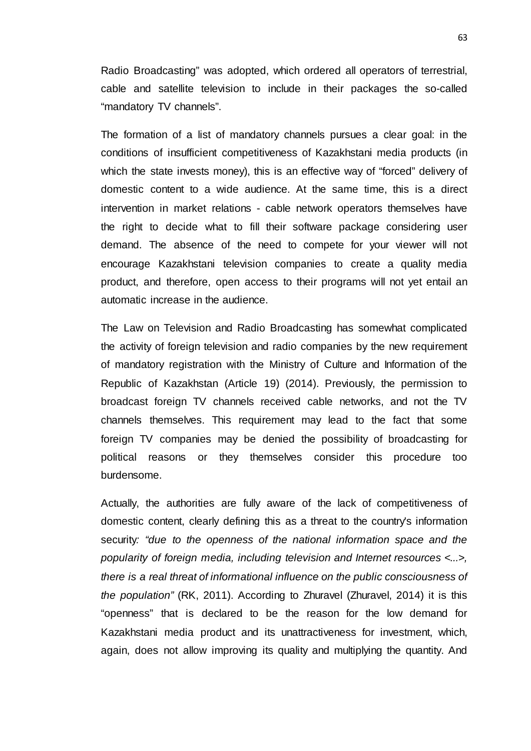Radio Broadcasting" was adopted, which ordered all operators of terrestrial, cable and satellite television to include in their packages the so-called "mandatory TV channels".

The formation of a list of mandatory channels pursues a clear goal: in the conditions of insufficient competitiveness of Kazakhstani media products (in which the state invests money), this is an effective way of "forced" delivery of domestic content to a wide audience. At the same time, this is a direct intervention in market relations - cable network operators themselves have the right to decide what to fill their software package considering user demand. The absence of the need to compete for your viewer will not encourage Kazakhstani television companies to create a quality media product, and therefore, open access to their programs will not yet entail an automatic increase in the audience.

The Law on Television and Radio Broadcasting has somewhat complicated the activity of foreign television and radio companies by the new requirement of mandatory registration with the Ministry of Culture and Information of the Republic of Kazakhstan (Article 19) (2014). Previously, the permission to broadcast foreign TV channels received cable networks, and not the TV channels themselves. This requirement may lead to the fact that some foreign TV companies may be denied the possibility of broadcasting for political reasons or they themselves consider this procedure too burdensome.

Actually, the authorities are fully aware of the lack of competitiveness of domestic content, clearly defining this as a threat to the country's information security*: "due to the openness of the national information space and the popularity of foreign media, including television and Internet resources <...>, there is a real threat of informational influence on the public consciousness of the population"* (RK, 2011). According to Zhuravel (Zhuravel, 2014) it is this "openness" that is declared to be the reason for the low demand for Kazakhstani media product and its unattractiveness for investment, which, again, does not allow improving its quality and multiplying the quantity. And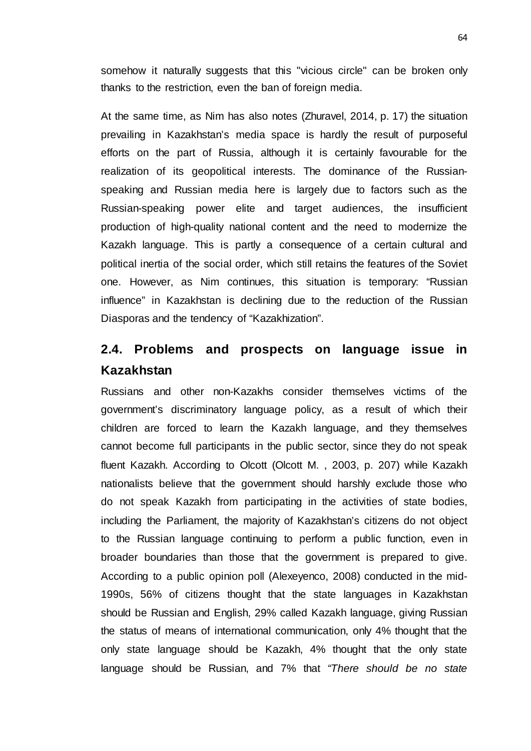somehow it naturally suggests that this "vicious circle" can be broken only thanks to the restriction, even the ban of foreign media.

At the same time, as Nim has also notes (Zhuravel, 2014, p. 17) the situation prevailing in Kazakhstan's media space is hardly the result of purposeful efforts on the part of Russia, although it is certainly favourable for the realization of its geopolitical interests. The dominance of the Russianspeaking and Russian media here is largely due to factors such as the Russian-speaking power elite and target audiences, the insufficient production of high-quality national content and the need to modernize the Kazakh language. This is partly a consequence of a certain cultural and political inertia of the social order, which still retains the features of the Soviet one. However, as Nim continues, this situation is temporary: "Russian influence" in Kazakhstan is declining due to the reduction of the Russian Diasporas and the tendency of "Kazakhization".

## **2.4. Problems and prospects on language issue in Kazakhstan**

Russians and other non-Kazakhs consider themselves victims of the government's discriminatory language policy, as a result of which their children are forced to learn the Kazakh language, and they themselves cannot become full participants in the public sector, since they do not speak fluent Kazakh. According to Olcott (Olcott M. , 2003, p. 207) while Kazakh nationalists believe that the government should harshly exclude those who do not speak Kazakh from participating in the activities of state bodies, including the Parliament, the majority of Kazakhstan's citizens do not object to the Russian language continuing to perform a public function, even in broader boundaries than those that the government is prepared to give. According to a public opinion poll (Alexeyenco, 2008) conducted in the mid-1990s, 56% of citizens thought that the state languages in Kazakhstan should be Russian and English, 29% called Kazakh language, giving Russian the status of means of international communication, only 4% thought that the only state language should be Kazakh, 4% thought that the only state language should be Russian, and 7% that *"There should be no state*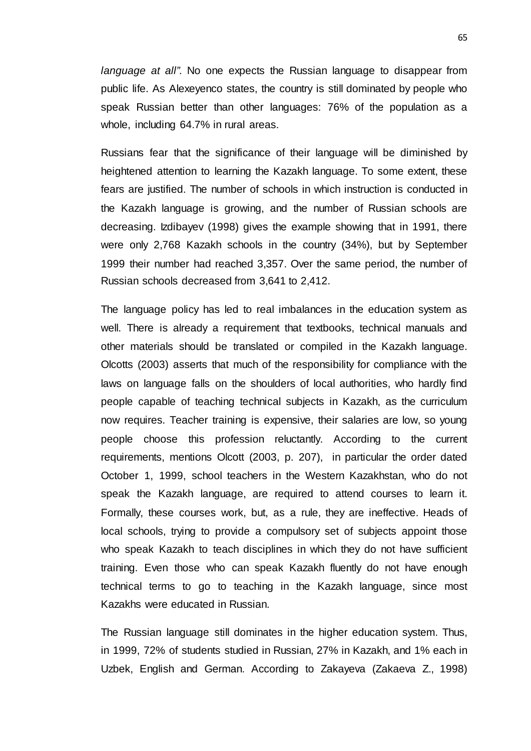*language at all"*. No one expects the Russian language to disappear from public life. As Alexeyenco states, the country is still dominated by people who speak Russian better than other languages: 76% of the population as a whole, including 64.7% in rural areas.

Russians fear that the significance of their language will be diminished by heightened attention to learning the Kazakh language. To some extent, these fears are justified. The number of schools in which instruction is conducted in the Kazakh language is growing, and the number of Russian schools are decreasing. Izdibayev (1998) gives the example showing that in 1991, there were only 2,768 Kazakh schools in the country (34%), but by September 1999 their number had reached 3,357. Over the same period, the number of Russian schools decreased from 3,641 to 2,412.

The language policy has led to real imbalances in the education system as well. There is already a requirement that textbooks, technical manuals and other materials should be translated or compiled in the Kazakh language. Olcotts (2003) asserts that much of the responsibility for compliance with the laws on language falls on the shoulders of local authorities, who hardly find people capable of teaching technical subjects in Kazakh, as the curriculum now requires. Teacher training is expensive, their salaries are low, so young people choose this profession reluctantly. According to the current requirements, mentions Olcott (2003, p. 207), in particular the order dated October 1, 1999, school teachers in the Western Kazakhstan, who do not speak the Kazakh language, are required to attend courses to learn it. Formally, these courses work, but, as a rule, they are ineffective. Heads of local schools, trying to provide a compulsory set of subjects appoint those who speak Kazakh to teach disciplines in which they do not have sufficient training. Even those who can speak Kazakh fluently do not have enough technical terms to go to teaching in the Kazakh language, since most Kazakhs were educated in Russian.

The Russian language still dominates in the higher education system. Thus, in 1999, 72% of students studied in Russian, 27% in Kazakh, and 1% each in Uzbek, English and German. According to Zakayeva (Zakaeva Z., 1998)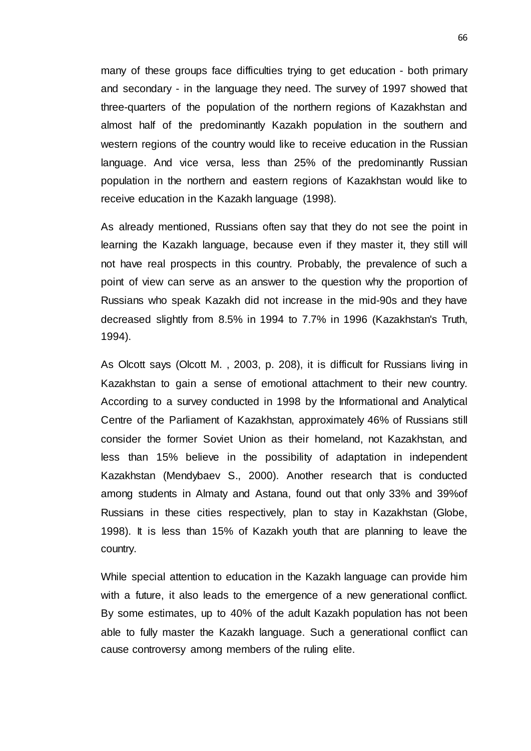many of these groups face difficulties trying to get education - both primary and secondary - in the language they need. The survey of 1997 showed that three-quarters of the population of the northern regions of Kazakhstan and almost half of the predominantly Kazakh population in the southern and western regions of the country would like to receive education in the Russian language. And vice versa, less than 25% of the predominantly Russian population in the northern and eastern regions of Kazakhstan would like to receive education in the Kazakh language (1998).

As already mentioned, Russians often say that they do not see the point in learning the Kazakh language, because even if they master it, they still will not have real prospects in this country. Probably, the prevalence of such a point of view can serve as an answer to the question why the proportion of Russians who speak Kazakh did not increase in the mid-90s and they have decreased slightly from 8.5% in 1994 to 7.7% in 1996 (Kazakhstan's Truth, 1994).

As Olcott says (Olcott M. , 2003, p. 208), it is difficult for Russians living in Kazakhstan to gain a sense of emotional attachment to their new country. According to a survey conducted in 1998 by the Informational and Analytical Centre of the Parliament of Kazakhstan, approximately 46% of Russians still consider the former Soviet Union as their homeland, not Kazakhstan, and less than 15% believe in the possibility of adaptation in independent Kazakhstan (Mendybaev S., 2000). Another research that is conducted among students in Almaty and Astana, found out that only 33% and 39%of Russians in these cities respectively, plan to stay in Kazakhstan (Globe, 1998). It is less than 15% of Kazakh youth that are planning to leave the country.

While special attention to education in the Kazakh language can provide him with a future, it also leads to the emergence of a new generational conflict. By some estimates, up to 40% of the adult Kazakh population has not been able to fully master the Kazakh language. Such a generational conflict can cause controversy among members of the ruling elite.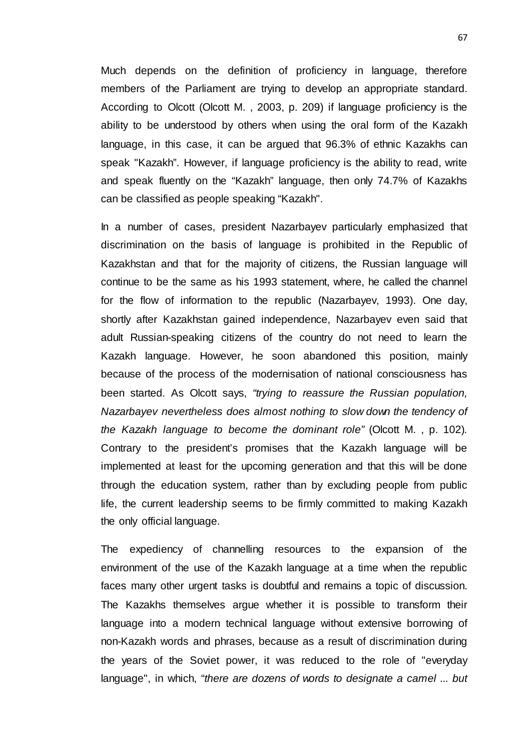Much depends on the definition of proficiency in language, therefore members of the Parliament are trying to develop an appropriate standard. According to Olcott (Olcott M. , 2003, p. 209) if language proficiency is the ability to be understood by others when using the oral form of the Kazakh language, in this case, it can be argued that 96.3% of ethnic Kazakhs can speak "Kazakh". However, if language proficiency is the ability to read, write and speak fluently on the "Kazakh" language, then only 74.7% of Kazakhs can be classified as people speaking "Kazakh".

In a number of cases, president Nazarbayev particularly emphasized that discrimination on the basis of language is prohibited in the Republic of Kazakhstan and that for the majority of citizens, the Russian language will continue to be the same as his 1993 statement, where, he called the channel for the flow of information to the republic (Nazarbayev, 1993). One day, shortly after Kazakhstan gained independence, Nazarbayev even said that adult Russian-speaking citizens of the country do not need to learn the Kazakh language. However, he soon abandoned this position, mainly because of the process of the modernisation of national consciousness has been started. As Olcott says, *"trying to reassure the Russian population, Nazarbayev nevertheless does almost nothing to slow down the tendency of the Kazakh language to become the dominant role"* (Olcott M. , p. 102)*.*  Contrary to the president's promises that the Kazakh language will be implemented at least for the upcoming generation and that this will be done through the education system, rather than by excluding people from public life, the current leadership seems to be firmly committed to making Kazakh the only official language.

The expediency of channelling resources to the expansion of the environment of the use of the Kazakh language at a time when the republic faces many other urgent tasks is doubtful and remains a topic of discussion. The Kazakhs themselves argue whether it is possible to transform their language into a modern technical language without extensive borrowing of non-Kazakh words and phrases, because as a result of discrimination during the years of the Soviet power, it was reduced to the role of "everyday language", in which, "*there are dozens of words to designate a camel ... but*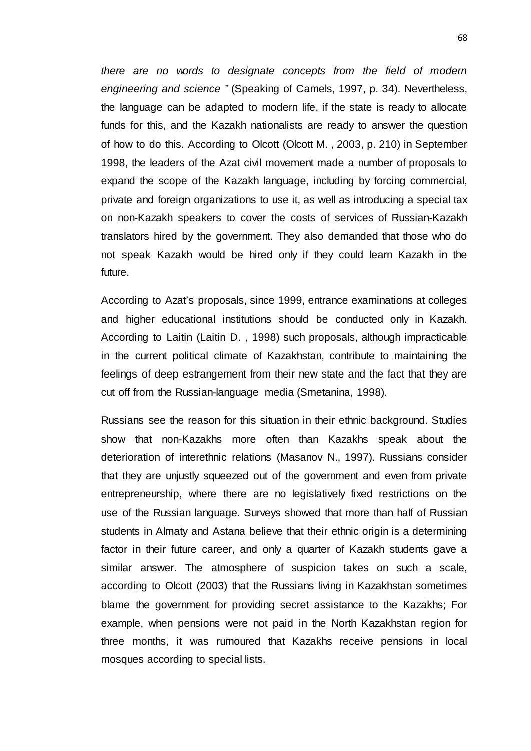*there are no words to designate concepts from the field of modern engineering and science "* (Speaking of Camels, 1997, p. 34). Nevertheless, the language can be adapted to modern life, if the state is ready to allocate funds for this, and the Kazakh nationalists are ready to answer the question of how to do this. According to Olcott (Olcott M. , 2003, p. 210) in September 1998, the leaders of the Azat civil movement made a number of proposals to expand the scope of the Kazakh language, including by forcing commercial, private and foreign organizations to use it, as well as introducing a special tax on non-Kazakh speakers to cover the costs of services of Russian-Kazakh translators hired by the government. They also demanded that those who do not speak Kazakh would be hired only if they could learn Kazakh in the future.

According to Azat's proposals, since 1999, entrance examinations at colleges and higher educational institutions should be conducted only in Kazakh. According to Laitin (Laitin D. , 1998) such proposals, although impracticable in the current political climate of Kazakhstan, contribute to maintaining the feelings of deep estrangement from their new state and the fact that they are cut off from the Russian-language media (Smetanina, 1998).

Russians see the reason for this situation in their ethnic background. Studies show that non-Kazakhs more often than Kazakhs speak about the deterioration of interethnic relations (Masanov N., 1997). Russians consider that they are unjustly squeezed out of the government and even from private entrepreneurship, where there are no legislatively fixed restrictions on the use of the Russian language. Surveys showed that more than half of Russian students in Almaty and Astana believe that their ethnic origin is a determining factor in their future career, and only a quarter of Kazakh students gave a similar answer. The atmosphere of suspicion takes on such a scale, according to Olcott (2003) that the Russians living in Kazakhstan sometimes blame the government for providing secret assistance to the Kazakhs; For example, when pensions were not paid in the North Kazakhstan region for three months, it was rumoured that Kazakhs receive pensions in local mosques according to special lists.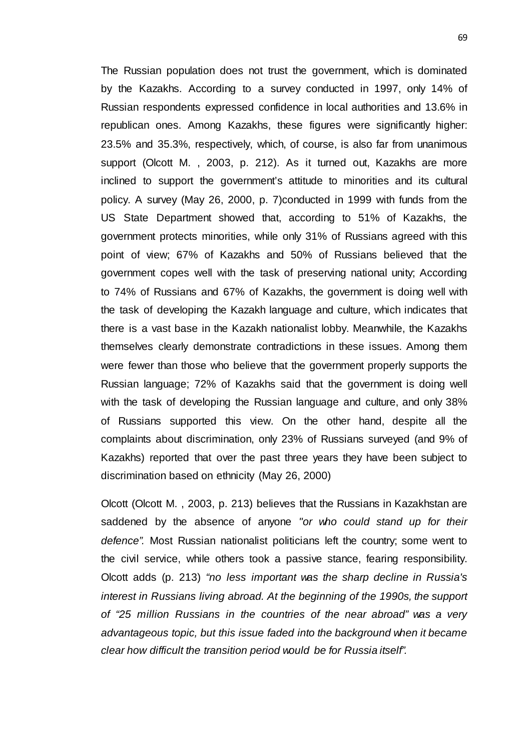The Russian population does not trust the government, which is dominated by the Kazakhs. According to a survey conducted in 1997, only 14% of Russian respondents expressed confidence in local authorities and 13.6% in republican ones. Among Kazakhs, these figures were significantly higher: 23.5% and 35.3%, respectively, which, of course, is also far from unanimous support (Olcott M. , 2003, p. 212). As it turned out, Kazakhs are more inclined to support the government's attitude to minorities and its cultural policy. A survey (May 26, 2000, p. 7)conducted in 1999 with funds from the US State Department showed that, according to 51% of Kazakhs, the government protects minorities, while only 31% of Russians agreed with this point of view; 67% of Kazakhs and 50% of Russians believed that the government copes well with the task of preserving national unity; According to 74% of Russians and 67% of Kazakhs, the government is doing well with the task of developing the Kazakh language and culture, which indicates that there is a vast base in the Kazakh nationalist lobby. Meanwhile, the Kazakhs themselves clearly demonstrate contradictions in these issues. Among them were fewer than those who believe that the government properly supports the Russian language; 72% of Kazakhs said that the government is doing well with the task of developing the Russian language and culture, and only 38% of Russians supported this view. On the other hand, despite all the complaints about discrimination, only 23% of Russians surveyed (and 9% of Kazakhs) reported that over the past three years they have been subject to discrimination based on ethnicity (May 26, 2000)

Olcott (Olcott M. , 2003, p. 213) believes that the Russians in Kazakhstan are saddened by the absence of anyone *"or who could stand up for their defence".* Most Russian nationalist politicians left the country; some went to the civil service, while others took a passive stance, fearing responsibility. Olcott adds (p. 213) *"no less important was the sharp decline in Russia's interest in Russians living abroad. At the beginning of the 1990s, the support of "25 million Russians in the countries of the near abroad" was a very advantageous topic, but this issue faded into the background when it became clear how difficult the transition period would be for Russia itself".*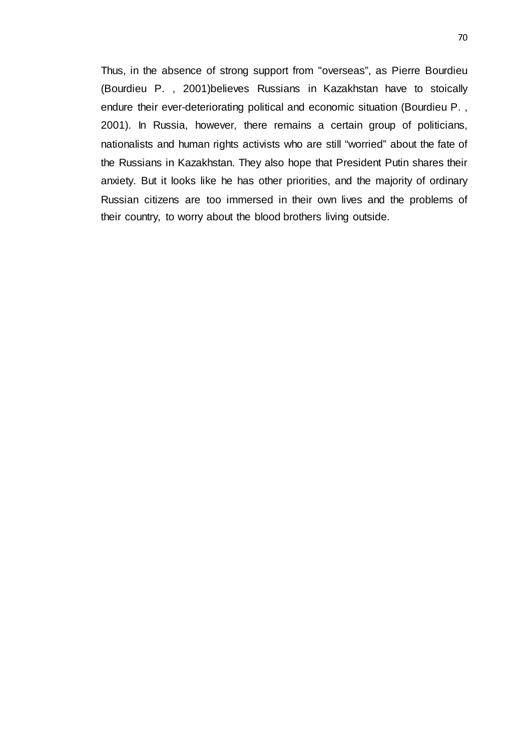Thus, in the absence of strong support from "overseas", as Pierre Bourdieu (Bourdieu P. , 2001)believes Russians in Kazakhstan have to stoically endure their ever-deteriorating political and economic situation (Bourdieu P. , 2001). In Russia, however, there remains a certain group of politicians, nationalists and human rights activists who are still "worried" about the fate of the Russians in Kazakhstan. They also hope that President Putin shares their anxiety. But it looks like he has other priorities, and the majority of ordinary Russian citizens are too immersed in their own lives and the problems of their country, to worry about the blood brothers living outside.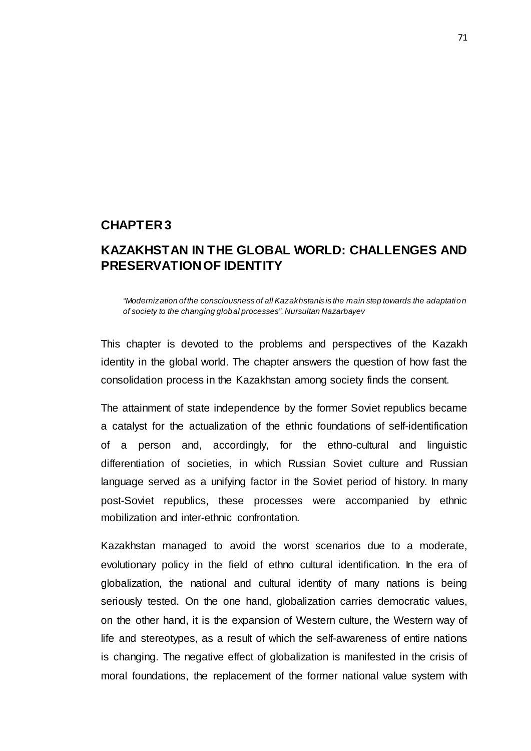### **CHAPTER 3**

## **KAZAKHSTAN IN THE GLOBAL WORLD: CHALLENGES AND PRESERVATION OF IDENTITY**

*"Modernization of the consciousness of all Kazakhstanis is the main step towards the adaptation of society to the changing global processes". Nursultan Nazarbayev*

This chapter is devoted to the problems and perspectives of the Kazakh identity in the global world. The chapter answers the question of how fast the consolidation process in the Kazakhstan among society finds the consent.

The attainment of state independence by the former Soviet republics became a catalyst for the actualization of the ethnic foundations of self-identification of a person and, accordingly, for the ethno-cultural and linguistic differentiation of societies, in which Russian Soviet culture and Russian language served as a unifying factor in the Soviet period of history. In many post-Soviet republics, these processes were accompanied by ethnic mobilization and inter-ethnic confrontation.

Kazakhstan managed to avoid the worst scenarios due to a moderate, evolutionary policy in the field of ethno cultural identification. In the era of globalization, the national and cultural identity of many nations is being seriously tested. On the one hand, globalization carries democratic values, on the other hand, it is the expansion of Western culture, the Western way of life and stereotypes, as a result of which the self-awareness of entire nations is changing. The negative effect of globalization is manifested in the crisis of moral foundations, the replacement of the former national value system with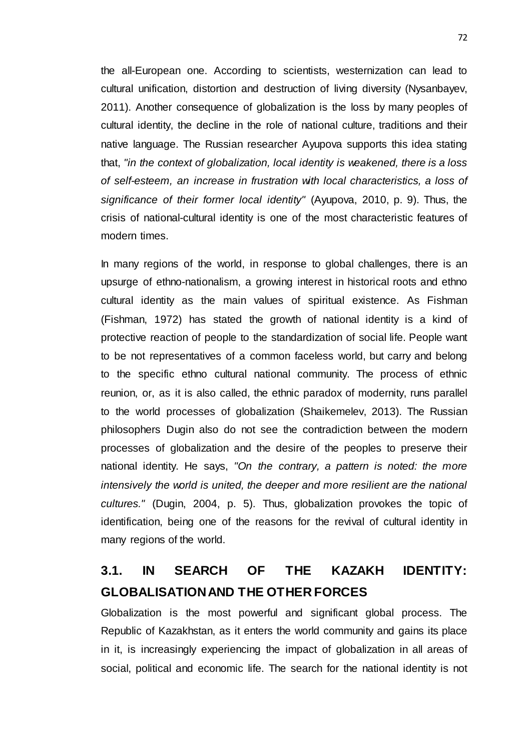the all-European one. According to scientists, westernization can lead to cultural unification, distortion and destruction of living diversity (Nysanbayev, 2011). Another consequence of globalization is the loss by many peoples of cultural identity, the decline in the role of national culture, traditions and their native language. The Russian researcher Ayupova supports this idea stating that, *"in the context of globalization, local identity is weakened, there is a loss of self-esteem, an increase in frustration with local characteristics, a loss of significance of their former local identity"* (Ayupova, 2010, p. 9). Thus, the crisis of national-cultural identity is one of the most characteristic features of modern times.

In many regions of the world, in response to global challenges, there is an upsurge of ethno-nationalism, a growing interest in historical roots and ethno cultural identity as the main values of spiritual existence. As Fishman (Fishman, 1972) has stated the growth of national identity is a kind of protective reaction of people to the standardization of social life. People want to be not representatives of a common faceless world, but carry and belong to the specific ethno cultural national community. The process of ethnic reunion, or, as it is also called, the ethnic paradox of modernity, runs parallel to the world processes of globalization (Shaikemelev, 2013). The Russian philosophers Dugin also do not see the contradiction between the modern processes of globalization and the desire of the peoples to preserve their national identity. He says, *"On the contrary, a pattern is noted: the more intensively the world is united, the deeper and more resilient are the national cultures."* (Dugin, 2004, p. 5). Thus, globalization provokes the topic of identification, being one of the reasons for the revival of cultural identity in many regions of the world.

# **3.1. IN SEARCH OF THE KAZAKH IDENTITY: GLOBALISATION AND THE OTHER FORCES**

Globalization is the most powerful and significant global process. The Republic of Kazakhstan, as it enters the world community and gains its place in it, is increasingly experiencing the impact of globalization in all areas of social, political and economic life. The search for the national identity is not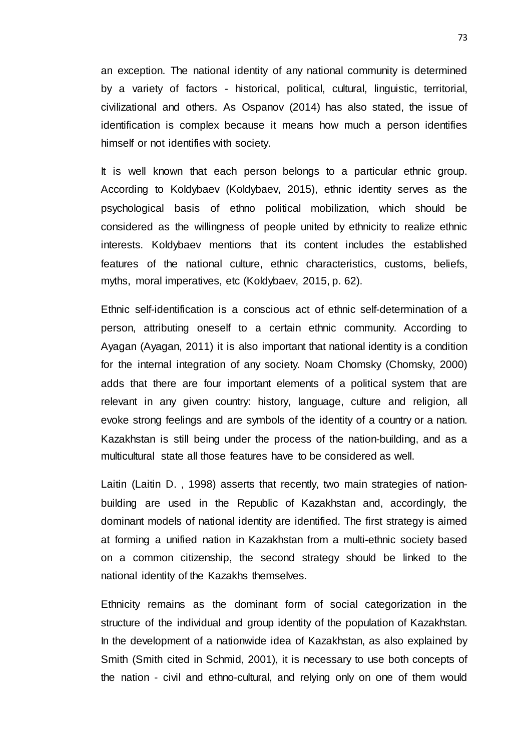an exception. The national identity of any national community is determined by a variety of factors - historical, political, cultural, linguistic, territorial, civilizational and others. As Ospanov (2014) has also stated, the issue of identification is complex because it means how much a person identifies himself or not identifies with society.

It is well known that each person belongs to a particular ethnic group. According to Koldybaev (Koldybaev, 2015), ethnic identity serves as the psychological basis of ethno political mobilization, which should be considered as the willingness of people united by ethnicity to realize ethnic interests. Koldybaev mentions that its content includes the established features of the national culture, ethnic characteristics, customs, beliefs, myths, moral imperatives, etc (Koldybaev, 2015, p. 62).

Ethnic self-identification is a conscious act of ethnic self-determination of a person, attributing oneself to a certain ethnic community. According to Ayagan (Ayagan, 2011) it is also important that national identity is a condition for the internal integration of any society. Noam Chomsky (Chomsky, 2000) adds that there are four important elements of a political system that are relevant in any given country: history, language, culture and religion, all evoke strong feelings and are symbols of the identity of a country or a nation. Kazakhstan is still being under the process of the nation-building, and as a multicultural state all those features have to be considered as well.

Laitin (Laitin D. , 1998) asserts that recently, two main strategies of nationbuilding are used in the Republic of Kazakhstan and, accordingly, the dominant models of national identity are identified. The first strategy is aimed at forming a unified nation in Kazakhstan from a multi-ethnic society based on a common citizenship, the second strategy should be linked to the national identity of the Kazakhs themselves.

Ethnicity remains as the dominant form of social categorization in the structure of the individual and group identity of the population of Kazakhstan. In the development of a nationwide idea of Kazakhstan, as also explained by Smith (Smith cited in Schmid, 2001), it is necessary to use both concepts of the nation - civil and ethno-cultural, and relying only on one of them would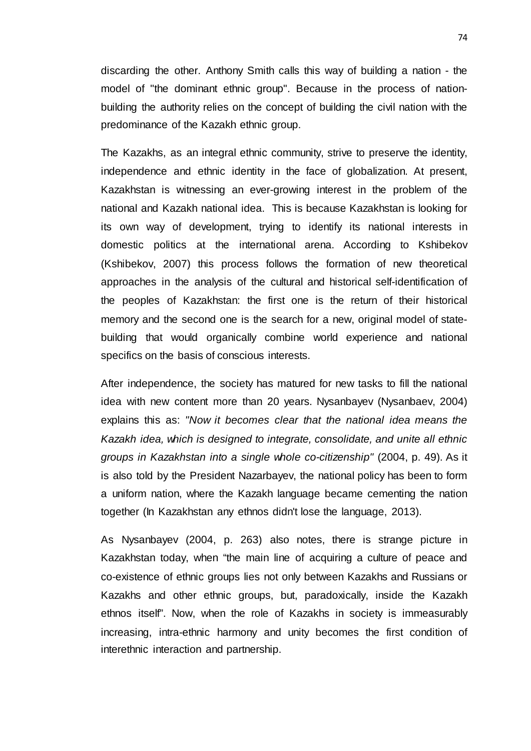discarding the other. Anthony Smith calls this way of building a nation - the model of "the dominant ethnic group". Because in the process of nationbuilding the authority relies on the concept of building the civil nation with the predominance of the Kazakh ethnic group.

The Kazakhs, as an integral ethnic community, strive to preserve the identity, independence and ethnic identity in the face of globalization. At present, Kazakhstan is witnessing an ever-growing interest in the problem of the national and Kazakh national idea. This is because Kazakhstan is looking for its own way of development, trying to identify its national interests in domestic politics at the international arena. According to Kshibekov (Kshibekov, 2007) this process follows the formation of new theoretical approaches in the analysis of the cultural and historical self-identification of the peoples of Kazakhstan: the first one is the return of their historical memory and the second one is the search for a new, original model of statebuilding that would organically combine world experience and national specifics on the basis of conscious interests.

After independence, the society has matured for new tasks to fill the national idea with new content more than 20 years. Nysanbayev (Nysanbaev, 2004) explains this as: *"Now it becomes clear that the national idea means the Kazakh idea, which is designed to integrate, consolidate, and unite all ethnic groups in Kazakhstan into a single whole co-citizenship"* (2004, p. 49). As it is also told by the President Nazarbayev, the national policy has been to form a uniform nation, where the Kazakh language became cementing the nation together (In Kazakhstan any ethnos didn't lose the language, 2013).

As Nysanbayev (2004, p. 263) also notes, there is strange picture in Kazakhstan today, when "the main line of acquiring a culture of peace and co-existence of ethnic groups lies not only between Kazakhs and Russians or Kazakhs and other ethnic groups, but, paradoxically, inside the Kazakh ethnos itself". Now, when the role of Kazakhs in society is immeasurably increasing, intra-ethnic harmony and unity becomes the first condition of interethnic interaction and partnership.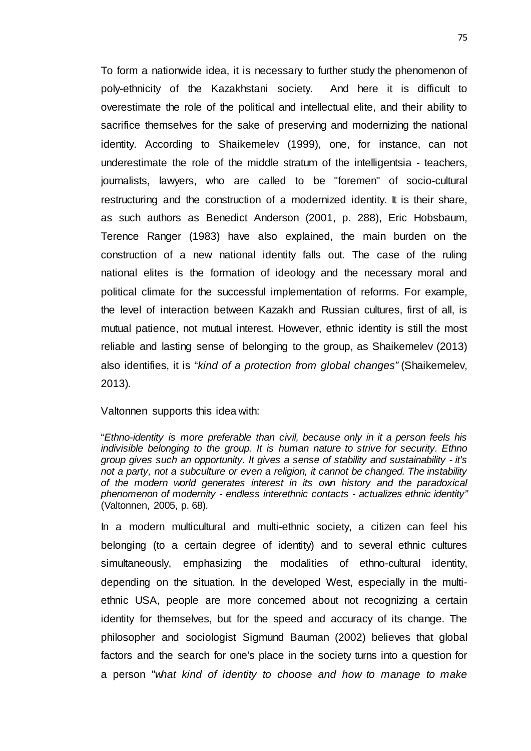To form a nationwide idea, it is necessary to further study the phenomenon of poly-ethnicity of the Kazakhstani society. And here it is difficult to overestimate the role of the political and intellectual elite, and their ability to sacrifice themselves for the sake of preserving and modernizing the national identity. According to Shaikemelev (1999), one, for instance, can not underestimate the role of the middle stratum of the intelligentsia - teachers, journalists, lawyers, who are called to be "foremen" of socio-cultural restructuring and the construction of a modernized identity. It is their share, as such authors as Benedict Anderson (2001, p. 288), Eric Hobsbaum, Terence Ranger (1983) have also explained, the main burden on the construction of a new national identity falls out. The case of the ruling national elites is the formation of ideology and the necessary moral and political climate for the successful implementation of reforms. For example, the level of interaction between Kazakh and Russian cultures, first of all, is mutual patience, not mutual interest. However, ethnic identity is still the most reliable and lasting sense of belonging to the group, as Shaikemelev (2013) also identifies, it is "*kind of a protection from global changes"* (Shaikemelev, 2013)*.* 

Valtonnen supports this idea with:

"*Ethno-identity is more preferable than civil, because only in it a person feels his indivisible belonging to the group. It is human nature to strive for security. Ethno group gives such an opportunity. It gives a sense of stability and sustainability - it's not a party, not a subculture or even a religion, it cannot be changed. The instability of the modern world generates interest in its own history and the paradoxical phenomenon of modernity - endless interethnic contacts - actualizes ethnic identity"* (Valtonnen, 2005, p. 68)*.*

In a modern multicultural and multi-ethnic society, a citizen can feel his belonging (to a certain degree of identity) and to several ethnic cultures simultaneously, emphasizing the modalities of ethno-cultural identity, depending on the situation. In the developed West, especially in the multiethnic USA, people are more concerned about not recognizing a certain identity for themselves, but for the speed and accuracy of its change. The philosopher and sociologist Sigmund Bauman (2002) believes that global factors and the search for one's place in the society turns into a question for a person *"what kind of identity to choose and how to manage to make*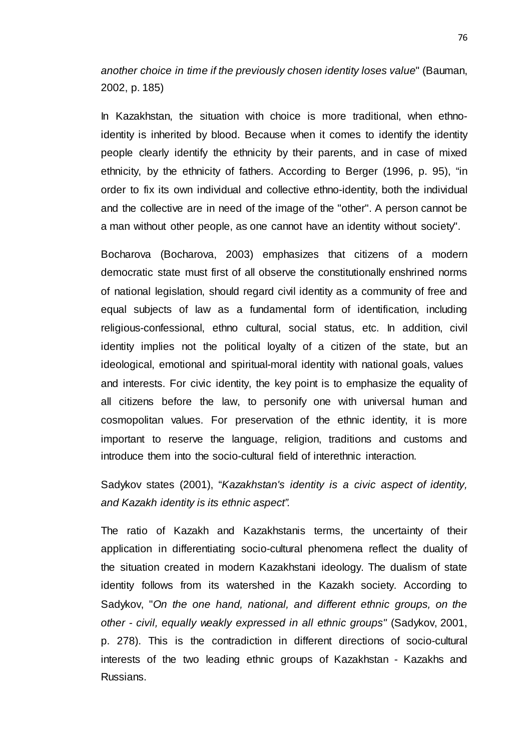*another choice in time if the previously chosen identity loses value*" (Bauman, 2002, p. 185)

In Kazakhstan, the situation with choice is more traditional, when ethnoidentity is inherited by blood. Because when it comes to identify the identity people clearly identify the ethnicity by their parents, and in case of mixed ethnicity, by the ethnicity of fathers. According to Berger (1996, p. 95), "in order to fix its own individual and collective ethno-identity, both the individual and the collective are in need of the image of the "other". A person cannot be a man without other people, as one cannot have an identity without society".

Bocharova (Bocharova, 2003) emphasizes that citizens of a modern democratic state must first of all observe the constitutionally enshrined norms of national legislation, should regard civil identity as a community of free and equal subjects of law as a fundamental form of identification, including religious-confessional, ethno cultural, social status, etc. In addition, civil identity implies not the political loyalty of a citizen of the state, but an ideological, emotional and spiritual-moral identity with national goals, values and interests. For civic identity, the key point is to emphasize the equality of all citizens before the law, to personify one with universal human and cosmopolitan values. For preservation of the ethnic identity, it is more important to reserve the language, religion, traditions and customs and introduce them into the socio-cultural field of interethnic interaction.

Sadykov states (2001), "*Kazakhstan's identity is a civic aspect of identity, and Kazakh identity is its ethnic aspect".*

The ratio of Kazakh and Kazakhstanis terms, the uncertainty of their application in differentiating socio-cultural phenomena reflect the duality of the situation created in modern Kazakhstani ideology. The dualism of state identity follows from its watershed in the Kazakh society. According to Sadykov, "*On the one hand, national, and different ethnic groups, on the other - civil, equally weakly expressed in all ethnic groups"* (Sadykov, 2001, p. 278). This is the contradiction in different directions of socio-cultural interests of the two leading ethnic groups of Kazakhstan - Kazakhs and Russians.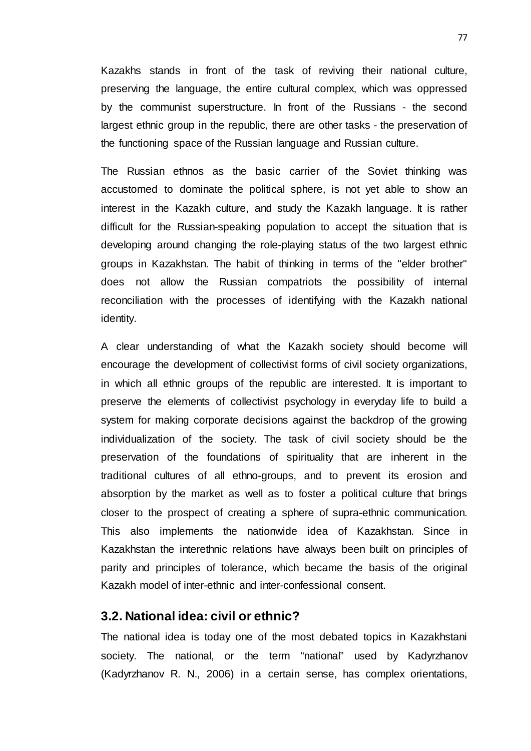Kazakhs stands in front of the task of reviving their national culture, preserving the language, the entire cultural complex, which was oppressed by the communist superstructure. In front of the Russians - the second largest ethnic group in the republic, there are other tasks - the preservation of the functioning space of the Russian language and Russian culture.

The Russian ethnos as the basic carrier of the Soviet thinking was accustomed to dominate the political sphere, is not yet able to show an interest in the Kazakh culture, and study the Kazakh language. It is rather difficult for the Russian-speaking population to accept the situation that is developing around changing the role-playing status of the two largest ethnic groups in Kazakhstan. The habit of thinking in terms of the "elder brother" does not allow the Russian compatriots the possibility of internal reconciliation with the processes of identifying with the Kazakh national identity.

A clear understanding of what the Kazakh society should become will encourage the development of collectivist forms of civil society organizations, in which all ethnic groups of the republic are interested. It is important to preserve the elements of collectivist psychology in everyday life to build a system for making corporate decisions against the backdrop of the growing individualization of the society. The task of civil society should be the preservation of the foundations of spirituality that are inherent in the traditional cultures of all ethno-groups, and to prevent its erosion and absorption by the market as well as to foster a political culture that brings closer to the prospect of creating a sphere of supra-ethnic communication. This also implements the nationwide idea of Kazakhstan. Since in Kazakhstan the interethnic relations have always been built on principles of parity and principles of tolerance, which became the basis of the original Kazakh model of inter-ethnic and inter-confessional consent.

### **3.2. National idea: civil or ethnic?**

The national idea is today one of the most debated topics in Kazakhstani society. The national, or the term "national" used by Kadyrzhanov (Kadyrzhanov R. N., 2006) in a certain sense, has complex orientations,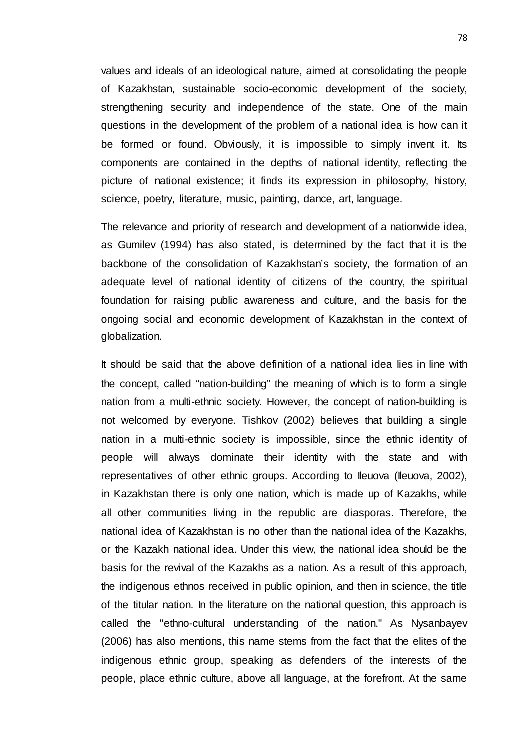values and ideals of an ideological nature, aimed at consolidating the people of Kazakhstan, sustainable socio-economic development of the society, strengthening security and independence of the state. One of the main questions in the development of the problem of a national idea is how can it be formed or found. Obviously, it is impossible to simply invent it. Its components are contained in the depths of national identity, reflecting the picture of national existence; it finds its expression in philosophy, history, science, poetry, literature, music, painting, dance, art, language.

The relevance and priority of research and development of a nationwide idea, as Gumilev (1994) has also stated, is determined by the fact that it is the backbone of the consolidation of Kazakhstan's society, the formation of an adequate level of national identity of citizens of the country, the spiritual foundation for raising public awareness and culture, and the basis for the ongoing social and economic development of Kazakhstan in the context of globalization.

It should be said that the above definition of a national idea lies in line with the concept, called "nation-building" the meaning of which is to form a single nation from a multi-ethnic society. However, the concept of nation-building is not welcomed by everyone. Tishkov (2002) believes that building a single nation in a multi-ethnic society is impossible, since the ethnic identity of people will always dominate their identity with the state and with representatives of other ethnic groups. According to Ileuova (Ileuova, 2002), in Kazakhstan there is only one nation, which is made up of Kazakhs, while all other communities living in the republic are diasporas. Therefore, the national idea of Kazakhstan is no other than the national idea of the Kazakhs, or the Kazakh national idea. Under this view, the national idea should be the basis for the revival of the Kazakhs as a nation. As a result of this approach, the indigenous ethnos received in public opinion, and then in science, the title of the titular nation. In the literature on the national question, this approach is called the "ethno-cultural understanding of the nation." As Nysanbayev (2006) has also mentions, this name stems from the fact that the elites of the indigenous ethnic group, speaking as defenders of the interests of the people, place ethnic culture, above all language, at the forefront. At the same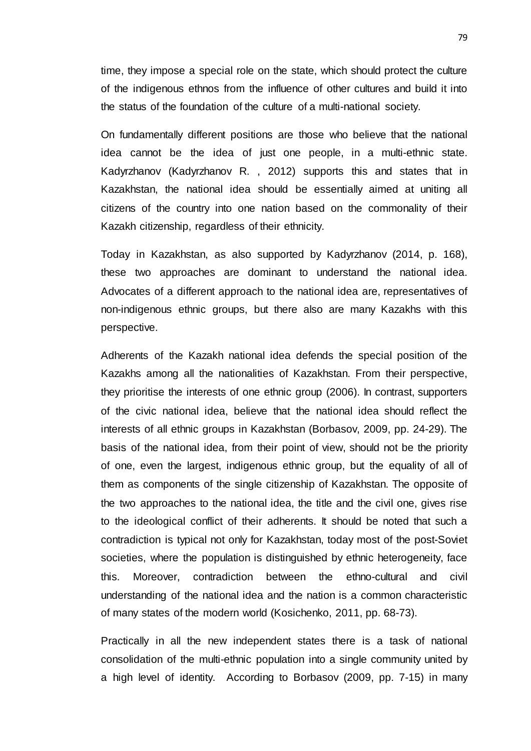time, they impose a special role on the state, which should protect the culture of the indigenous ethnos from the influence of other cultures and build it into the status of the foundation of the culture of a multi-national society.

On fundamentally different positions are those who believe that the national idea cannot be the idea of just one people, in a multi-ethnic state. Kadyrzhanov (Kadyrzhanov R. , 2012) supports this and states that in Kazakhstan, the national idea should be essentially aimed at uniting all citizens of the country into one nation based on the commonality of their Kazakh citizenship, regardless of their ethnicity.

Today in Kazakhstan, as also supported by Kadyrzhanov (2014, p. 168), these two approaches are dominant to understand the national idea. Advocates of a different approach to the national idea are, representatives of non-indigenous ethnic groups, but there also are many Kazakhs with this perspective.

Adherents of the Kazakh national idea defends the special position of the Kazakhs among all the nationalities of Kazakhstan. From their perspective, they prioritise the interests of one ethnic group (2006). In contrast, supporters of the civic national idea, believe that the national idea should reflect the interests of all ethnic groups in Kazakhstan (Borbasov, 2009, pp. 24-29). The basis of the national idea, from their point of view, should not be the priority of one, even the largest, indigenous ethnic group, but the equality of all of them as components of the single citizenship of Kazakhstan. The opposite of the two approaches to the national idea, the title and the civil one, gives rise to the ideological conflict of their adherents. It should be noted that such a contradiction is typical not only for Kazakhstan, today most of the post-Soviet societies, where the population is distinguished by ethnic heterogeneity, face this. Moreover, contradiction between the ethno-cultural and civil understanding of the national idea and the nation is a common characteristic of many states of the modern world (Kosichenko, 2011, pp. 68-73).

Practically in all the new independent states there is a task of national consolidation of the multi-ethnic population into a single community united by a high level of identity. According to Borbasov (2009, pp. 7-15) in many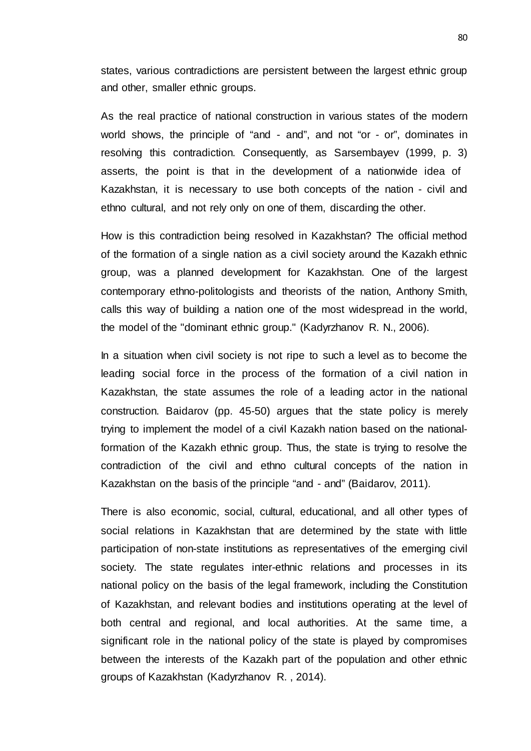states, various contradictions are persistent between the largest ethnic group and other, smaller ethnic groups.

As the real practice of national construction in various states of the modern world shows, the principle of "and - and", and not "or - or", dominates in resolving this contradiction. Consequently, as Sarsembayev (1999, p. 3) asserts, the point is that in the development of a nationwide idea of Kazakhstan, it is necessary to use both concepts of the nation - civil and ethno cultural, and not rely only on one of them, discarding the other.

How is this contradiction being resolved in Kazakhstan? The official method of the formation of a single nation as a civil society around the Kazakh ethnic group, was a planned development for Kazakhstan. One of the largest contemporary ethno-politologists and theorists of the nation, Anthony Smith, calls this way of building a nation one of the most widespread in the world, the model of the "dominant ethnic group." (Kadyrzhanov R. N., 2006).

In a situation when civil society is not ripe to such a level as to become the leading social force in the process of the formation of a civil nation in Kazakhstan, the state assumes the role of a leading actor in the national construction. Baidarov (pp. 45-50) argues that the state policy is merely trying to implement the model of a civil Kazakh nation based on the nationalformation of the Kazakh ethnic group. Thus, the state is trying to resolve the contradiction of the civil and ethno cultural concepts of the nation in Kazakhstan on the basis of the principle "and - and" (Baidarov, 2011).

There is also economic, social, cultural, educational, and all other types of social relations in Kazakhstan that are determined by the state with little participation of non-state institutions as representatives of the emerging civil society. The state regulates inter-ethnic relations and processes in its national policy on the basis of the legal framework, including the Constitution of Kazakhstan, and relevant bodies and institutions operating at the level of both central and regional, and local authorities. At the same time, a significant role in the national policy of the state is played by compromises between the interests of the Kazakh part of the population and other ethnic groups of Kazakhstan (Kadyrzhanov R. , 2014).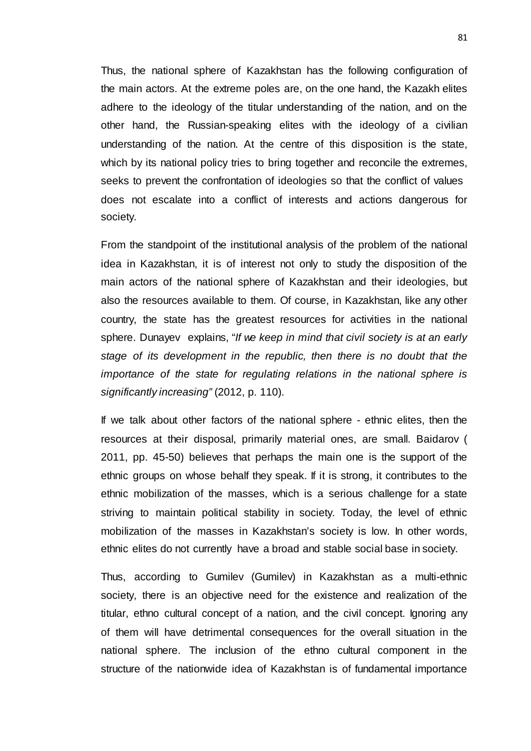Thus, the national sphere of Kazakhstan has the following configuration of the main actors. At the extreme poles are, on the one hand, the Kazakh elites adhere to the ideology of the titular understanding of the nation, and on the other hand, the Russian-speaking elites with the ideology of a civilian understanding of the nation. At the centre of this disposition is the state, which by its national policy tries to bring together and reconcile the extremes, seeks to prevent the confrontation of ideologies so that the conflict of values does not escalate into a conflict of interests and actions dangerous for society.

From the standpoint of the institutional analysis of the problem of the national idea in Kazakhstan, it is of interest not only to study the disposition of the main actors of the national sphere of Kazakhstan and their ideologies, but also the resources available to them. Of course, in Kazakhstan, like any other country, the state has the greatest resources for activities in the national sphere. Dunayev explains, "*If we keep in mind that civil society is at an early stage of its development in the republic, then there is no doubt that the importance of the state for regulating relations in the national sphere is significantly increasing"* (2012, p. 110).

If we talk about other factors of the national sphere - ethnic elites, then the resources at their disposal, primarily material ones, are small. Baidarov ( 2011, pp. 45-50) believes that perhaps the main one is the support of the ethnic groups on whose behalf they speak. If it is strong, it contributes to the ethnic mobilization of the masses, which is a serious challenge for a state striving to maintain political stability in society. Today, the level of ethnic mobilization of the masses in Kazakhstan's society is low. In other words, ethnic elites do not currently have a broad and stable social base in society.

Thus, according to Gumilev (Gumilev) in Kazakhstan as a multi-ethnic society, there is an objective need for the existence and realization of the titular, ethno cultural concept of a nation, and the civil concept. Ignoring any of them will have detrimental consequences for the overall situation in the national sphere. The inclusion of the ethno cultural component in the structure of the nationwide idea of Kazakhstan is of fundamental importance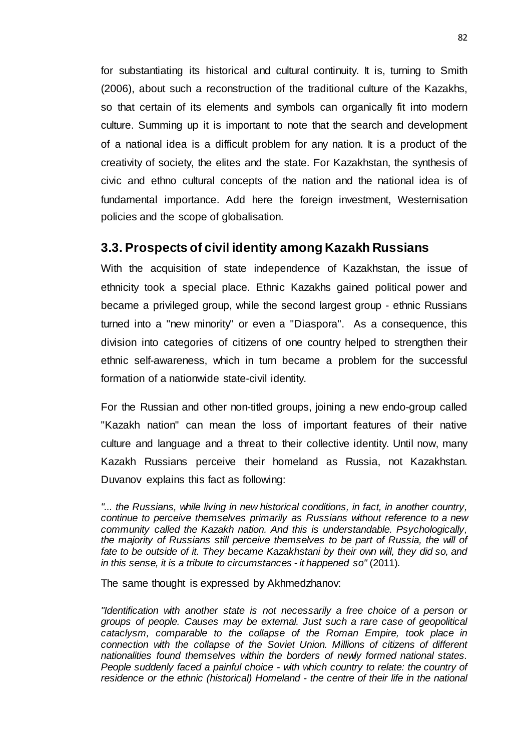for substantiating its historical and cultural continuity. It is, turning to Smith (2006), about such a reconstruction of the traditional culture of the Kazakhs, so that certain of its elements and symbols can organically fit into modern culture. Summing up it is important to note that the search and development of a national idea is a difficult problem for any nation. It is a product of the creativity of society, the elites and the state. For Kazakhstan, the synthesis of civic and ethno cultural concepts of the nation and the national idea is of fundamental importance. Add here the foreign investment, Westernisation policies and the scope of globalisation.

#### **3.3. Prospects of civil identity among Kazakh Russians**

With the acquisition of state independence of Kazakhstan, the issue of ethnicity took a special place. Ethnic Kazakhs gained political power and became a privileged group, while the second largest group - ethnic Russians turned into a "new minority" or even a "Diaspora". As a consequence, this division into categories of citizens of one country helped to strengthen their ethnic self-awareness, which in turn became a problem for the successful formation of a nationwide state-civil identity.

For the Russian and other non-titled groups, joining a new endo-group called "Kazakh nation" can mean the loss of important features of their native culture and language and a threat to their collective identity. Until now, many Kazakh Russians perceive their homeland as Russia, not Kazakhstan. Duvanov explains this fact as following:

*"... the Russians, while living in new historical conditions, in fact, in another country, continue to perceive themselves primarily as Russians without reference to a new community called the Kazakh nation. And this is understandable. Psychologically, the majority of Russians still perceive themselves to be part of Russia, the will of*  fate to be outside of it. They became Kazakhstani by their own will, they did so, and *in this sense, it is a tribute to circumstances - it happened so"* (2011)*.*

The same thought is expressed by Akhmedzhanov:

*"Identification with another state is not necessarily a free choice of a person or groups of people. Causes may be external. Just such a rare case of geopolitical cataclysm, comparable to the collapse of the Roman Empire, took place in connection with the collapse of the Soviet Union. Millions of citizens of different nationalities found themselves within the borders of newly formed national states. People suddenly faced a painful choice - with which country to relate: the country of residence or the ethnic (historical) Homeland - the centre of their life in the national*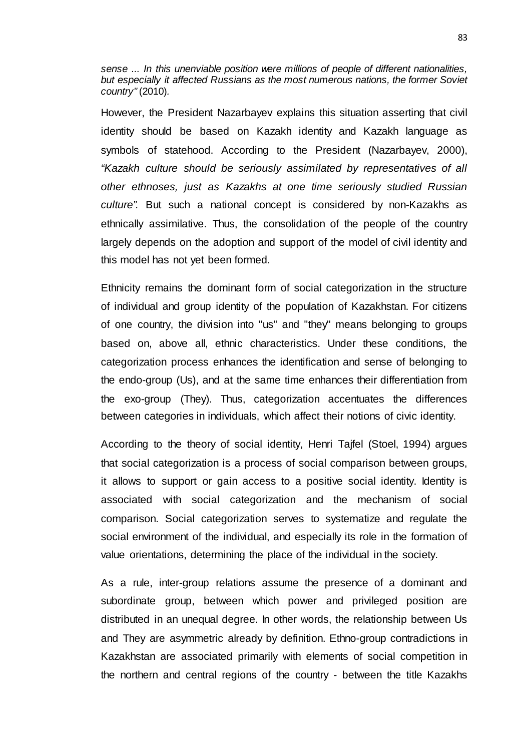*sense ... In this unenviable position were millions of people of different nationalities, but especially it affected Russians as the most numerous nations, the former Soviet country"* (2010)*.*

However, the President Nazarbayev explains this situation asserting that civil identity should be based on Kazakh identity and Kazakh language as symbols of statehood. According to the President (Nazarbayev, 2000), *"Kazakh culture should be seriously assimilated by representatives of all other ethnoses, just as Kazakhs at one time seriously studied Russian culture".* But such a national concept is considered by non-Kazakhs as ethnically assimilative. Thus, the consolidation of the people of the country largely depends on the adoption and support of the model of civil identity and this model has not yet been formed.

Ethnicity remains the dominant form of social categorization in the structure of individual and group identity of the population of Kazakhstan. For citizens of one country, the division into "us" and "they" means belonging to groups based on, above all, ethnic characteristics. Under these conditions, the categorization process enhances the identification and sense of belonging to the endo-group (Us), and at the same time enhances their differentiation from the exo-group (They). Thus, categorization accentuates the differences between categories in individuals, which affect their notions of civic identity.

According to the theory of social identity, Henri Tajfel (Stoel, 1994) argues that social categorization is a process of social comparison between groups, it allows to support or gain access to a positive social identity. Identity is associated with social categorization and the mechanism of social comparison. Social categorization serves to systematize and regulate the social environment of the individual, and especially its role in the formation of value orientations, determining the place of the individual in the society.

As a rule, inter-group relations assume the presence of a dominant and subordinate group, between which power and privileged position are distributed in an unequal degree. In other words, the relationship between Us and They are asymmetric already by definition. Ethno-group contradictions in Kazakhstan are associated primarily with elements of social competition in the northern and central regions of the country - between the title Kazakhs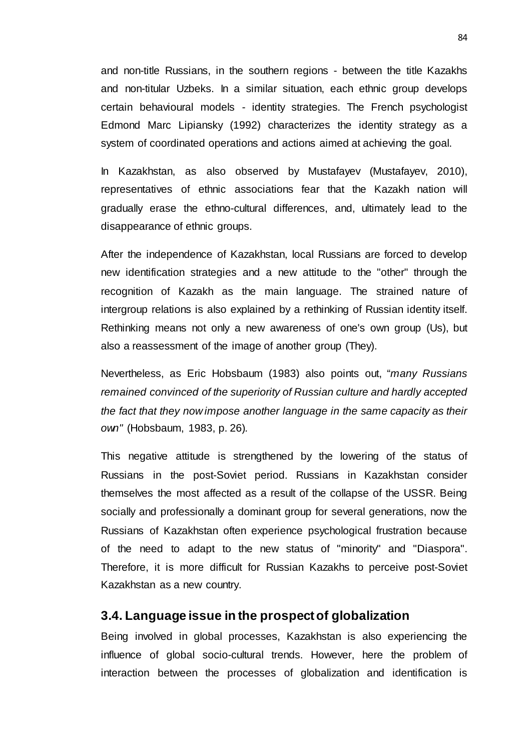and non-title Russians, in the southern regions - between the title Kazakhs and non-titular Uzbeks. In a similar situation, each ethnic group develops certain behavioural models - identity strategies. The French psychologist Edmond Marc Lipiansky (1992) characterizes the identity strategy as a system of coordinated operations and actions aimed at achieving the goal.

In Kazakhstan, as also observed by Mustafayev (Mustafayev, 2010), representatives of ethnic associations fear that the Kazakh nation will gradually erase the ethno-cultural differences, and, ultimately lead to the disappearance of ethnic groups.

After the independence of Kazakhstan, local Russians are forced to develop new identification strategies and a new attitude to the "other" through the recognition of Kazakh as the main language. The strained nature of intergroup relations is also explained by a rethinking of Russian identity itself. Rethinking means not only a new awareness of one's own group (Us), but also a reassessment of the image of another group (They).

Nevertheless, as Eric Hobsbaum (1983) also points out, "*many Russians remained convinced of the superiority of Russian culture and hardly accepted the fact that they now impose another language in the same capacity as their own"* (Hobsbaum, 1983, p. 26)*.* 

This negative attitude is strengthened by the lowering of the status of Russians in the post-Soviet period. Russians in Kazakhstan consider themselves the most affected as a result of the collapse of the USSR. Being socially and professionally a dominant group for several generations, now the Russians of Kazakhstan often experience psychological frustration because of the need to adapt to the new status of "minority" and "Diaspora". Therefore, it is more difficult for Russian Kazakhs to perceive post-Soviet Kazakhstan as a new country.

#### **3.4. Language issue in the prospect of globalization**

Being involved in global processes, Kazakhstan is also experiencing the influence of global socio-cultural trends. However, here the problem of interaction between the processes of globalization and identification is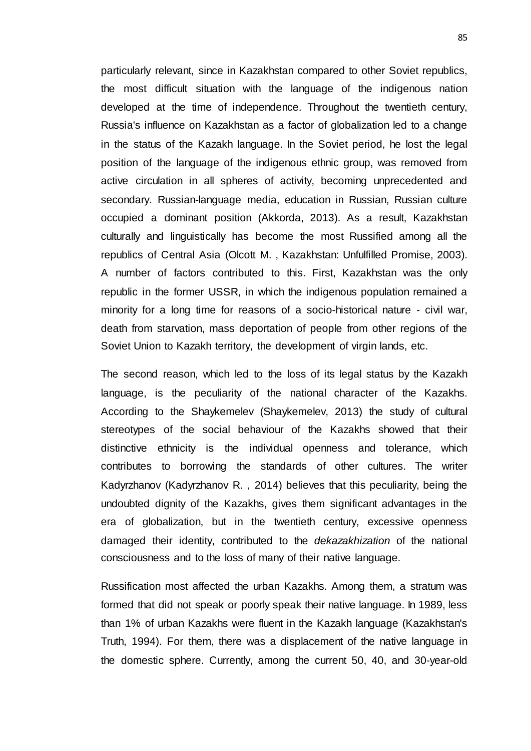particularly relevant, since in Kazakhstan compared to other Soviet republics, the most difficult situation with the language of the indigenous nation developed at the time of independence. Throughout the twentieth century, Russia's influence on Kazakhstan as a factor of globalization led to a change in the status of the Kazakh language. In the Soviet period, he lost the legal position of the language of the indigenous ethnic group, was removed from active circulation in all spheres of activity, becoming unprecedented and secondary. Russian-language media, education in Russian, Russian culture occupied a dominant position (Akkorda, 2013). As a result, Kazakhstan culturally and linguistically has become the most Russified among all the republics of Central Asia (Olcott M. , Kazakhstan: Unfulfilled Promise, 2003). A number of factors contributed to this. First, Kazakhstan was the only republic in the former USSR, in which the indigenous population remained a minority for a long time for reasons of a socio-historical nature - civil war, death from starvation, mass deportation of people from other regions of the Soviet Union to Kazakh territory, the development of virgin lands, etc.

The second reason, which led to the loss of its legal status by the Kazakh language, is the peculiarity of the national character of the Kazakhs. According to the Shaykemelev (Shaykemelev, 2013) the study of cultural stereotypes of the social behaviour of the Kazakhs showed that their distinctive ethnicity is the individual openness and tolerance, which contributes to borrowing the standards of other cultures. The writer Kadyrzhanov (Kadyrzhanov R. , 2014) believes that this peculiarity, being the undoubted dignity of the Kazakhs, gives them significant advantages in the era of globalization, but in the twentieth century, excessive openness damaged their identity, contributed to the *dekazakhization* of the national consciousness and to the loss of many of their native language.

Russification most affected the urban Kazakhs. Among them, a stratum was formed that did not speak or poorly speak their native language. In 1989, less than 1% of urban Kazakhs were fluent in the Kazakh language (Kazakhstan's Truth, 1994). For them, there was a displacement of the native language in the domestic sphere. Currently, among the current 50, 40, and 30-year-old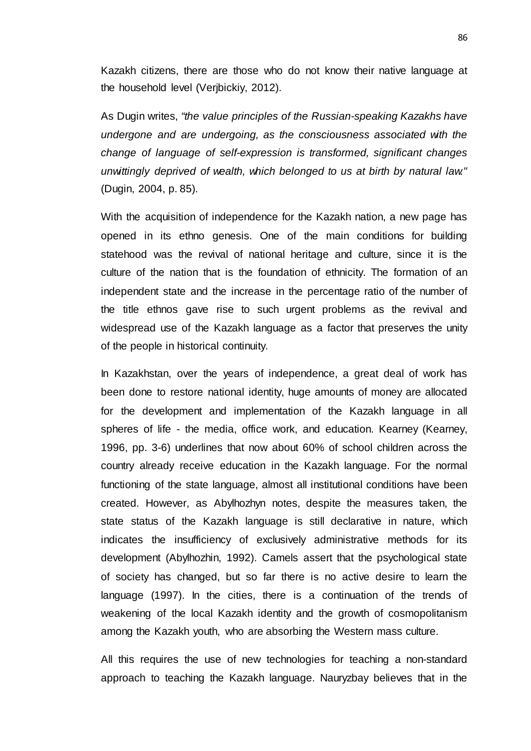Kazakh citizens, there are those who do not know their native language at the household level (Verjbickiy, 2012).

As Dugin writes, *"the value principles of the Russian-speaking Kazakhs have undergone and are undergoing, as the consciousness associated with the change of language of self-expression is transformed, significant changes unwittingly deprived of wealth, which belonged to us at birth by natural law."*  (Dugin, 2004, p. 85).

With the acquisition of independence for the Kazakh nation, a new page has opened in its ethno genesis. One of the main conditions for building statehood was the revival of national heritage and culture, since it is the culture of the nation that is the foundation of ethnicity. The formation of an independent state and the increase in the percentage ratio of the number of the title ethnos gave rise to such urgent problems as the revival and widespread use of the Kazakh language as a factor that preserves the unity of the people in historical continuity.

In Kazakhstan, over the years of independence, a great deal of work has been done to restore national identity, huge amounts of money are allocated for the development and implementation of the Kazakh language in all spheres of life - the media, office work, and education. Kearney (Kearney, 1996, pp. 3-6) underlines that now about 60% of school children across the country already receive education in the Kazakh language. For the normal functioning of the state language, almost all institutional conditions have been created. However, as Abylhozhyn notes, despite the measures taken, the state status of the Kazakh language is still declarative in nature, which indicates the insufficiency of exclusively administrative methods for its development (Abylhozhin, 1992). Camels assert that the psychological state of society has changed, but so far there is no active desire to learn the language (1997). In the cities, there is a continuation of the trends of weakening of the local Kazakh identity and the growth of cosmopolitanism among the Kazakh youth, who are absorbing the Western mass culture.

All this requires the use of new technologies for teaching a non-standard approach to teaching the Kazakh language. Nauryzbay believes that in the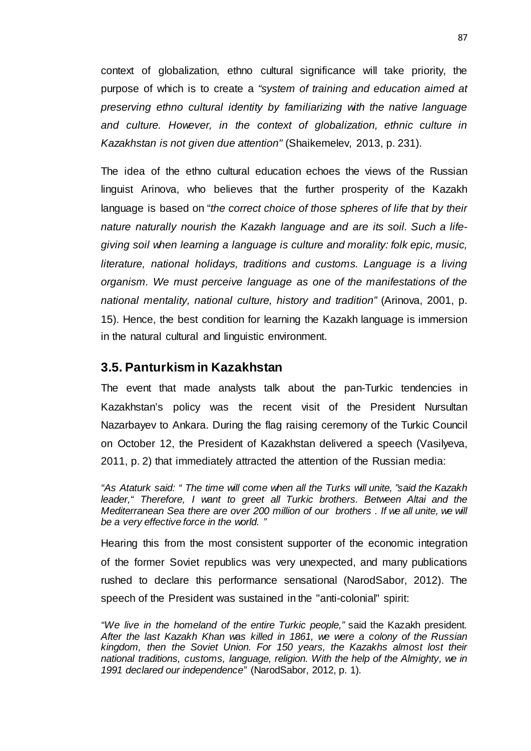context of globalization, ethno cultural significance will take priority, the purpose of which is to create a *"system of training and education aimed at preserving ethno cultural identity by familiarizing with the native language and culture. However, in the context of globalization, ethnic culture in Kazakhstan is not given due attention"* (Shaikemelev, 2013, p. 231).

The idea of the ethno cultural education echoes the views of the Russian linguist Arinova, who believes that the further prosperity of the Kazakh language is based on "*the correct choice of those spheres of life that by their nature naturally nourish the Kazakh language and are its soil. Such a lifegiving soil when learning a language is culture and morality: folk epic, music, literature, national holidays, traditions and customs. Language is a living organism. We must perceive language as one of the manifestations of the national mentality, national culture, history and tradition"* (Arinova, 2001, p. 15). Hence, the best condition for learning the Kazakh language is immersion in the natural cultural and linguistic environment.

#### **3.5. Panturkism in Kazakhstan**

The event that made analysts talk about the pan-Turkic tendencies in Kazakhstan's policy was the recent visit of the President Nursultan Nazarbayev to Ankara. During the flag raising ceremony of the Turkic Council on October 12, the President of Kazakhstan delivered a speech (Vasilyeva, 2011, p. 2) that immediately attracted the attention of the Russian media:

*"As Ataturk said: " The time will come when all the Turks will unite, "said the Kazakh leader," Therefore, I want to greet all Turkic brothers. Between Altai and the Mediterranean Sea there are over 200 million of our brothers . If we all unite, we will be a very effective force in the world. "*

Hearing this from the most consistent supporter of the economic integration of the former Soviet republics was very unexpected, and many publications rushed to declare this performance sensational (NarodSabor, 2012). The speech of the President was sustained in the "anti-colonial" spirit:

*"We live in the homeland of the entire Turkic people,"* said the Kazakh president*. After the last Kazakh Khan was killed in 1861, we were a colony of the Russian kingdom, then the Soviet Union. For 150 years, the Kazakhs almost lost their national traditions, customs, language, religion. With the help of the Almighty, we in 1991 declared our independence"* (NarodSabor, 2012, p. 1)*.*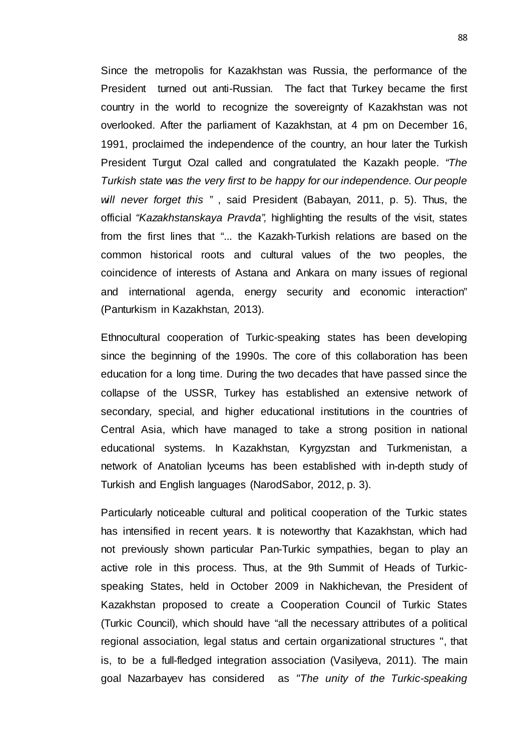Since the metropolis for Kazakhstan was Russia, the performance of the President turned out anti-Russian. The fact that Turkey became the first country in the world to recognize the sovereignty of Kazakhstan was not overlooked. After the parliament of Kazakhstan, at 4 pm on December 16, 1991, proclaimed the independence of the country, an hour later the Turkish President Turgut Ozal called and congratulated the Kazakh people. *"The Turkish state was the very first to be happy for our independence. Our people will never forget this "* , said President (Babayan, 2011, p. 5). Thus, the official *"Kazakhstanskaya Pravda",* highlighting the results of the visit, states from the first lines that "... the Kazakh-Turkish relations are based on the common historical roots and cultural values of the two peoples, the coincidence of interests of Astana and Ankara on many issues of regional and international agenda, energy security and economic interaction" (Panturkism in Kazakhstan, 2013).

Ethnocultural cooperation of Turkic-speaking states has been developing since the beginning of the 1990s. The core of this collaboration has been education for a long time. During the two decades that have passed since the collapse of the USSR, Turkey has established an extensive network of secondary, special, and higher educational institutions in the countries of Central Asia, which have managed to take a strong position in national educational systems. In Kazakhstan, Kyrgyzstan and Turkmenistan, a network of Anatolian lyceums has been established with in-depth study of Turkish and English languages (NarodSabor, 2012, p. 3).

Particularly noticeable cultural and political cooperation of the Turkic states has intensified in recent years. It is noteworthy that Kazakhstan, which had not previously shown particular Pan-Turkic sympathies, began to play an active role in this process. Thus, at the 9th Summit of Heads of Turkicspeaking States, held in October 2009 in Nakhichevan, the President of Kazakhstan proposed to create a Cooperation Council of Turkic States (Turkic Council), which should have "all the necessary attributes of a political regional association, legal status and certain organizational structures ", that is, to be a full-fledged integration association (Vasilyeva, 2011). The main goal Nazarbayev has considered as *"The unity of the Turkic-speaking*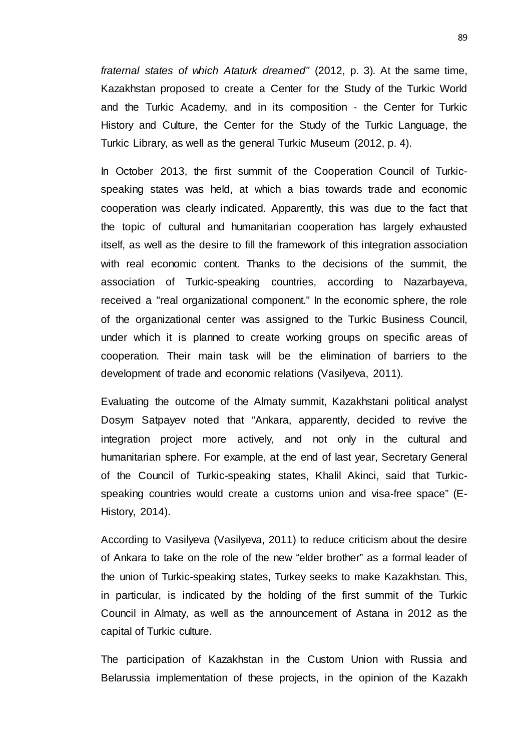*fraternal states of which Ataturk dreamed"* (2012, p. 3)*.* At the same time, Kazakhstan proposed to create a Center for the Study of the Turkic World and the Turkic Academy, and in its composition - the Center for Turkic History and Culture, the Center for the Study of the Turkic Language, the Turkic Library, as well as the general Turkic Museum (2012, p. 4).

In October 2013, the first summit of the Cooperation Council of Turkicspeaking states was held, at which a bias towards trade and economic cooperation was clearly indicated. Apparently, this was due to the fact that the topic of cultural and humanitarian cooperation has largely exhausted itself, as well as the desire to fill the framework of this integration association with real economic content. Thanks to the decisions of the summit, the association of Turkic-speaking countries, according to Nazarbayeva, received a "real organizational component." In the economic sphere, the role of the organizational center was assigned to the Turkic Business Council, under which it is planned to create working groups on specific areas of cooperation. Their main task will be the elimination of barriers to the development of trade and economic relations (Vasilyeva, 2011).

Evaluating the outcome of the Almaty summit, Kazakhstani political analyst Dosym Satpayev noted that "Ankara, apparently, decided to revive the integration project more actively, and not only in the cultural and humanitarian sphere. For example, at the end of last year, Secretary General of the Council of Turkic-speaking states, Khalil Akinci, said that Turkicspeaking countries would create a customs union and visa-free space" (E-History, 2014).

According to Vasilyeva (Vasilyeva, 2011) to reduce criticism about the desire of Ankara to take on the role of the new "elder brother" as a formal leader of the union of Turkic-speaking states, Turkey seeks to make Kazakhstan. This, in particular, is indicated by the holding of the first summit of the Turkic Council in Almaty, as well as the announcement of Astana in 2012 as the capital of Turkic culture.

The participation of Kazakhstan in the Custom Union with Russia and Belarussia implementation of these projects, in the opinion of the Kazakh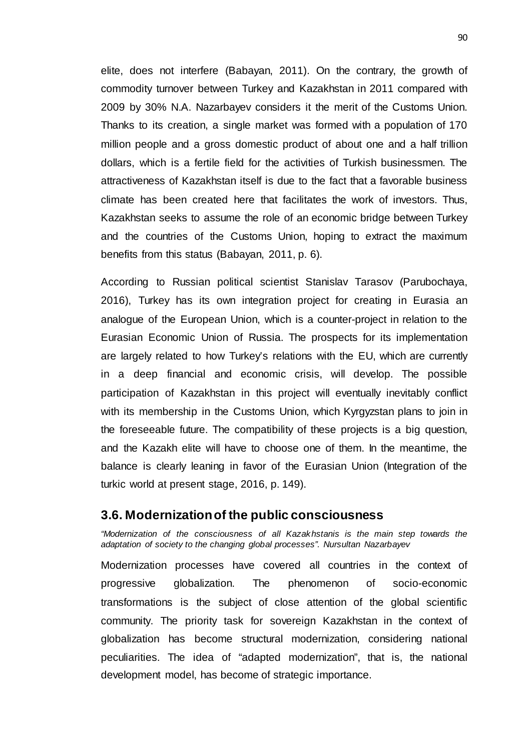elite, does not interfere (Babayan, 2011). On the contrary, the growth of commodity turnover between Turkey and Kazakhstan in 2011 compared with 2009 by 30% N.A. Nazarbayev considers it the merit of the Customs Union. Thanks to its creation, a single market was formed with a population of 170 million people and a gross domestic product of about one and a half trillion dollars, which is a fertile field for the activities of Turkish businessmen. The attractiveness of Kazakhstan itself is due to the fact that a favorable business climate has been created here that facilitates the work of investors. Thus, Kazakhstan seeks to assume the role of an economic bridge between Turkey and the countries of the Customs Union, hoping to extract the maximum benefits from this status (Babayan, 2011, p. 6).

According to Russian political scientist Stanislav Tarasov (Parubochaya, 2016), Turkey has its own integration project for creating in Eurasia an analogue of the European Union, which is a counter-project in relation to the Eurasian Economic Union of Russia. The prospects for its implementation are largely related to how Turkey's relations with the EU, which are currently in a deep financial and economic crisis, will develop. The possible participation of Kazakhstan in this project will eventually inevitably conflict with its membership in the Customs Union, which Kyrgyzstan plans to join in the foreseeable future. The compatibility of these projects is a big question, and the Kazakh elite will have to choose one of them. In the meantime, the balance is clearly leaning in favor of the Eurasian Union (Integration of the turkic world at present stage, 2016, p. 149).

#### **3.6. Modernization of the public consciousness**

*"Modernization of the consciousness of all Kazakhstanis is the main step towards the adaptation of society to the changing global processes". Nursultan Nazarbayev*

Modernization processes have covered all countries in the context of progressive globalization. The phenomenon of socio-economic transformations is the subject of close attention of the global scientific community. The priority task for sovereign Kazakhstan in the context of globalization has become structural modernization, considering national peculiarities. The idea of "adapted modernization", that is, the national development model, has become of strategic importance.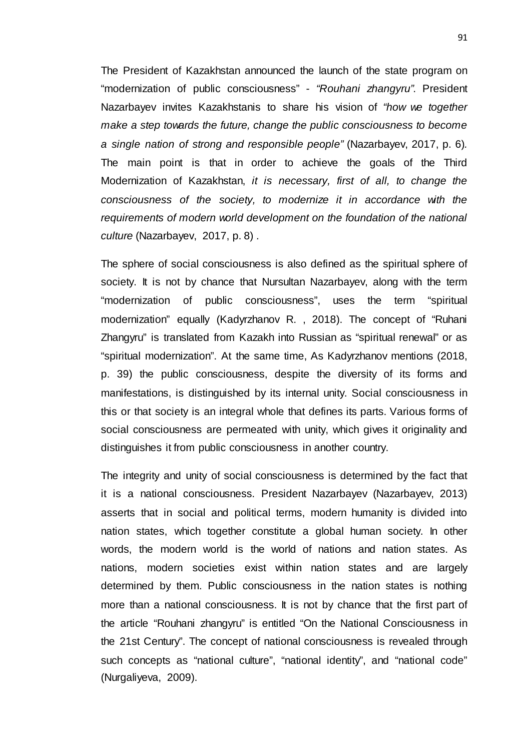The President of Kazakhstan announced the launch of the state program on "modernization of public consciousness" - *"Rouhani zhangyru"*. President Nazarbayev invites Kazakhstanis to share his vision of *"how we together make a step towards the future, change the public consciousness to become a single nation of strong and responsible people"* (Nazarbayev, 2017, p. 6)*.* The main point is that in order to achieve the goals of the Third Modernization of Kazakhstan, *it is necessary, first of all, to change the consciousness of the society, to modernize it in accordance with the requirements of modern world development on the foundation of the national culture* (Nazarbayev, 2017, p. 8) *.*

The sphere of social consciousness is also defined as the spiritual sphere of society. It is not by chance that Nursultan Nazarbayev, along with the term "modernization of public consciousness", uses the term "spiritual modernization" equally (Kadyrzhanov R. , 2018). The concept of "Ruhani Zhangyru" is translated from Kazakh into Russian as "spiritual renewal" or as "spiritual modernization". At the same time, As Kadyrzhanov mentions (2018, p. 39) the public consciousness, despite the diversity of its forms and manifestations, is distinguished by its internal unity. Social consciousness in this or that society is an integral whole that defines its parts. Various forms of social consciousness are permeated with unity, which gives it originality and distinguishes it from public consciousness in another country.

The integrity and unity of social consciousness is determined by the fact that it is a national consciousness. President Nazarbayev (Nazarbayev, 2013) asserts that in social and political terms, modern humanity is divided into nation states, which together constitute a global human society. In other words, the modern world is the world of nations and nation states. As nations, modern societies exist within nation states and are largely determined by them. Public consciousness in the nation states is nothing more than a national consciousness. It is not by chance that the first part of the article "Rouhani zhangyru" is entitled "On the National Consciousness in the 21st Century". The concept of national consciousness is revealed through such concepts as "national culture", "national identity", and "national code" (Nurgaliyeva, 2009).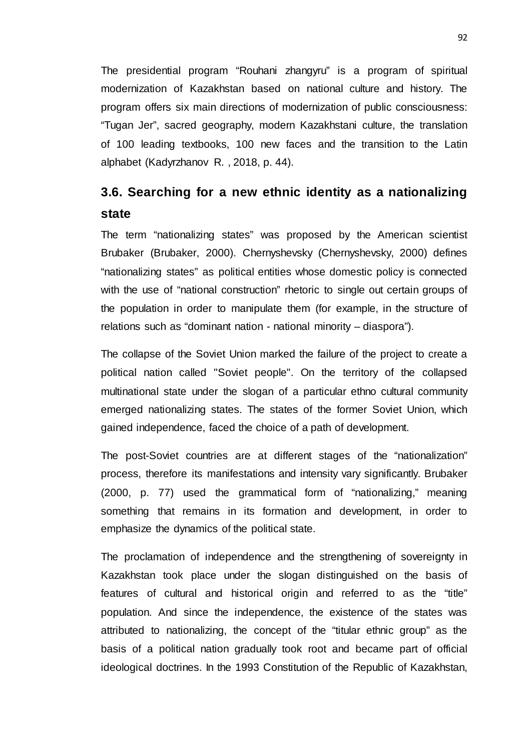The presidential program "Rouhani zhangyru" is a program of spiritual modernization of Kazakhstan based on national culture and history. The program offers six main directions of modernization of public consciousness: "Tugan Jer", sacred geography, modern Kazakhstani culture, the translation of 100 leading textbooks, 100 new faces and the transition to the Latin alphabet (Kadyrzhanov R. , 2018, p. 44).

## **3.6. Searching for a new ethnic identity as a nationalizing state**

The term "nationalizing states" was proposed by the American scientist Brubaker (Brubaker, 2000). Chernyshevsky (Chernyshevsky, 2000) defines "nationalizing states" as political entities whose domestic policy is connected with the use of "national construction" rhetoric to single out certain groups of the population in order to manipulate them (for example, in the structure of relations such as "dominant nation - national minority – diaspora").

The collapse of the Soviet Union marked the failure of the project to create a political nation called "Soviet people". On the territory of the collapsed multinational state under the slogan of a particular ethno cultural community emerged nationalizing states. The states of the former Soviet Union, which gained independence, faced the choice of a path of development.

The post-Soviet countries are at different stages of the "nationalization" process, therefore its manifestations and intensity vary significantly. Brubaker (2000, p. 77) used the grammatical form of "nationalizing," meaning something that remains in its formation and development, in order to emphasize the dynamics of the political state.

The proclamation of independence and the strengthening of sovereignty in Kazakhstan took place under the slogan distinguished on the basis of features of cultural and historical origin and referred to as the "title" population. And since the independence, the existence of the states was attributed to nationalizing, the concept of the "titular ethnic group" as the basis of a political nation gradually took root and became part of official ideological doctrines. In the 1993 Constitution of the Republic of Kazakhstan,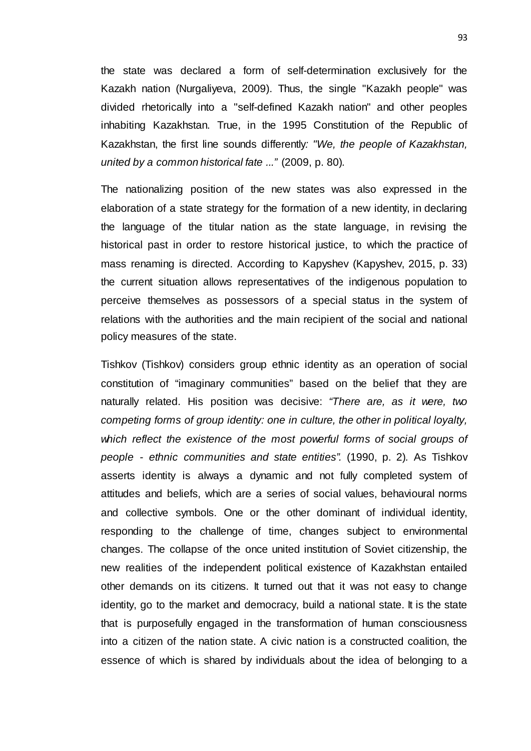the state was declared a form of self-determination exclusively for the Kazakh nation (Nurgaliyeva, 2009). Thus, the single "Kazakh people" was divided rhetorically into a "self-defined Kazakh nation" and other peoples inhabiting Kazakhstan. True, in the 1995 Constitution of the Republic of Kazakhstan, the first line sounds differently*: "We, the people of Kazakhstan, united by a common historical fate ..."* (2009, p. 80)*.*

The nationalizing position of the new states was also expressed in the elaboration of a state strategy for the formation of a new identity, in declaring the language of the titular nation as the state language, in revising the historical past in order to restore historical justice, to which the practice of mass renaming is directed. According to Kapyshev (Kapyshev, 2015, p. 33) the current situation allows representatives of the indigenous population to perceive themselves as possessors of a special status in the system of relations with the authorities and the main recipient of the social and national policy measures of the state.

Tishkov (Tishkov) considers group ethnic identity as an operation of social constitution of "imaginary communities" based on the belief that they are naturally related. His position was decisive: *"There are, as it were, two competing forms of group identity: one in culture, the other in political loyalty,*  which reflect the existence of the most powerful forms of social groups of *people - ethnic communities and state entities".* (1990, p. 2)*.* As Tishkov asserts identity is always a dynamic and not fully completed system of attitudes and beliefs, which are a series of social values, behavioural norms and collective symbols. One or the other dominant of individual identity, responding to the challenge of time, changes subject to environmental changes. The collapse of the once united institution of Soviet citizenship, the new realities of the independent political existence of Kazakhstan entailed other demands on its citizens. It turned out that it was not easy to change identity, go to the market and democracy, build a national state. It is the state that is purposefully engaged in the transformation of human consciousness into a citizen of the nation state. A civic nation is a constructed coalition, the essence of which is shared by individuals about the idea of belonging to a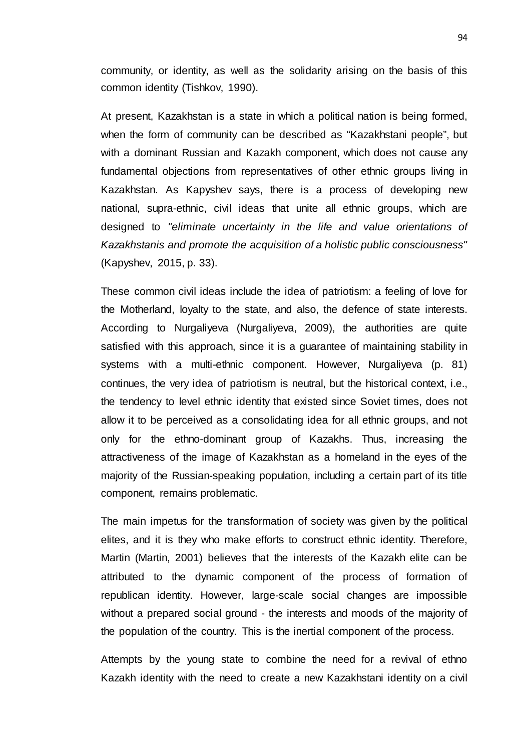community, or identity, as well as the solidarity arising on the basis of this common identity (Tishkov, 1990).

At present, Kazakhstan is a state in which a political nation is being formed, when the form of community can be described as "Kazakhstani people", but with a dominant Russian and Kazakh component, which does not cause any fundamental objections from representatives of other ethnic groups living in Kazakhstan. As Kapyshev says, there is a process of developing new national, supra-ethnic, civil ideas that unite all ethnic groups, which are designed to *"eliminate uncertainty in the life and value orientations of Kazakhstanis and promote the acquisition of a holistic public consciousness"* (Kapyshev, 2015, p. 33).

These common civil ideas include the idea of patriotism: a feeling of love for the Motherland, loyalty to the state, and also, the defence of state interests. According to Nurgaliyeva (Nurgaliyeva, 2009), the authorities are quite satisfied with this approach, since it is a guarantee of maintaining stability in systems with a multi-ethnic component. However, Nurgaliyeva (p. 81) continues, the very idea of patriotism is neutral, but the historical context, i.e., the tendency to level ethnic identity that existed since Soviet times, does not allow it to be perceived as a consolidating idea for all ethnic groups, and not only for the ethno-dominant group of Kazakhs. Thus, increasing the attractiveness of the image of Kazakhstan as a homeland in the eyes of the majority of the Russian-speaking population, including a certain part of its title component, remains problematic.

The main impetus for the transformation of society was given by the political elites, and it is they who make efforts to construct ethnic identity. Therefore, Martin (Martin, 2001) believes that the interests of the Kazakh elite can be attributed to the dynamic component of the process of formation of republican identity. However, large-scale social changes are impossible without a prepared social ground - the interests and moods of the majority of the population of the country. This is the inertial component of the process.

Attempts by the young state to combine the need for a revival of ethno Kazakh identity with the need to create a new Kazakhstani identity on a civil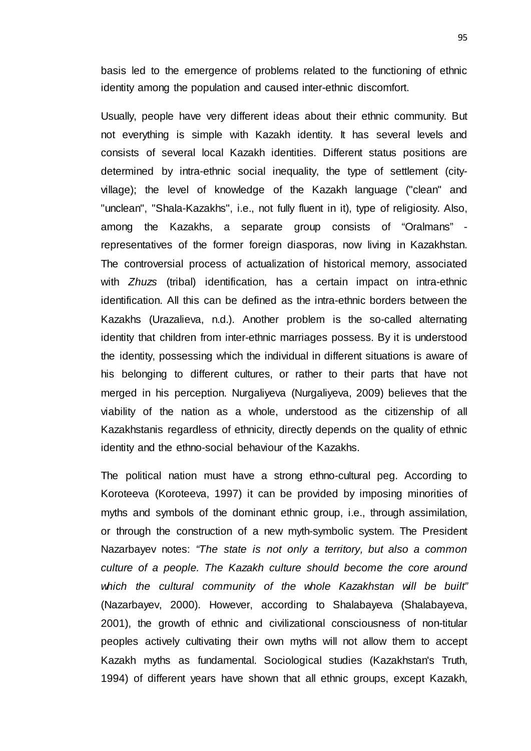basis led to the emergence of problems related to the functioning of ethnic identity among the population and caused inter-ethnic discomfort.

Usually, people have very different ideas about their ethnic community. But not everything is simple with Kazakh identity. It has several levels and consists of several local Kazakh identities. Different status positions are determined by intra-ethnic social inequality, the type of settlement (cityvillage); the level of knowledge of the Kazakh language ("clean" and "unclean", "Shala-Kazakhs", i.e., not fully fluent in it), type of religiosity. Also, among the Kazakhs, a separate group consists of "Oralmans" representatives of the former foreign diasporas, now living in Kazakhstan. The controversial process of actualization of historical memory, associated with *Zhuzs* (tribal) identification, has a certain impact on intra-ethnic identification. All this can be defined as the intra-ethnic borders between the Kazakhs (Urazalieva, n.d.). Another problem is the so-called alternating identity that children from inter-ethnic marriages possess. By it is understood the identity, possessing which the individual in different situations is aware of his belonging to different cultures, or rather to their parts that have not merged in his perception. Nurgaliyeva (Nurgaliyeva, 2009) believes that the viability of the nation as a whole, understood as the citizenship of all Kazakhstanis regardless of ethnicity, directly depends on the quality of ethnic identity and the ethno-social behaviour of the Kazakhs.

The political nation must have a strong ethno-cultural peg. According to Koroteeva (Koroteeva, 1997) it can be provided by imposing minorities of myths and symbols of the dominant ethnic group, i.e., through assimilation, or through the construction of a new myth-symbolic system. The President Nazarbayev notes: *"The state is not only a territory, but also a common culture of a people. The Kazakh culture should become the core around which the cultural community of the whole Kazakhstan will be built"* (Nazarbayev, 2000). However, according to Shalabayeva (Shalabayeva, 2001), the growth of ethnic and civilizational consciousness of non-titular peoples actively cultivating their own myths will not allow them to accept Kazakh myths as fundamental. Sociological studies (Kazakhstan's Truth, 1994) of different years have shown that all ethnic groups, except Kazakh,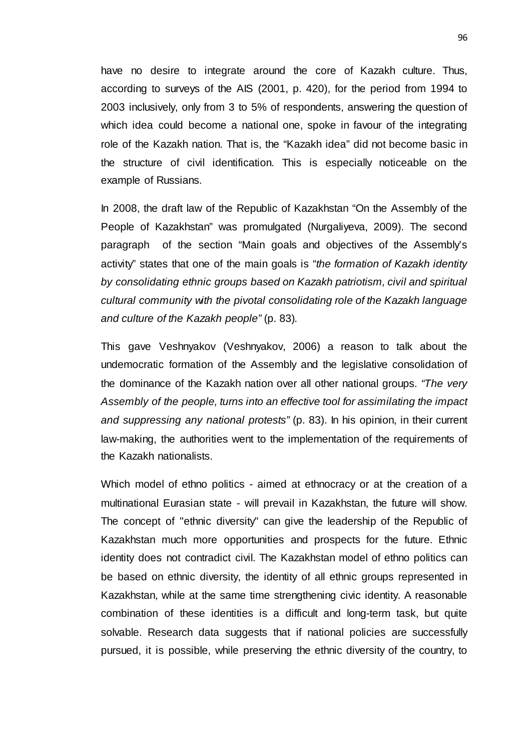have no desire to integrate around the core of Kazakh culture. Thus, according to surveys of the AIS (2001, p. 420), for the period from 1994 to 2003 inclusively, only from 3 to 5% of respondents, answering the question of which idea could become a national one, spoke in favour of the integrating role of the Kazakh nation. That is, the "Kazakh idea" did not become basic in the structure of civil identification. This is especially noticeable on the example of Russians.

In 2008, the draft law of the Republic of Kazakhstan "On the Assembly of the People of Kazakhstan" was promulgated (Nurgaliyeva, 2009). The second paragraph of the section "Main goals and objectives of the Assembly's activity" states that one of the main goals is "*the formation of Kazakh identity by consolidating ethnic groups based on Kazakh patriotism, civil and spiritual cultural community with the pivotal consolidating role of the Kazakh language and culture of the Kazakh people"* (p. 83)*.*

This gave Veshnyakov (Veshnyakov, 2006) a reason to talk about the undemocratic formation of the Assembly and the legislative consolidation of the dominance of the Kazakh nation over all other national groups. *"The very Assembly of the people, turns into an effective tool for assimilating the impact and suppressing any national protests"* (p. 83). In his opinion, in their current law-making, the authorities went to the implementation of the requirements of the Kazakh nationalists.

Which model of ethno politics - aimed at ethnocracy or at the creation of a multinational Eurasian state - will prevail in Kazakhstan, the future will show. The concept of "ethnic diversity" can give the leadership of the Republic of Kazakhstan much more opportunities and prospects for the future. Ethnic identity does not contradict civil. The Kazakhstan model of ethno politics can be based on ethnic diversity, the identity of all ethnic groups represented in Kazakhstan, while at the same time strengthening civic identity. A reasonable combination of these identities is a difficult and long-term task, but quite solvable. Research data suggests that if national policies are successfully pursued, it is possible, while preserving the ethnic diversity of the country, to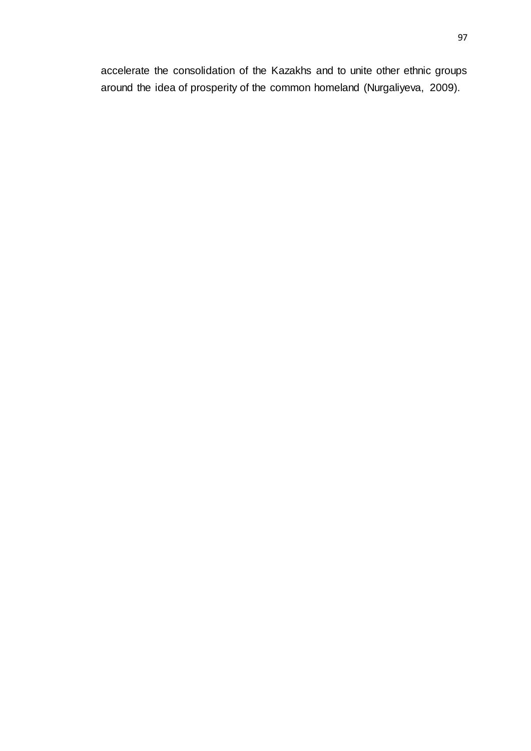accelerate the consolidation of the Kazakhs and to unite other ethnic groups around the idea of prosperity of the common homeland (Nurgaliyeva, 2009).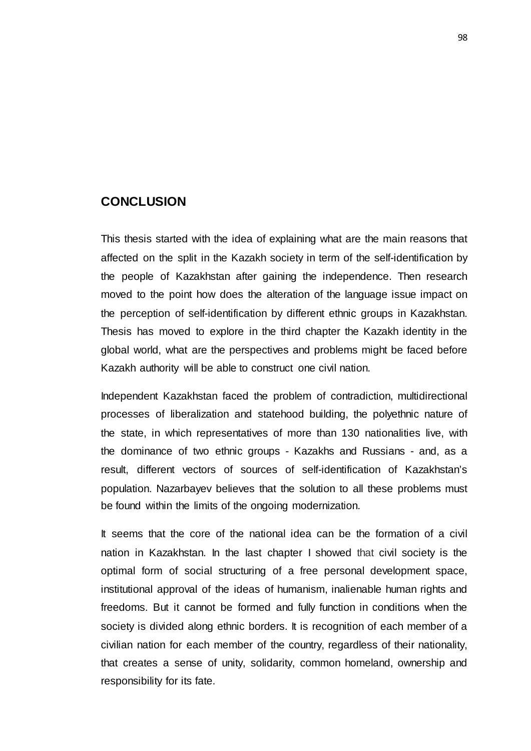### **CONCLUSION**

This thesis started with the idea of explaining what are the main reasons that affected on the split in the Kazakh society in term of the self-identification by the people of Kazakhstan after gaining the independence. Then research moved to the point how does the alteration of the language issue impact on the perception of self-identification by different ethnic groups in Kazakhstan. Thesis has moved to explore in the third chapter the Kazakh identity in the global world, what are the perspectives and problems might be faced before Kazakh authority will be able to construct one civil nation.

Independent Kazakhstan faced the problem of contradiction, multidirectional processes of liberalization and statehood building, the polyethnic nature of the state, in which representatives of more than 130 nationalities live, with the dominance of two ethnic groups - Kazakhs and Russians - and, as a result, different vectors of sources of self-identification of Kazakhstan's population. Nazarbayev believes that the solution to all these problems must be found within the limits of the ongoing modernization.

It seems that the core of the national idea can be the formation of a civil nation in Kazakhstan. In the last chapter I showed that civil society is the optimal form of social structuring of a free personal development space, institutional approval of the ideas of humanism, inalienable human rights and freedoms. But it cannot be formed and fully function in conditions when the society is divided along ethnic borders. It is recognition of each member of a civilian nation for each member of the country, regardless of their nationality, that creates a sense of unity, solidarity, common homeland, ownership and responsibility for its fate.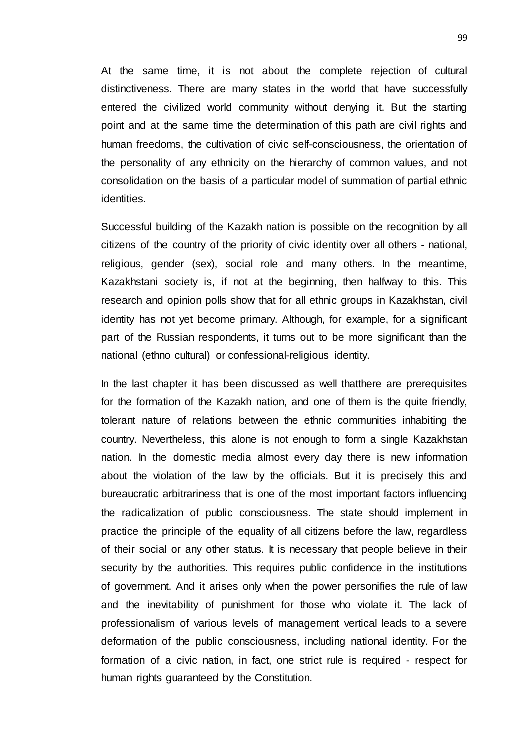At the same time, it is not about the complete rejection of cultural distinctiveness. There are many states in the world that have successfully entered the civilized world community without denying it. But the starting point and at the same time the determination of this path are civil rights and human freedoms, the cultivation of civic self-consciousness, the orientation of the personality of any ethnicity on the hierarchy of common values, and not consolidation on the basis of a particular model of summation of partial ethnic identities.

Successful building of the Kazakh nation is possible on the recognition by all citizens of the country of the priority of civic identity over all others - national, religious, gender (sex), social role and many others. In the meantime, Kazakhstani society is, if not at the beginning, then halfway to this. This research and opinion polls show that for all ethnic groups in Kazakhstan, civil identity has not yet become primary. Although, for example, for a significant part of the Russian respondents, it turns out to be more significant than the national (ethno cultural) or confessional-religious identity.

In the last chapter it has been discussed as well thatthere are prerequisites for the formation of the Kazakh nation, and one of them is the quite friendly, tolerant nature of relations between the ethnic communities inhabiting the country. Nevertheless, this alone is not enough to form a single Kazakhstan nation. In the domestic media almost every day there is new information about the violation of the law by the officials. But it is precisely this and bureaucratic arbitrariness that is one of the most important factors influencing the radicalization of public consciousness. The state should implement in practice the principle of the equality of all citizens before the law, regardless of their social or any other status. It is necessary that people believe in their security by the authorities. This requires public confidence in the institutions of government. And it arises only when the power personifies the rule of law and the inevitability of punishment for those who violate it. The lack of professionalism of various levels of management vertical leads to a severe deformation of the public consciousness, including national identity. For the formation of a civic nation, in fact, one strict rule is required - respect for human rights guaranteed by the Constitution.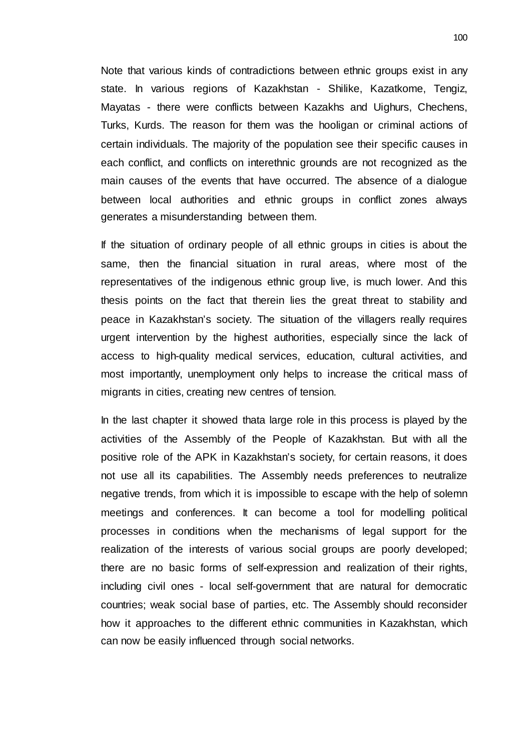Note that various kinds of contradictions between ethnic groups exist in any state. In various regions of Kazakhstan - Shilike, Kazatkome, Tengiz, Mayatas - there were conflicts between Kazakhs and Uighurs, Chechens, Turks, Kurds. The reason for them was the hooligan or criminal actions of certain individuals. The majority of the population see their specific causes in each conflict, and conflicts on interethnic grounds are not recognized as the main causes of the events that have occurred. The absence of a dialogue between local authorities and ethnic groups in conflict zones always generates a misunderstanding between them.

If the situation of ordinary people of all ethnic groups in cities is about the same, then the financial situation in rural areas, where most of the representatives of the indigenous ethnic group live, is much lower. And this thesis points on the fact that therein lies the great threat to stability and peace in Kazakhstan's society. The situation of the villagers really requires urgent intervention by the highest authorities, especially since the lack of access to high-quality medical services, education, cultural activities, and most importantly, unemployment only helps to increase the critical mass of migrants in cities, creating new centres of tension.

In the last chapter it showed thata large role in this process is played by the activities of the Assembly of the People of Kazakhstan. But with all the positive role of the APK in Kazakhstan's society, for certain reasons, it does not use all its capabilities. The Assembly needs preferences to neutralize negative trends, from which it is impossible to escape with the help of solemn meetings and conferences. It can become a tool for modelling political processes in conditions when the mechanisms of legal support for the realization of the interests of various social groups are poorly developed; there are no basic forms of self-expression and realization of their rights, including civil ones - local self-government that are natural for democratic countries; weak social base of parties, etc. The Assembly should reconsider how it approaches to the different ethnic communities in Kazakhstan, which can now be easily influenced through social networks.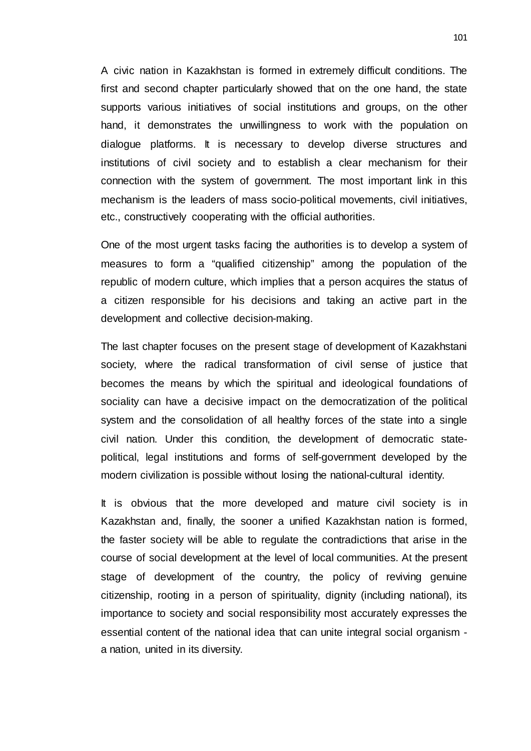A civic nation in Kazakhstan is formed in extremely difficult conditions. The first and second chapter particularly showed that on the one hand, the state supports various initiatives of social institutions and groups, on the other hand, it demonstrates the unwillingness to work with the population on dialogue platforms. It is necessary to develop diverse structures and institutions of civil society and to establish a clear mechanism for their connection with the system of government. The most important link in this mechanism is the leaders of mass socio-political movements, civil initiatives, etc., constructively cooperating with the official authorities.

One of the most urgent tasks facing the authorities is to develop a system of measures to form a "qualified citizenship" among the population of the republic of modern culture, which implies that a person acquires the status of a citizen responsible for his decisions and taking an active part in the development and collective decision-making.

The last chapter focuses on the present stage of development of Kazakhstani society, where the radical transformation of civil sense of justice that becomes the means by which the spiritual and ideological foundations of sociality can have a decisive impact on the democratization of the political system and the consolidation of all healthy forces of the state into a single civil nation. Under this condition, the development of democratic statepolitical, legal institutions and forms of self-government developed by the modern civilization is possible without losing the national-cultural identity.

It is obvious that the more developed and mature civil society is in Kazakhstan and, finally, the sooner a unified Kazakhstan nation is formed, the faster society will be able to regulate the contradictions that arise in the course of social development at the level of local communities. At the present stage of development of the country, the policy of reviving genuine citizenship, rooting in a person of spirituality, dignity (including national), its importance to society and social responsibility most accurately expresses the essential content of the national idea that can unite integral social organism a nation, united in its diversity.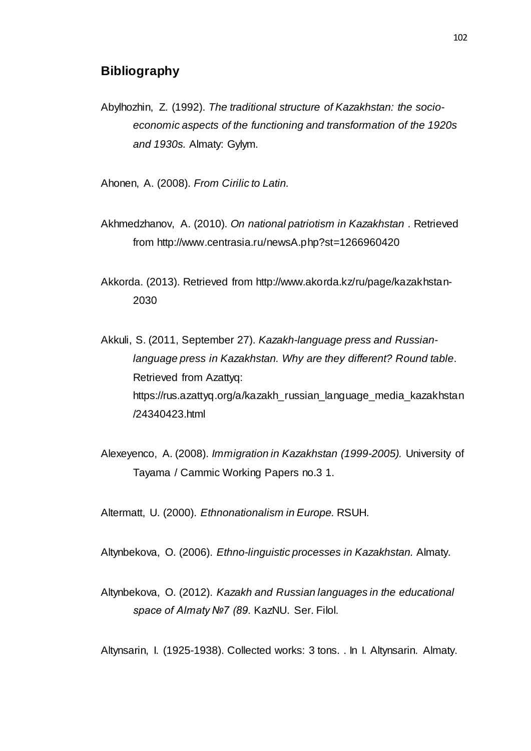## **Bibliography**

Abylhozhin, Z. (1992). *The traditional structure of Kazakhstan: the socioeconomic aspects of the functioning and transformation of the 1920s and 1930s.* Almaty: Gylym.

Ahonen, A. (2008). *From Cirilic to Latin.*

- Akhmedzhanov, A. (2010). *On national patriotism in Kazakhstan* . Retrieved from http://www.centrasia.ru/newsA.php?st=1266960420
- Akkorda. (2013). Retrieved from http://www.akorda.kz/ru/page/kazakhstan-2030
- Akkuli, S. (2011, September 27). *Kazakh-language press and Russianlanguage press in Kazakhstan. Why are they different? Round table*. Retrieved from Azattyq: https://rus.azattyq.org/a/kazakh\_russian\_language\_media\_kazakhstan /24340423.html
- Alexeyenco, A. (2008). *Immigration in Kazakhstan (1999-2005).* University of Tayama / Cammic Working Papers no.3 1.

Altermatt, U. (2000). *Ethnonationalism in Europe.* RSUH.

Altynbekova, O. (2006). *Ethno-linguistic processes in Kazakhstan.* Almaty.

Altynbekova, O. (2012). *Kazakh and Russian languages in the educational space of Almaty №7 (89.* KazNU. Ser. Filol.

Altynsarin, I. (1925-1938). Collected works: 3 tons. . In I. Altynsarin. Almaty.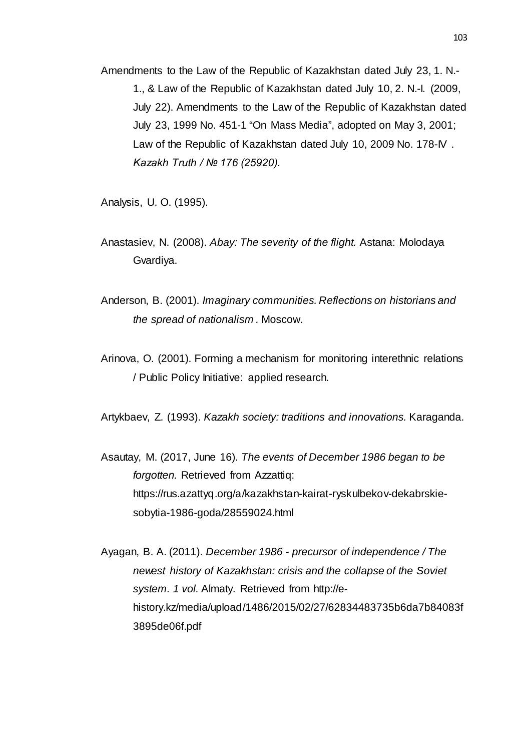Amendments to the Law of the Republic of Kazakhstan dated July 23, 1. N.- 1., & Law of the Republic of Kazakhstan dated July 10, 2. N.-I. (2009, July 22). Amendments to the Law of the Republic of Kazakhstan dated July 23, 1999 No. 451-1 "On Mass Media", adopted on May 3, 2001; Law of the Republic of Kazakhstan dated July 10, 2009 No. 178-IV . *Kazakh Truth / № 176 (25920).*

Analysis, U. O. (1995).

- Anastasiev, N. (2008). *Abay: The severity of the flight.* Astana: Molodaya Gvardiya.
- Anderson, B. (2001). *Imaginary communities. Reflections on historians and the spread of nationalism .* Moscow.
- Arinova, O. (2001). Forming a mechanism for monitoring interethnic relations / Public Policy Initiative: applied research.
- Artykbaev, Z. (1993). *Kazakh society: traditions and innovations.* Karaganda.
- Asautay, M. (2017, June 16). *The events of December 1986 began to be forgotten.* Retrieved from Azzattiq: https://rus.azattyq.org/a/kazakhstan-kairat-ryskulbekov-dekabrskiesobytia-1986-goda/28559024.html
- Ayagan, B. A. (2011). *December 1986 - precursor of independence / The newest history of Kazakhstan: crisis and the collapse of the Soviet system. 1 vol.* Almaty. Retrieved from http://ehistory.kz/media/upload/1486/2015/02/27/62834483735b6da7b84083f 3895de06f.pdf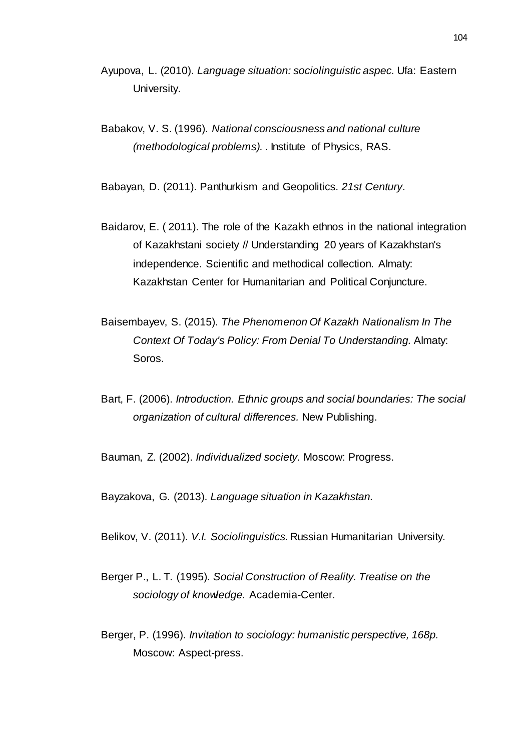- Ayupova, L. (2010). *Language situation: sociolinguistic aspec.* Ufa: Eastern University.
- Babakov, V. S. (1996). *National consciousness and national culture (methodological problems). .* Institute of Physics, RAS.

Babayan, D. (2011). Panthurkism and Geopolitics. *21st Century*.

- Baidarov, E. ( 2011). The role of the Kazakh ethnos in the national integration of Kazakhstani society // Understanding 20 years of Kazakhstan's independence. Scientific and methodical collection. Almaty: Kazakhstan Center for Humanitarian and Political Conjuncture.
- Baisembayev, S. (2015). *The Phenomenon Of Kazakh Nationalism In The Context Of Today's Policy: From Denial To Understanding.* Almaty: Soros.
- Bart, F. (2006). *Introduction. Ethnic groups and social boundaries: The social organization of cultural differences.* New Publishing.

Bauman, Z. (2002). *Individualized society.* Moscow: Progress.

Bayzakova, G. (2013). *Language situation in Kazakhstan.*

Belikov, V. (2011). *V.I. Sociolinguistics.* Russian Humanitarian University.

- Berger P., L. T. (1995). *Social Construction of Reality. Treatise on the sociology of knowledge.* Academia-Center.
- Berger, P. (1996). *Invitation to sociology: humanistic perspective, 168p.* Moscow: Aspect-press.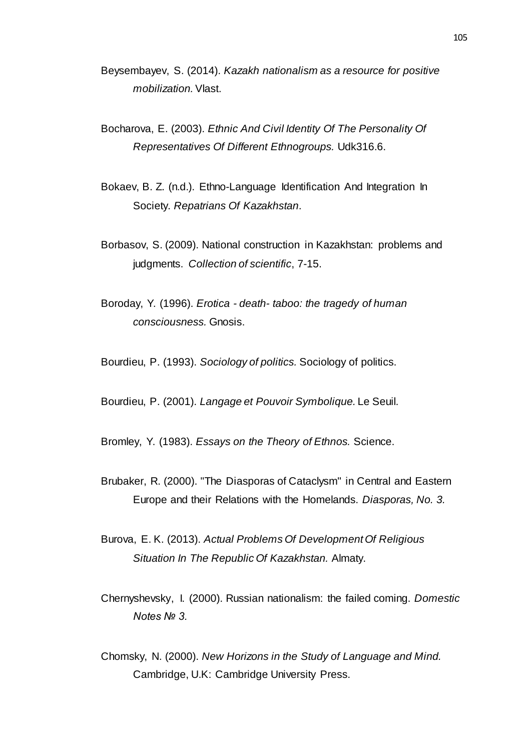- Beysembayev, S. (2014). *Kazakh nationalism as a resource for positive mobilization.*Vlast.
- Bocharova, E. (2003). *Ethnic And Civil Identity Of The Personality Of Representatives Of Different Ethnogroups.* Udk316.6.
- Bokaev, B. Z. (n.d.). Ethno-Language Identification And Integration In Society. *Repatrians Of Kazakhstan*.
- Borbasov, S. (2009). National construction in Kazakhstan: problems and judgments. *Collection of scientific*, 7-15.
- Boroday, Y. (1996). *Erotica - death- taboo: the tragedy of human consciousness.* Gnosis.

Bourdieu, P. (1993). *Sociology of politics.* Sociology of politics.

Bourdieu, P. (2001). *Langage et Pouvoir Symbolique.* Le Seuil.

Bromley, Y. (1983). *Essays on the Theory of Ethnos.* Science.

- Brubaker, R. (2000). "The Diasporas of Cataclysm" in Central and Eastern Europe and their Relations with the Homelands. *Diasporas, No. 3.*
- Burova, E. K. (2013). *Actual Problems Of Development Of Religious Situation In The Republic Of Kazakhstan.* Almaty.
- Chernyshevsky, I. (2000). Russian nationalism: the failed coming. *Domestic Notes № 3.*
- Chomsky, N. (2000). *New Horizons in the Study of Language and Mind.* Cambridge, U.K: Cambridge University Press.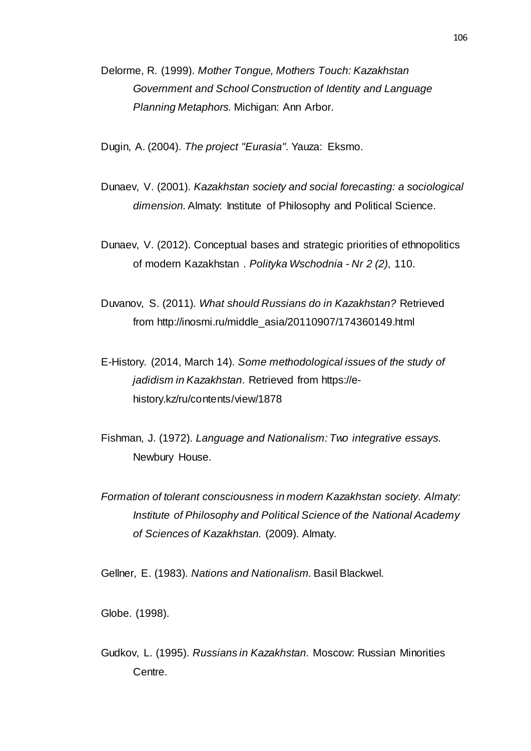Delorme, R. (1999). *Mother Tongue, Mothers Touch: Kazakhstan Government and School Construction of Identity and Language Planning Metaphors.* Michigan: Ann Arbor.

Dugin, A. (2004). *The project "Eurasia".* Yauza: Eksmo.

- Dunaev, V. (2001). *Kazakhstan society and social forecasting: a sociological dimension.*Almaty: Institute of Philosophy and Political Science.
- Dunaev, V. (2012). Conceptual bases and strategic priorities of ethnopolitics of modern Kazakhstan . *Polityka Wschodnia - Nr 2 (2)*, 110.
- Duvanov, S. (2011). *What should Russians do in Kazakhstan?* Retrieved from http://inosmi.ru/middle\_asia/20110907/174360149.html
- E-History. (2014, March 14). *Some methodological issues of the study of jadidism in Kazakhstan*. Retrieved from https://ehistory.kz/ru/contents/view/1878
- Fishman, J. (1972). *Language and Nationalism: Two integrative essays.* Newbury House.
- *Formation of tolerant consciousness in modern Kazakhstan society. Almaty: Institute of Philosophy and Political Science of the National Academy of Sciences of Kazakhstan.* (2009). Almaty.

Gellner, E. (1983). *Nations and Nationalism.*Basil Blackwel.

Globe. (1998).

Gudkov, L. (1995). *Russians in Kazakhstan.* Moscow: Russian Minorities Centre.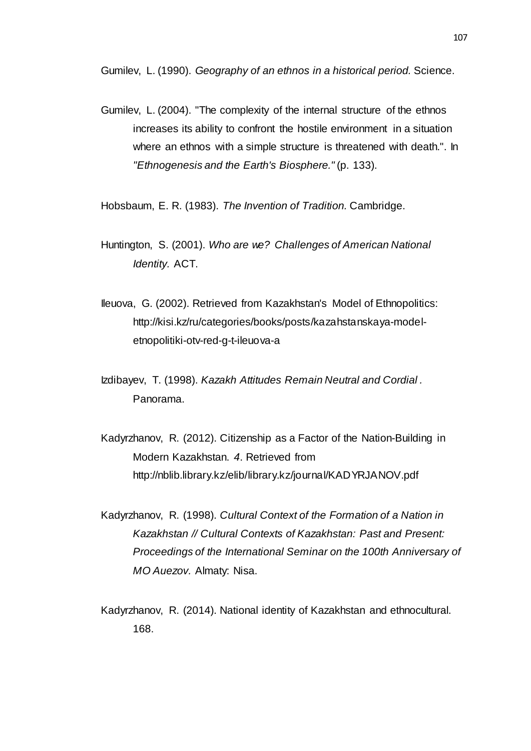Gumilev, L. (1990). *Geography of an ethnos in a historical period.* Science.

Gumilev, L. (2004). "The complexity of the internal structure of the ethnos increases its ability to confront the hostile environment in a situation where an ethnos with a simple structure is threatened with death.". In *"Ethnogenesis and the Earth's Biosphere."* (p. 133).

Hobsbaum, E. R. (1983). *The Invention of Tradition.* Cambridge.

- Huntington, S. (2001). *Who are we? Challenges of American National Identity.* ACT.
- Ileuova, G. (2002). Retrieved from Kazakhstan's Model of Ethnopolitics: http://kisi.kz/ru/categories/books/posts/kazahstanskaya-modeletnopolitiki-otv-red-g-t-ileuova-a
- Izdibayev, T. (1998). *Kazakh Attitudes Remain Neutral and Cordial .* Panorama.
- Kadyrzhanov, R. (2012). Citizenship as a Factor of the Nation-Building in Modern Kazakhstan. *4*. Retrieved from http://nblib.library.kz/elib/library.kz/journal/KADYRJANOV.pdf
- Kadyrzhanov, R. (1998). *Cultural Context of the Formation of a Nation in Kazakhstan // Cultural Contexts of Kazakhstan: Past and Present: Proceedings of the International Seminar on the 100th Anniversary of MO Auezov.* Almaty: Nisa.
- Kadyrzhanov, R. (2014). National identity of Kazakhstan and ethnocultural. 168.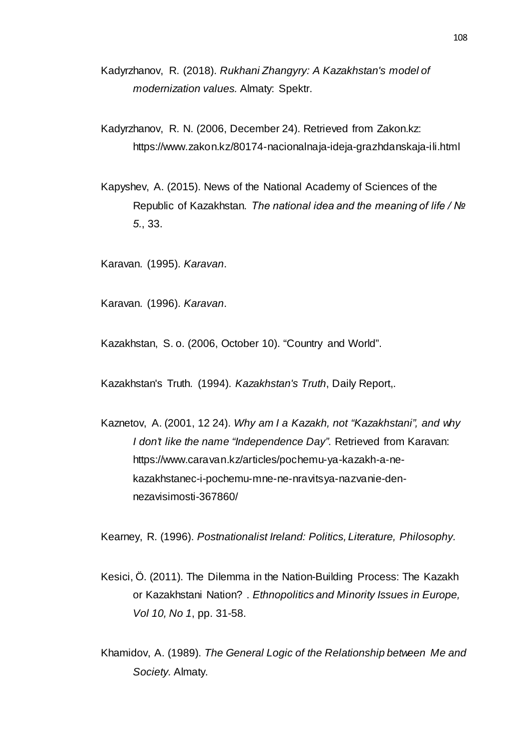- Kadyrzhanov, R. (2018). *Rukhani Zhangyry: A Kazakhstan's model of modernization values.* Almaty: Spektr.
- Kadyrzhanov, R. N. (2006, December 24). Retrieved from Zakon.kz: https://www.zakon.kz/80174-nacionalnaja-ideja-grazhdanskaja-ili.html
- Kapyshev, A. (2015). News of the National Academy of Sciences of the Republic of Kazakhstan. *The national idea and the meaning of life / № 5.*, 33.

Karavan. (1995). *Karavan*.

Karavan. (1996). *Karavan*.

Kazakhstan, S. o. (2006, October 10). "Country and World".

Kazakhstan's Truth. (1994). *Kazakhstan's Truth*, Daily Report,.

Kaznetov, A. (2001, 12 24). *Why am I a Kazakh, not "Kazakhstani", and why I don't like the name "Independence Day"*. Retrieved from Karavan: https://www.caravan.kz/articles/pochemu-ya-kazakh-a-nekazakhstanec-i-pochemu-mne-ne-nravitsya-nazvanie-dennezavisimosti-367860/

Kearney, R. (1996). *Postnationalist Ireland: Politics, Literature, Philosophy.*

- Kesici, Ö. (2011). The Dilemma in the Nation-Building Process: The Kazakh or Kazakhstani Nation? . *Ethnopolitics and Minority Issues in Europe, Vol 10, No 1*, pp. 31-58.
- Khamidov, A. (1989). *The General Logic of the Relationship between Me and Society.* Almaty.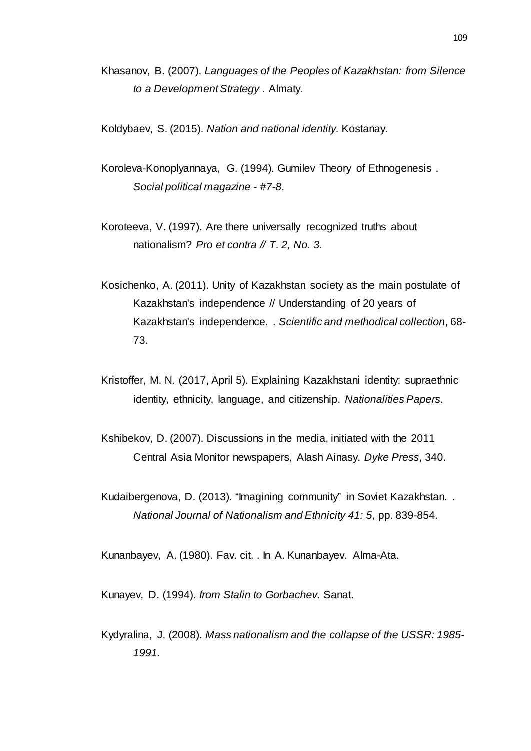Khasanov, B. (2007). *Languages of the Peoples of Kazakhstan: from Silence to a Development Strategy .* Almaty.

Koldybaev, S. (2015). *Nation and national identity.* Kostanay.

- Koroleva-Konoplyannaya, G. (1994). Gumilev Theory of Ethnogenesis . *Social political magazine - #7-8*.
- Koroteeva, V. (1997). Are there universally recognized truths about nationalism? *Pro et contra // T. 2, No. 3.*
- Kosichenko, A. (2011). Unity of Kazakhstan society as the main postulate of Kazakhstan's independence // Understanding of 20 years of Kazakhstan's independence. . *Scientific and methodical collection*, 68- 73.
- Kristoffer, M. N. (2017, April 5). Explaining Kazakhstani identity: supraethnic identity, ethnicity, language, and citizenship. *Nationalities Papers*.
- Kshibekov, D. (2007). Discussions in the media, initiated with the 2011 Central Asia Monitor newspapers, Alash Ainasy. *Dyke Press*, 340.
- Kudaibergenova, D. (2013). "Imagining community" in Soviet Kazakhstan. . *National Journal of Nationalism and Ethnicity 41: 5*, pp. 839-854.

Kunanbayev, A. (1980). Fav. cit. . In A. Kunanbayev. Alma-Ata.

Kunayev, D. (1994). *from Stalin to Gorbachev.* Sanat.

Kydyralina, J. (2008). *Mass nationalism and the collapse of the USSR: 1985- 1991.*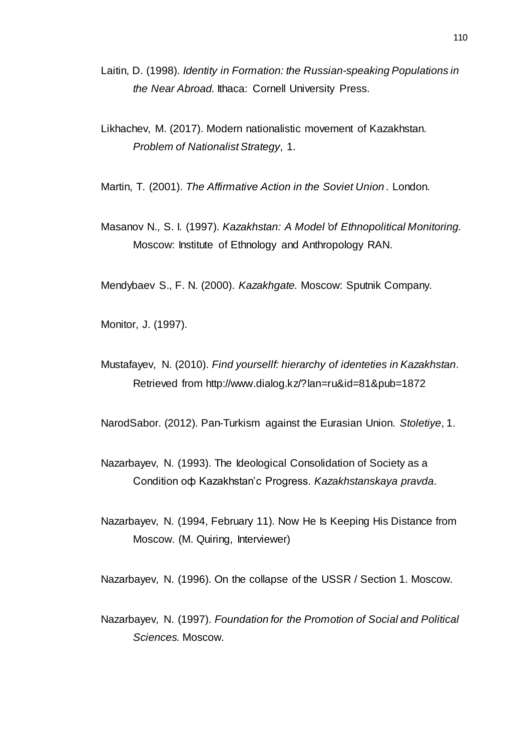- Laitin, D. (1998). *Identity in Formation: the Russian-speaking Populations in the Near Abroad.* Ithaca: Cornell University Press.
- Likhachev, M. (2017). Modern nationalistic movement of Kazakhstan. *Problem of Nationalist Strategy*, 1.

Martin, T. (2001). *The Affirmative Action in the Soviet Union .* London.

Masanov N., S. I. (1997). *Kazakhstan: A Model 'of Ethnopolitical Monitoring.* Moscow: Institute of Ethnology and Anthropology RAN.

Mendybaev S., F. N. (2000). *Kazakhgate.* Moscow: Sputnik Company.

Monitor, J. (1997).

Mustafayev, N. (2010). *Find yoursellf: hierarchy of identeties in Kazakhstan*. Retrieved from http://www.dialog.kz/?lan=ru&id=81&pub=1872

NarodSabor. (2012). Pan-Turkism against the Eurasian Union. *Stoletiye*, 1.

- Nazarbayev, N. (1993). The Ideological Consolidation of Society as a Condition оф Kazakhstan'с Progress. *Kazakhstanskaya pravda*.
- Nazarbayev, N. (1994, February 11). Now He Is Keeping His Distance from Moscow. (M. Quiring, Interviewer)

Nazarbayev, N. (1996). On the collapse of the USSR / Section 1. Moscow.

Nazarbayev, N. (1997). *Foundation for the Promotion of Social and Political Sciences.* Moscow.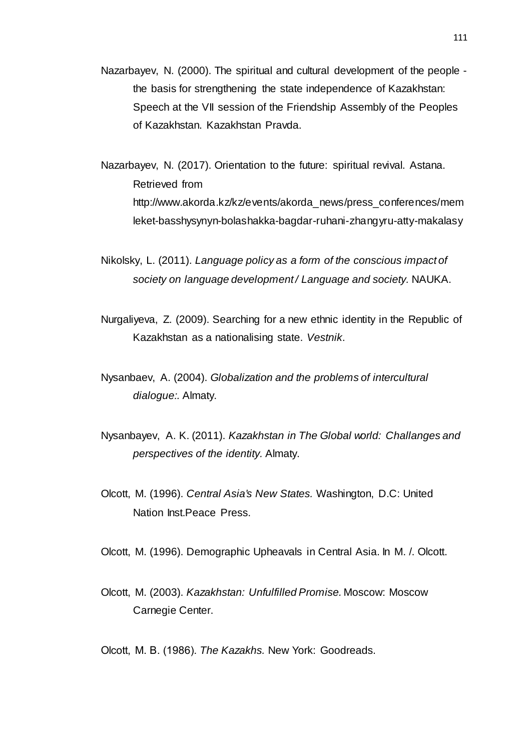- Nazarbayev, N. (2000). The spiritual and cultural development of the people the basis for strengthening the state independence of Kazakhstan: Speech at the VII session of the Friendship Assembly of the Peoples of Kazakhstan. Kazakhstan Pravda.
- Nazarbayev, N. (2017). Orientation to the future: spiritual revival. Astana. Retrieved from http://www.akorda.kz/kz/events/akorda\_news/press\_conferences/mem leket-basshysynyn-bolashakka-bagdar-ruhani-zhangyru-atty-makalasy
- Nikolsky, L. (2011). *Language policy as a form of the conscious impact of society on language development / Language and society.* NAUKA.
- Nurgaliyeva, Z. (2009). Searching for a new ethnic identity in the Republic of Kazakhstan as a nationalising state. *Vestnik*.
- Nysanbaev, A. (2004). *Globalization and the problems of intercultural dialogue:.* Almaty.
- Nysanbayev, A. K. (2011). *Kazakhstan in The Global world: Challanges and perspectives of the identity.* Almaty.
- Olcott, M. (1996). *Central Asia's New States.* Washington, D.C: United Nation Inst.Peace Press.

Olcott, M. (1996). Demographic Upheavals in Central Asia. In M. /. Olcott.

Olcott, M. (2003). *Kazakhstan: Unfulfilled Promise.* Moscow: Moscow Carnegie Center.

Olcott, М. В. (1986). *The Kazakhs.* New York: Goodreads.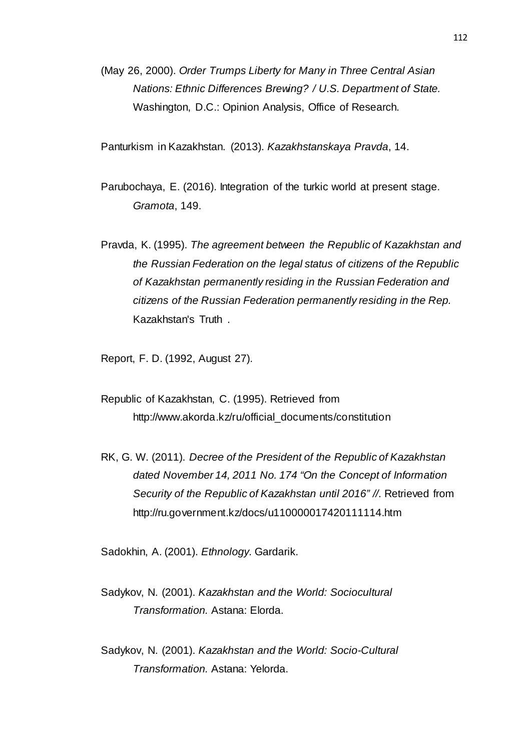(May 26, 2000). *Order Trumps Liberty for Many in Three Central Asian Nations: Ethnic Differences Brewing? / U.S. Department of State.* Washington, D.C.: Opinion Analysis, Office of Research.

Panturkism in Kazakhstan. (2013). *Kazakhstanskaya Pravda*, 14.

Parubochaya, E. (2016). Integration of the turkic world at present stage. *Gramota*, 149.

Pravda, K. (1995). *The agreement between the Republic of Kazakhstan and the Russian Federation on the legal status of citizens of the Republic of Kazakhstan permanently residing in the Russian Federation and citizens of the Russian Federation permanently residing in the Rep.* Kazakhstan's Truth .

Report, F. D. (1992, August 27).

Republic of Kazakhstan, C. (1995). Retrieved from http://www.akorda.kz/ru/official\_documents/constitution

RK, G. W. (2011). *Decree of the President of the Republic of Kazakhstan dated November 14, 2011 No. 174 "On the Concept of Information Security of the Republic of Kazakhstan until 2016" //*. Retrieved from http://ru.government.kz/docs/u110000017420111114.htm

Sadokhin, A. (2001). *Ethnology.* Gardarik.

- Sadykov, N. (2001). *Kazakhstan and the World: Sociocultural Transformation.* Astana: Elorda.
- Sadykov, N. (2001). *Kazakhstan and the World: Socio-Cultural Transformation.* Astana: Yelorda.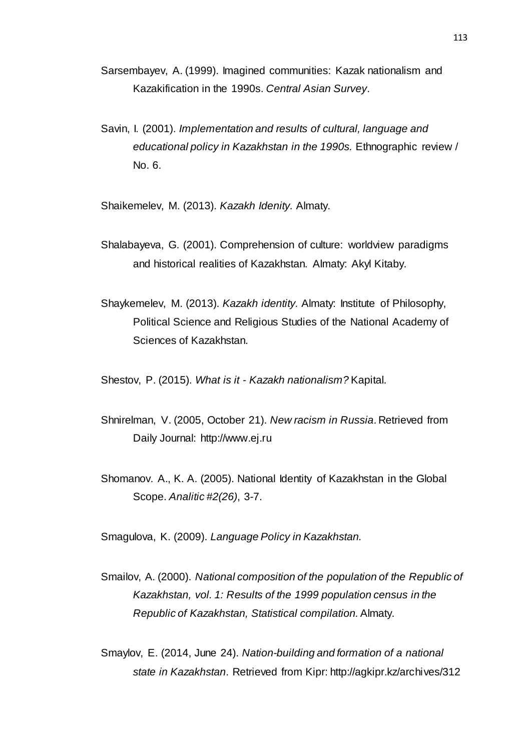- Sarsembayev, A. (1999). Imagined communities: Kazak nationalism and Kazakification in the 1990s. *Central Asian Survey*.
- Savin, I. (2001). *Implementation and results of cultural, language and educational policy in Kazakhstan in the 1990s.* Ethnographic review / No. 6.

Shaikemelev, M. (2013). *Kazakh Idenity.* Almaty.

- Shalabayeva, G. (2001). Comprehension of culture: worldview paradigms and historical realities of Kazakhstan. Almaty: Akyl Kitaby.
- Shaykemelev, M. (2013). *Kazakh identity.* Almaty: Institute of Philosophy, Political Science and Religious Studies of the National Academy of Sciences of Kazakhstan.

Shestov, P. (2015). *What is it - Kazakh nationalism?* Kapital.

- Shnirelman, V. (2005, October 21). *New racism in Russia*. Retrieved from Daily Journal: http://www.ej.ru
- Shomanov. A., K. A. (2005). National Identity of Kazakhstan in the Global Scope. *Analitic #2(26)*, 3-7.

Smagulova, K. (2009). *Language Policy in Kazakhstan.*

- Smailov, A. (2000). *National composition of the population of the Republic of Kazakhstan, vol. 1: Results of the 1999 population census in the Republic of Kazakhstan, Statistical compilation.*Almaty.
- Smaylov, E. (2014, June 24). *Nation-building and formation of a national state in Kazakhstan*. Retrieved from Kipr: http://agkipr.kz/archives/312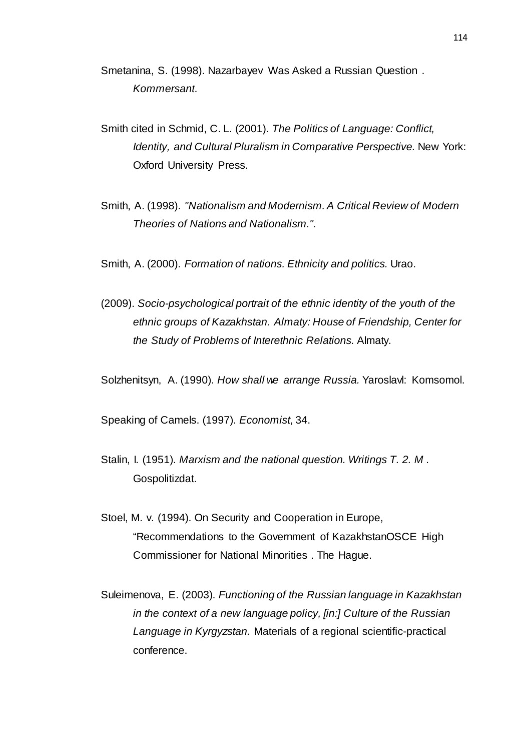Smetanina, S. (1998). Nazarbayev Was Asked a Russian Question . *Kommersant*.

- Smith cited in Schmid, C. L. (2001). *The Politics of Language: Conflict, Identity, and Cultural Pluralism in Comparative Perspective.* New York: Oxford University Press.
- Smith, A. (1998). *"Nationalism and Modernism. A Critical Review of Modern Theories of Nations and Nationalism.".*
- Smith, A. (2000). *Formation of nations. Ethnicity and politics.* Urao.
- (2009). *Socio-psychological portrait of the ethnic identity of the youth of the ethnic groups of Kazakhstan. Almaty: House of Friendship, Center for the Study of Problems of Interethnic Relations.* Almaty.

Solzhenitsyn, A. (1990). *How shall we arrange Russia.* Yaroslavl: Komsomol.

Speaking of Camels. (1997). *Economist*, 34.

- Stalin, I. (1951). *Marxism and the national question. Writings T. 2. M .* Gospolitizdat.
- Stoel, M. v. (1994). On Security and Cooperation in Europe, "Recommendations to the Government of KazakhstanOSCE High Commissioner for National Minorities . The Hague.
- Suleimenova, E. (2003). *Functioning of the Russian language in Kazakhstan in the context of a new language policy, [in:] Culture of the Russian Language in Kyrgyzstan.* Materials of a regional scientific-practical conference.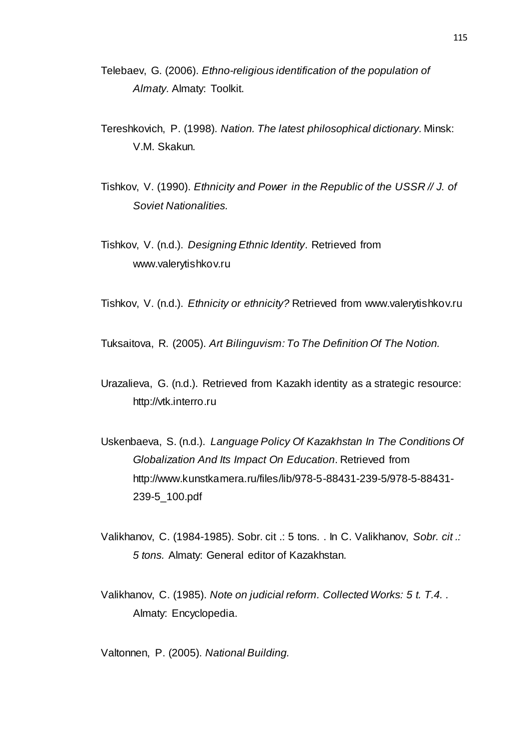- Telebaev, G. (2006). *Ethno-religious identification of the population of Almaty.* Almaty: Toolkit.
- Tereshkovich, P. (1998). *Nation. The latest philosophical dictionary.* Minsk: V.M. Skakun.
- Tishkov, V. (1990). *Ethnicity and Power in the Republic of the USSR // J. of Soviet Nationalities.*
- Tishkov, V. (n.d.). *Designing Ethnic Identity*. Retrieved from www.valerytishkov.ru
- Tishkov, V. (n.d.). *Ethnicity or ethnicity?* Retrieved from www.valerytishkov.ru
- Tuksaitova, R. (2005). *Art Bilinguvism: To The Definition Of The Notion.*
- Urazalieva, G. (n.d.). Retrieved from Kazakh identity as a strategic resource: http://vtk.interro.ru
- Uskenbaeva, S. (n.d.). *Language Policy Of Kazakhstan In The Conditions Of Globalization And Its Impact On Education*. Retrieved from http://www.kunstkamera.ru/files/lib/978-5-88431-239-5/978-5-88431- 239-5\_100.pdf
- Valikhanov, C. (1984-1985). Sobr. cit .: 5 tons. . In C. Valikhanov, *Sobr. cit .: 5 tons.* Almaty: General editor of Kazakhstan.
- Valikhanov, C. (1985). *Note on judicial reform. Collected Works: 5 t. T.4. .* Almaty: Encyclopedia.
- Valtonnen, P. (2005). *National Building.*